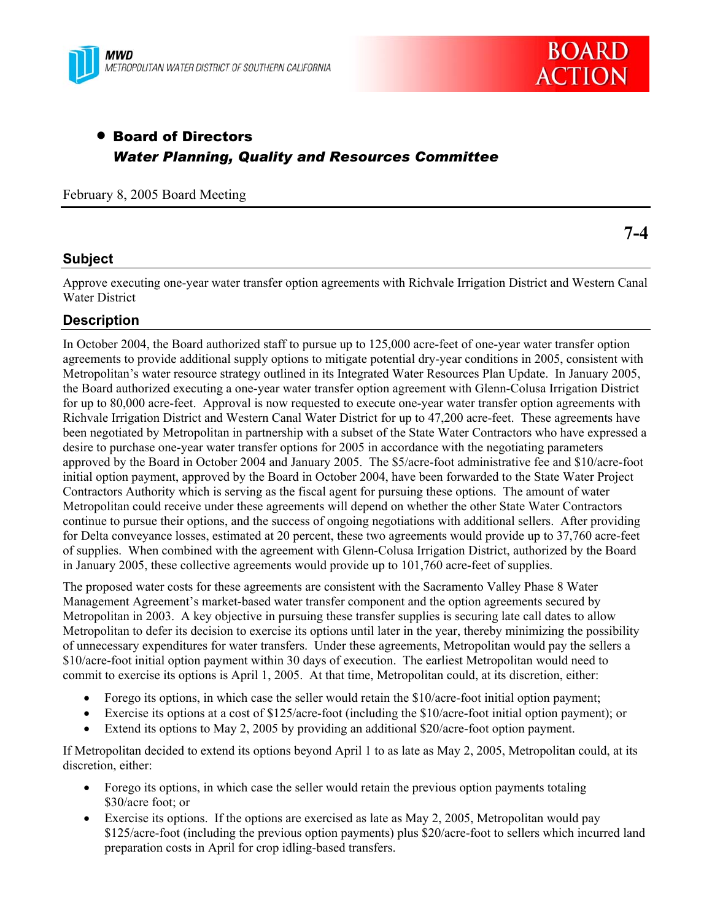



**7-4** 

# • Board of Directors *Water Planning, Quality and Resources Committee*

February 8, 2005 Board Meeting

## **Subject**

Approve executing one-year water transfer option agreements with Richvale Irrigation District and Western Canal Water District

# **Description**

In October 2004, the Board authorized staff to pursue up to 125,000 acre-feet of one-year water transfer option agreements to provide additional supply options to mitigate potential dry-year conditions in 2005, consistent with Metropolitan's water resource strategy outlined in its Integrated Water Resources Plan Update. In January 2005, the Board authorized executing a one-year water transfer option agreement with Glenn-Colusa Irrigation District for up to 80,000 acre-feet. Approval is now requested to execute one-year water transfer option agreements with Richvale Irrigation District and Western Canal Water District for up to 47,200 acre-feet. These agreements have been negotiated by Metropolitan in partnership with a subset of the State Water Contractors who have expressed a desire to purchase one-year water transfer options for 2005 in accordance with the negotiating parameters approved by the Board in October 2004 and January 2005. The \$5/acre-foot administrative fee and \$10/acre-foot initial option payment, approved by the Board in October 2004, have been forwarded to the State Water Project Contractors Authority which is serving as the fiscal agent for pursuing these options. The amount of water Metropolitan could receive under these agreements will depend on whether the other State Water Contractors continue to pursue their options, and the success of ongoing negotiations with additional sellers. After providing for Delta conveyance losses, estimated at 20 percent, these two agreements would provide up to 37,760 acre-feet of supplies. When combined with the agreement with Glenn-Colusa Irrigation District, authorized by the Board in January 2005, these collective agreements would provide up to 101,760 acre-feet of supplies.

The proposed water costs for these agreements are consistent with the Sacramento Valley Phase 8 Water Management Agreement's market-based water transfer component and the option agreements secured by Metropolitan in 2003. A key objective in pursuing these transfer supplies is securing late call dates to allow Metropolitan to defer its decision to exercise its options until later in the year, thereby minimizing the possibility of unnecessary expenditures for water transfers. Under these agreements, Metropolitan would pay the sellers a \$10/acre-foot initial option payment within 30 days of execution. The earliest Metropolitan would need to commit to exercise its options is April 1, 2005. At that time, Metropolitan could, at its discretion, either:

- Forego its options, in which case the seller would retain the \$10/acre-foot initial option payment;
- Exercise its options at a cost of \$125/acre-foot (including the \$10/acre-foot initial option payment); or
- Extend its options to May 2, 2005 by providing an additional \$20/acre-foot option payment.

If Metropolitan decided to extend its options beyond April 1 to as late as May 2, 2005, Metropolitan could, at its discretion, either:

- Forego its options, in which case the seller would retain the previous option payments totaling \$30/acre foot; or
- Exercise its options. If the options are exercised as late as May 2, 2005, Metropolitan would pay \$125/acre-foot (including the previous option payments) plus \$20/acre-foot to sellers which incurred land preparation costs in April for crop idling-based transfers.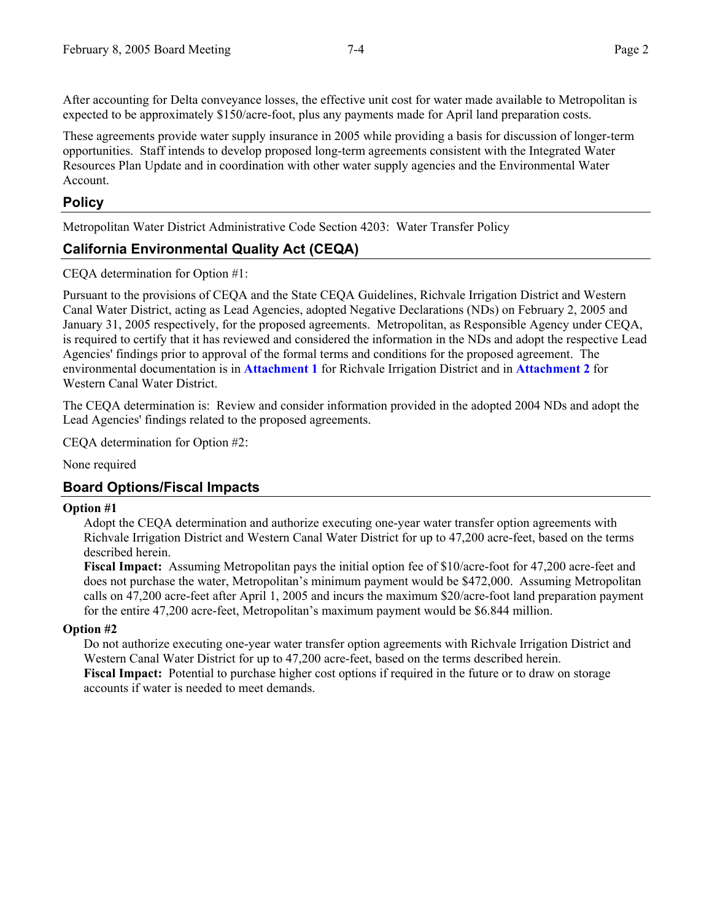After accounting for Delta conveyance losses, the effective unit cost for water made available to Metropolitan is expected to be approximately \$150/acre-foot, plus any payments made for April land preparation costs.

These agreements provide water supply insurance in 2005 while providing a basis for discussion of longer-term opportunities. Staff intends to develop proposed long-term agreements consistent with the Integrated Water Resources Plan Update and in coordination with other water supply agencies and the Environmental Water Account.

## **Policy**

Metropolitan Water District Administrative Code Section 4203: Water Transfer Policy

# **California Environmental Quality Act (CEQA)**

CEQA determination for Option #1:

Pursuant to the provisions of CEQA and the State CEQA Guidelines, Richvale Irrigation District and Western Canal Water District, acting as Lead Agencies, adopted Negative Declarations (NDs) on February 2, 2005 and January 31, 2005 respectively, for the proposed agreements. Metropolitan, as Responsible Agency under CEQA, is required to certify that it has reviewed and considered the information in the NDs and adopt the respective Lead Agencies' findings prior to approval of the formal terms and conditions for the proposed agreement. The environmental documentation is in **Attachment 1** for Richvale Irrigation District and in **Attachment 2** for Western Canal Water District.

The CEQA determination is: Review and consider information provided in the adopted 2004 NDs and adopt the Lead Agencies' findings related to the proposed agreements.

CEQA determination for Option #2:

None required

## **Board Options/Fiscal Impacts**

## **Option #1**

Adopt the CEQA determination and authorize executing one-year water transfer option agreements with Richvale Irrigation District and Western Canal Water District for up to 47,200 acre-feet, based on the terms described herein.

**Fiscal Impact:** Assuming Metropolitan pays the initial option fee of \$10/acre-foot for 47,200 acre-feet and does not purchase the water, Metropolitan's minimum payment would be \$472,000. Assuming Metropolitan calls on 47,200 acre-feet after April 1, 2005 and incurs the maximum \$20/acre-foot land preparation payment for the entire 47,200 acre-feet, Metropolitan's maximum payment would be \$6.844 million.

## **Option #2**

Do not authorize executing one-year water transfer option agreements with Richvale Irrigation District and Western Canal Water District for up to 47,200 acre-feet, based on the terms described herein. **Fiscal Impact:** Potential to purchase higher cost options if required in the future or to draw on storage accounts if water is needed to meet demands.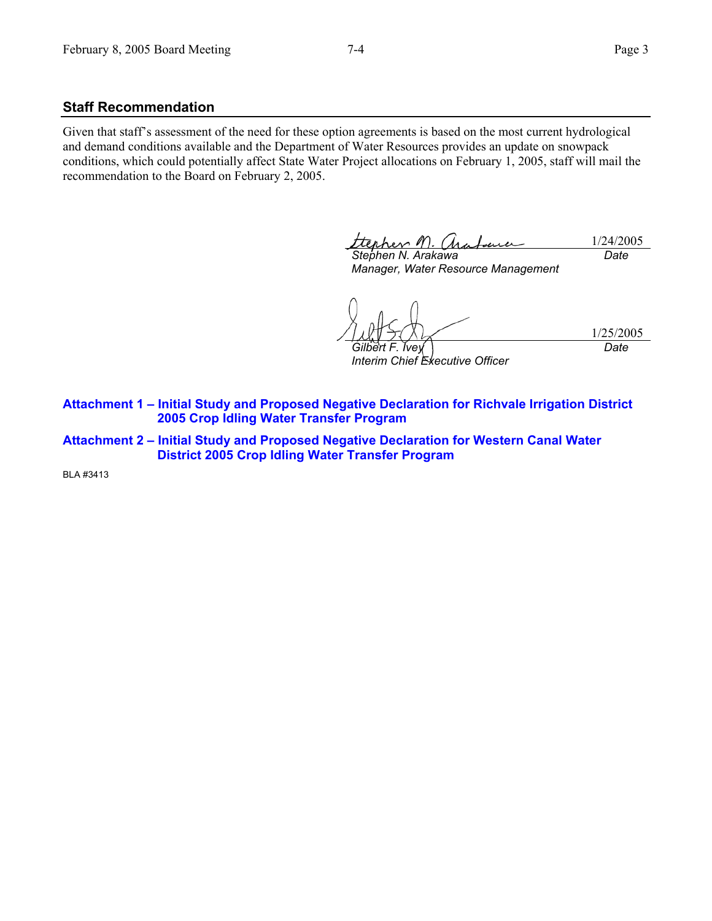## **Staff Recommendation**

Given that staff's assessment of the need for these option agreements is based on the most current hydrological and demand conditions available and the Department of Water Resources provides an update on snowpack conditions, which could potentially affect State Water Project allocations on February 1, 2005, staff will mail the recommendation to the Board on February 2, 2005.

pher M. 1/24/2005 *Date* 

*Stephen N. Arakawa Manager, Water Resource Management* 

1/25/2005 *Gilbert F. Ivey Date* 

*Interim Chief Executive Officer*

**Attachment 1 – Initial Study and Proposed Negative Declaration for Richvale Irrigation District 2005 Crop Idling Water Transfer Program** 

**Attachment 2 – Initial Study and Proposed Negative Declaration for Western Canal Water District 2005 Crop Idling Water Transfer Program**

BLA #3413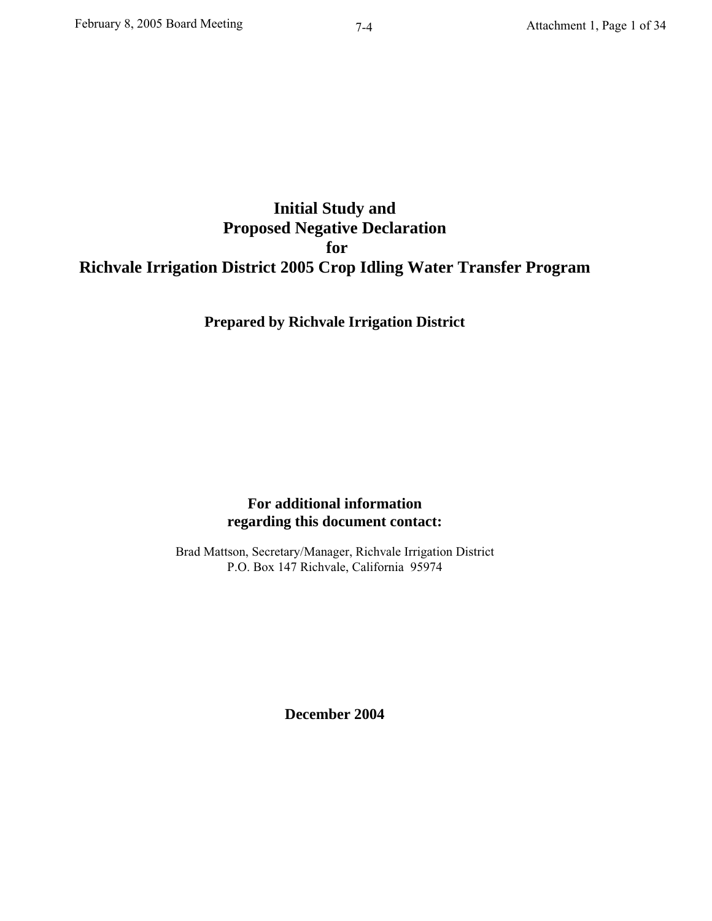# **Initial Study and Proposed Negative Declaration for Richvale Irrigation District 2005 Crop Idling Water Transfer Program**

**Prepared by Richvale Irrigation District** 

# **For additional information regarding this document contact:**

Brad Mattson, Secretary/Manager, Richvale Irrigation District P.O. Box 147 Richvale, California 95974

**December 2004**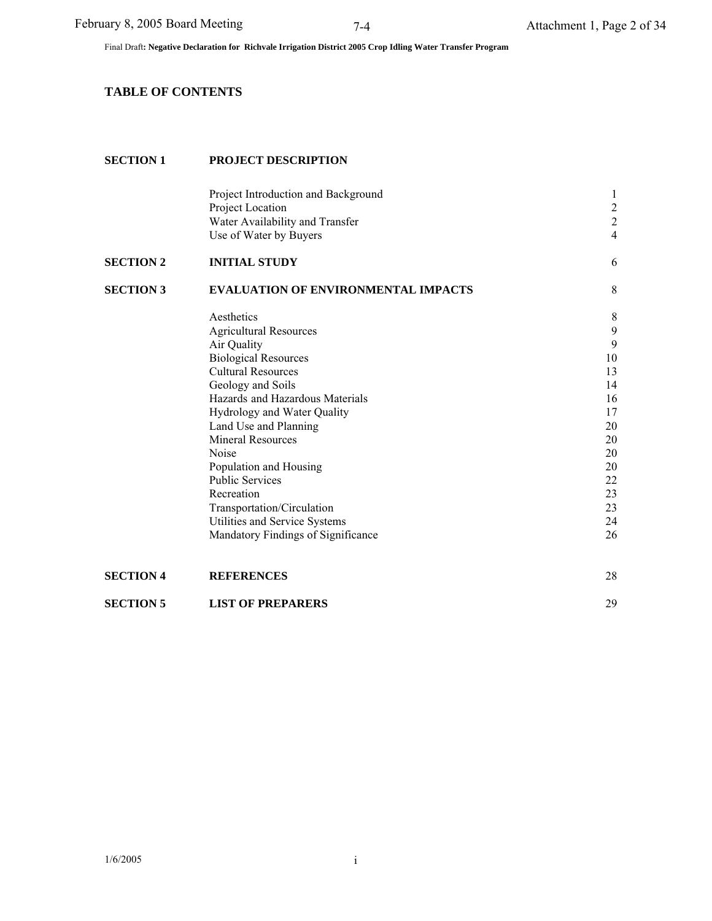# **TABLE OF CONTENTS**

## **SECTION 1 PROJECT DESCRIPTION**

|                  | Project Introduction and Background<br>Project Location<br>Water Availability and Transfer<br>Use of Water by Buyers                                                                                                                                                                                                                                                                                                                        | 1<br>$\overline{c}$<br>$\overline{2}$<br>$\overline{4}$                                         |
|------------------|---------------------------------------------------------------------------------------------------------------------------------------------------------------------------------------------------------------------------------------------------------------------------------------------------------------------------------------------------------------------------------------------------------------------------------------------|-------------------------------------------------------------------------------------------------|
| <b>SECTION 2</b> | <b>INITIAL STUDY</b>                                                                                                                                                                                                                                                                                                                                                                                                                        | 6                                                                                               |
| <b>SECTION 3</b> | <b>EVALUATION OF ENVIRONMENTAL IMPACTS</b>                                                                                                                                                                                                                                                                                                                                                                                                  | 8                                                                                               |
|                  | Aesthetics<br><b>Agricultural Resources</b><br>Air Quality<br><b>Biological Resources</b><br><b>Cultural Resources</b><br>Geology and Soils<br>Hazards and Hazardous Materials<br>Hydrology and Water Quality<br>Land Use and Planning<br>Mineral Resources<br>Noise<br>Population and Housing<br><b>Public Services</b><br>Recreation<br>Transportation/Circulation<br>Utilities and Service Systems<br>Mandatory Findings of Significance | 8<br>9<br>9<br>10<br>13<br>14<br>16<br>17<br>20<br>20<br>20<br>20<br>22<br>23<br>23<br>24<br>26 |
| <b>SECTION 4</b> | <b>REFERENCES</b>                                                                                                                                                                                                                                                                                                                                                                                                                           | 28                                                                                              |
| <b>SECTION 5</b> | <b>LIST OF PREPARERS</b>                                                                                                                                                                                                                                                                                                                                                                                                                    | 29                                                                                              |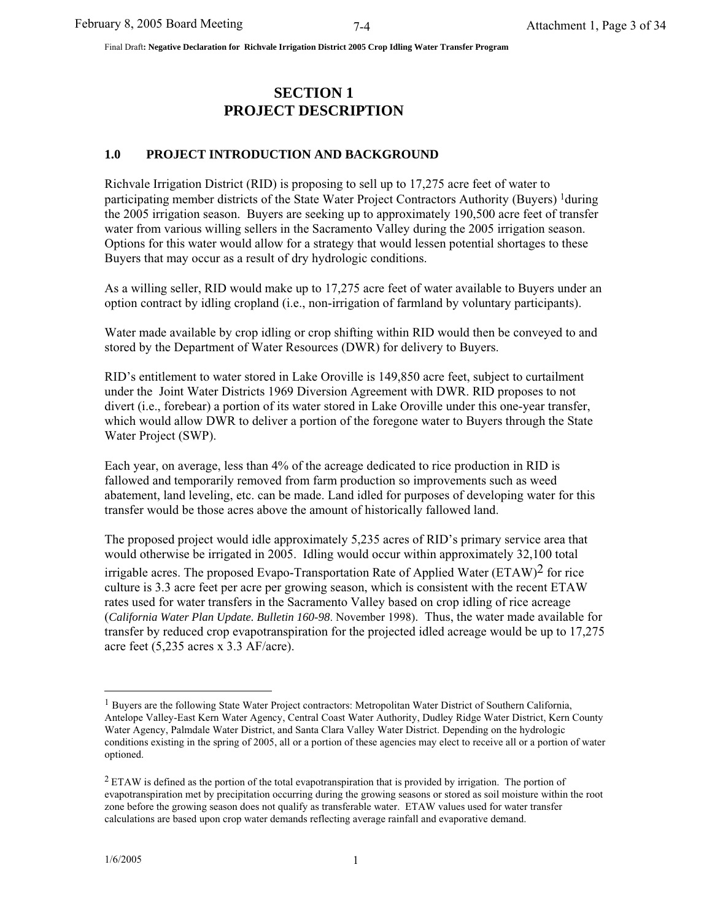# **SECTION 1 PROJECT DESCRIPTION**

## **1.0 PROJECT INTRODUCTION AND BACKGROUND**

Richvale Irrigation District (RID) is proposing to sell up to 17,275 acre feet of water to participating member districts of the State Water Project Contractors Authority (Buyers) 1during the 2005 irrigation season. Buyers are seeking up to approximately 190,500 acre feet of transfer water from various willing sellers in the Sacramento Valley during the 2005 irrigation season. Options for this water would allow for a strategy that would lessen potential shortages to these Buyers that may occur as a result of dry hydrologic conditions.

As a willing seller, RID would make up to 17,275 acre feet of water available to Buyers under an option contract by idling cropland (i.e., non-irrigation of farmland by voluntary participants).

Water made available by crop idling or crop shifting within RID would then be conveyed to and stored by the Department of Water Resources (DWR) for delivery to Buyers.

RID's entitlement to water stored in Lake Oroville is 149,850 acre feet, subject to curtailment under the Joint Water Districts 1969 Diversion Agreement with DWR. RID proposes to not divert (i.e., forebear) a portion of its water stored in Lake Oroville under this one-year transfer, which would allow DWR to deliver a portion of the foregone water to Buyers through the State Water Project (SWP).

Each year, on average, less than 4% of the acreage dedicated to rice production in RID is fallowed and temporarily removed from farm production so improvements such as weed abatement, land leveling, etc. can be made. Land idled for purposes of developing water for this transfer would be those acres above the amount of historically fallowed land.

The proposed project would idle approximately 5,235 acres of RID's primary service area that would otherwise be irrigated in 2005. Idling would occur within approximately 32,100 total irrigable acres. The proposed Evapo-Transportation Rate of Applied Water (ETAW)<sup>2</sup> for rice culture is 3.3 acre feet per acre per growing season, which is consistent with the recent ETAW rates used for water transfers in the Sacramento Valley based on crop idling of rice acreage (*California Water Plan Update. Bulletin 160-98*. November 1998). Thus, the water made available for transfer by reduced crop evapotranspiration for the projected idled acreage would be up to 17,275 acre feet (5,235 acres x 3.3 AF/acre).

l

<sup>1</sup> Buyers are the following State Water Project contractors: Metropolitan Water District of Southern California, Antelope Valley-East Kern Water Agency, Central Coast Water Authority, Dudley Ridge Water District, Kern County Water Agency, Palmdale Water District, and Santa Clara Valley Water District. Depending on the hydrologic conditions existing in the spring of 2005, all or a portion of these agencies may elect to receive all or a portion of water optioned.

<sup>&</sup>lt;sup>2</sup> ETAW is defined as the portion of the total evapotranspiration that is provided by irrigation. The portion of evapotranspiration met by precipitation occurring during the growing seasons or stored as soil moisture within the root zone before the growing season does not qualify as transferable water. ETAW values used for water transfer calculations are based upon crop water demands reflecting average rainfall and evaporative demand.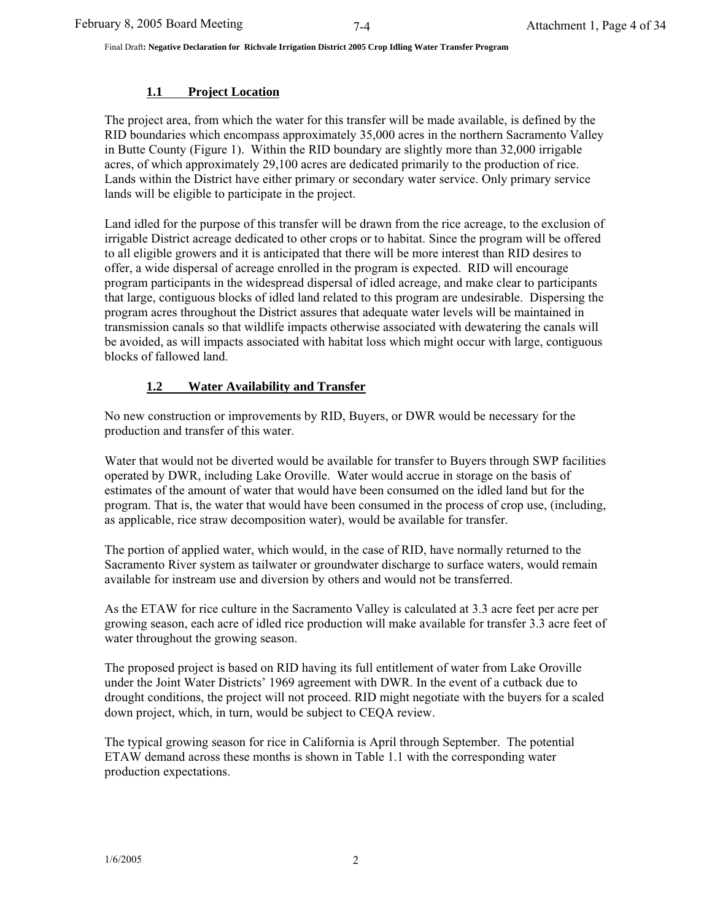## **1.1 Project Location**

The project area, from which the water for this transfer will be made available, is defined by the RID boundaries which encompass approximately 35,000 acres in the northern Sacramento Valley in Butte County (Figure 1). Within the RID boundary are slightly more than 32,000 irrigable acres, of which approximately 29,100 acres are dedicated primarily to the production of rice. Lands within the District have either primary or secondary water service. Only primary service lands will be eligible to participate in the project.

Land idled for the purpose of this transfer will be drawn from the rice acreage, to the exclusion of irrigable District acreage dedicated to other crops or to habitat. Since the program will be offered to all eligible growers and it is anticipated that there will be more interest than RID desires to offer, a wide dispersal of acreage enrolled in the program is expected. RID will encourage program participants in the widespread dispersal of idled acreage, and make clear to participants that large, contiguous blocks of idled land related to this program are undesirable. Dispersing the program acres throughout the District assures that adequate water levels will be maintained in transmission canals so that wildlife impacts otherwise associated with dewatering the canals will be avoided, as will impacts associated with habitat loss which might occur with large, contiguous blocks of fallowed land.

## **1.2 Water Availability and Transfer**

No new construction or improvements by RID, Buyers, or DWR would be necessary for the production and transfer of this water.

Water that would not be diverted would be available for transfer to Buyers through SWP facilities operated by DWR, including Lake Oroville. Water would accrue in storage on the basis of estimates of the amount of water that would have been consumed on the idled land but for the program. That is, the water that would have been consumed in the process of crop use, (including, as applicable, rice straw decomposition water), would be available for transfer.

The portion of applied water, which would, in the case of RID, have normally returned to the Sacramento River system as tailwater or groundwater discharge to surface waters, would remain available for instream use and diversion by others and would not be transferred.

As the ETAW for rice culture in the Sacramento Valley is calculated at 3.3 acre feet per acre per growing season, each acre of idled rice production will make available for transfer 3.3 acre feet of water throughout the growing season.

The proposed project is based on RID having its full entitlement of water from Lake Oroville under the Joint Water Districts' 1969 agreement with DWR. In the event of a cutback due to drought conditions, the project will not proceed. RID might negotiate with the buyers for a scaled down project, which, in turn, would be subject to CEQA review.

The typical growing season for rice in California is April through September. The potential ETAW demand across these months is shown in Table 1.1 with the corresponding water production expectations.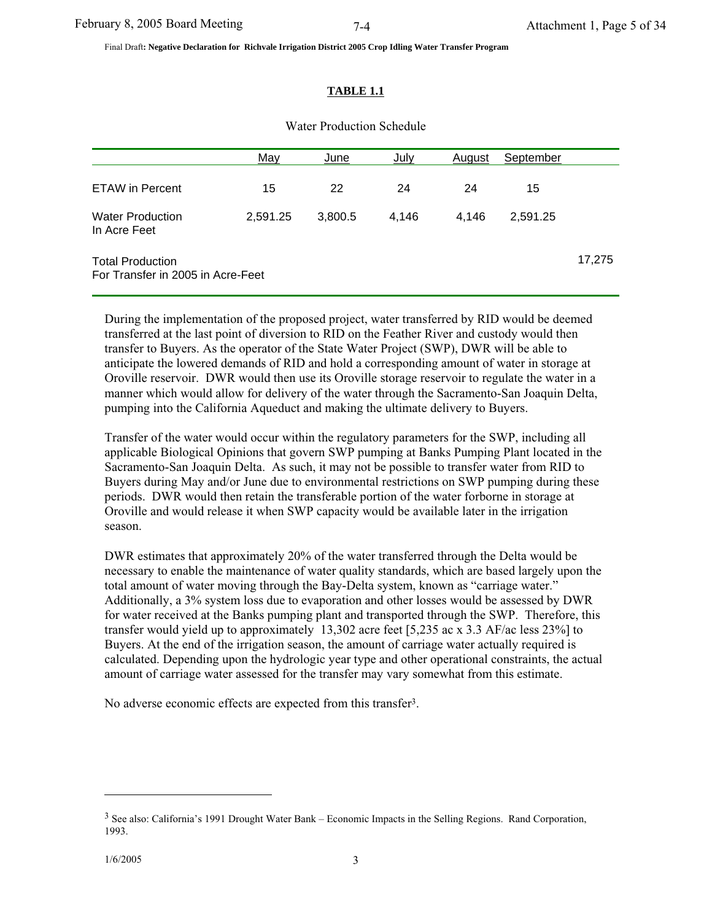## **TABLE 1.1**

## Water Production Schedule

|                                                              | May      | June    | July  | August | September |        |
|--------------------------------------------------------------|----------|---------|-------|--------|-----------|--------|
|                                                              |          |         |       |        |           |        |
| <b>ETAW</b> in Percent                                       | 15       | 22      | 24    | 24     | 15        |        |
| <b>Water Production</b><br>In Acre Feet                      | 2.591.25 | 3,800.5 | 4.146 | 4.146  | 2.591.25  |        |
| <b>Total Production</b><br>For Transfer in 2005 in Acre-Feet |          |         |       |        |           | 17,275 |

During the implementation of the proposed project, water transferred by RID would be deemed transferred at the last point of diversion to RID on the Feather River and custody would then transfer to Buyers. As the operator of the State Water Project (SWP), DWR will be able to anticipate the lowered demands of RID and hold a corresponding amount of water in storage at Oroville reservoir. DWR would then use its Oroville storage reservoir to regulate the water in a manner which would allow for delivery of the water through the Sacramento-San Joaquin Delta, pumping into the California Aqueduct and making the ultimate delivery to Buyers.

Transfer of the water would occur within the regulatory parameters for the SWP, including all applicable Biological Opinions that govern SWP pumping at Banks Pumping Plant located in the Sacramento-San Joaquin Delta. As such, it may not be possible to transfer water from RID to Buyers during May and/or June due to environmental restrictions on SWP pumping during these periods. DWR would then retain the transferable portion of the water forborne in storage at Oroville and would release it when SWP capacity would be available later in the irrigation season.

DWR estimates that approximately 20% of the water transferred through the Delta would be necessary to enable the maintenance of water quality standards, which are based largely upon the total amount of water moving through the Bay-Delta system, known as "carriage water." Additionally, a 3% system loss due to evaporation and other losses would be assessed by DWR for water received at the Banks pumping plant and transported through the SWP. Therefore, this transfer would yield up to approximately 13,302 acre feet [5,235 ac x 3.3 AF/ac less 23%] to Buyers. At the end of the irrigation season, the amount of carriage water actually required is calculated. Depending upon the hydrologic year type and other operational constraints, the actual amount of carriage water assessed for the transfer may vary somewhat from this estimate.

No adverse economic effects are expected from this transfer3.

l

<sup>&</sup>lt;sup>3</sup> See also: California's 1991 Drought Water Bank – Economic Impacts in the Selling Regions. Rand Corporation, 1993.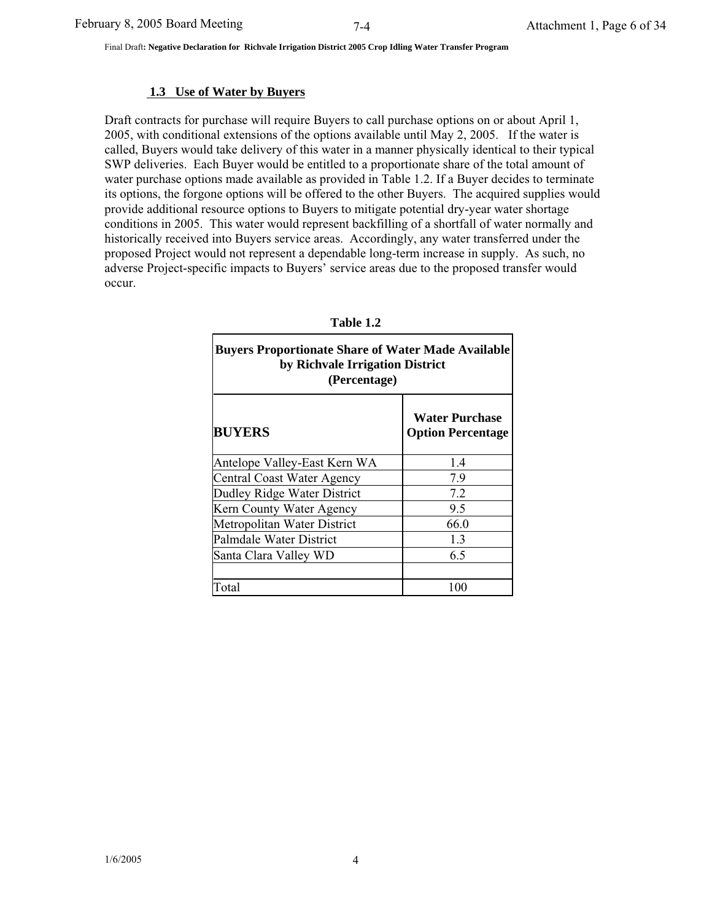## **1.3 Use of Water by Buyers**

Draft contracts for purchase will require Buyers to call purchase options on or about April 1, 2005, with conditional extensions of the options available until May 2, 2005. If the water is called, Buyers would take delivery of this water in a manner physically identical to their typical SWP deliveries. Each Buyer would be entitled to a proportionate share of the total amount of water purchase options made available as provided in Table 1.2. If a Buyer decides to terminate its options, the forgone options will be offered to the other Buyers. The acquired supplies would provide additional resource options to Buyers to mitigate potential dry-year water shortage conditions in 2005. This water would represent backfilling of a shortfall of water normally and historically received into Buyers service areas. Accordingly, any water transferred under the proposed Project would not represent a dependable long-term increase in supply. As such, no adverse Project-specific impacts to Buyers' service areas due to the proposed transfer would occur.

| <b>Buyers Proportionate Share of Water Made Available</b><br>by Richvale Irrigation District<br>(Percentage) |                                                   |  |  |  |
|--------------------------------------------------------------------------------------------------------------|---------------------------------------------------|--|--|--|
| <b>BUYERS</b>                                                                                                | <b>Water Purchase</b><br><b>Option Percentage</b> |  |  |  |
| Antelope Valley-East Kern WA                                                                                 | 1.4                                               |  |  |  |
| Central Coast Water Agency                                                                                   | 7.9                                               |  |  |  |
| Dudley Ridge Water District                                                                                  | 7.2                                               |  |  |  |
| Kern County Water Agency                                                                                     | 9.5                                               |  |  |  |
| Metropolitan Water District                                                                                  | 66.0                                              |  |  |  |
| Palmdale Water District                                                                                      | 1.3                                               |  |  |  |
| Santa Clara Valley WD                                                                                        | 6.5                                               |  |  |  |
| Total                                                                                                        | 100                                               |  |  |  |

| l`able |  |
|--------|--|
|--------|--|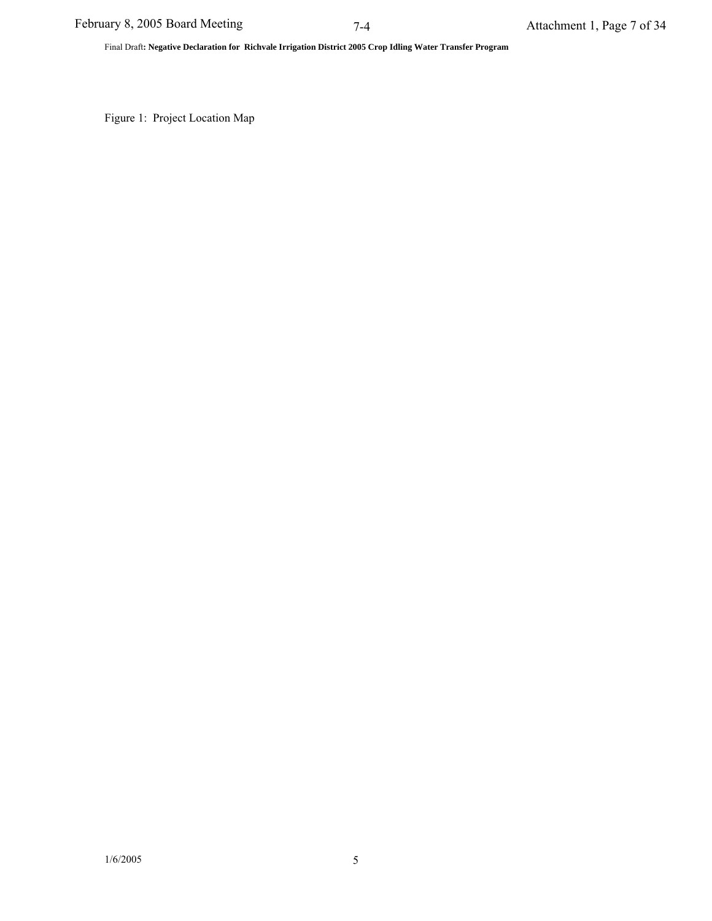Figure 1: Project Location Map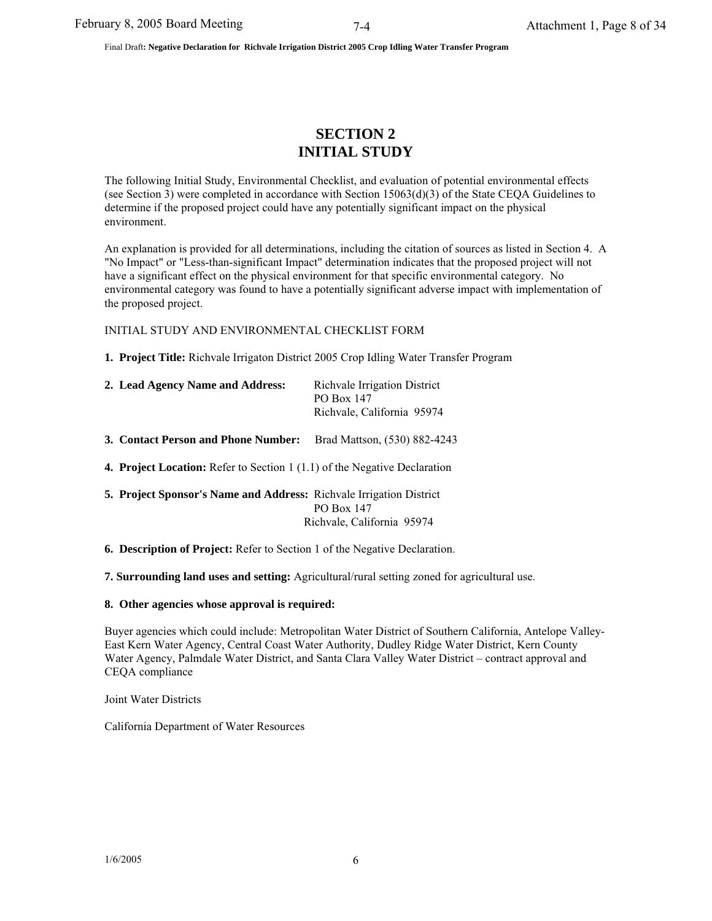# **SECTION 2 INITIAL STUDY**

The following Initial Study, Environmental Checklist, and evaluation of potential environmental effects (see Section 3) were completed in accordance with Section 15063(d)(3) of the State CEQA Guidelines to determine if the proposed project could have any potentially significant impact on the physical environment.

An explanation is provided for all determinations, including the citation of sources as listed in Section 4. A "No Impact" or "Less-than-significant Impact" determination indicates that the proposed project will not have a significant effect on the physical environment for that specific environmental category. No environmental category was found to have a potentially significant adverse impact with implementation of the proposed project.

## INITIAL STUDY AND ENVIRONMENTAL CHECKLIST FORM

**1. Project Title:** Richvale Irrigaton District 2005 Crop Idling Water Transfer Program

| 2. Lead Agency Name and Address:                                           | Richvale Irrigation District<br><b>PO Box 147</b> |
|----------------------------------------------------------------------------|---------------------------------------------------|
|                                                                            | Richvale, California 95974                        |
| 3. Contact Person and Phone Number:                                        | Brad Mattson, (530) 882-4243                      |
| 4. Project Location: Refer to Section 1 (1.1) of the Negative Declaration  |                                                   |
| <b>5. Project Sponsor's Name and Address:</b> Richvale Irrigation District |                                                   |
|                                                                            | <b>PO Box 147</b>                                 |
|                                                                            | Richvale, California 95974                        |

**6. Description of Project:** Refer to Section 1 of the Negative Declaration.

**7. Surrounding land uses and setting:** Agricultural/rural setting zoned for agricultural use.

## **8. Other agencies whose approval is required:**

Buyer agencies which could include: Metropolitan Water District of Southern California, Antelope Valley-East Kern Water Agency, Central Coast Water Authority, Dudley Ridge Water District, Kern County Water Agency, Palmdale Water District, and Santa Clara Valley Water District – contract approval and CEQA compliance

Joint Water Districts

California Department of Water Resources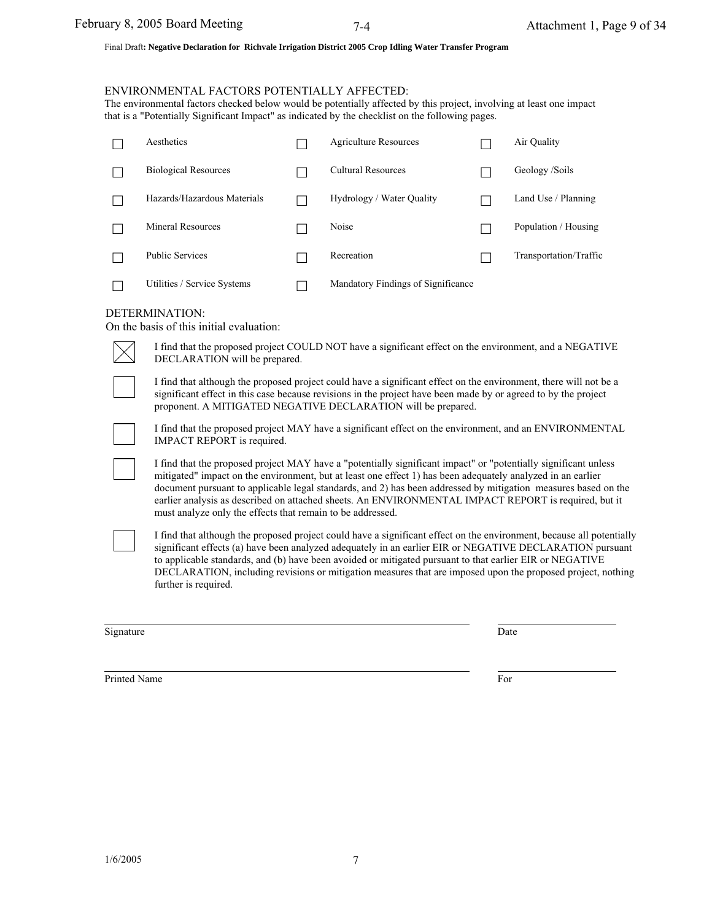## ENVIRONMENTAL FACTORS POTENTIALLY AFFECTED:

The environmental factors checked below would be potentially affected by this project, involving at least one impact that is a "Potentially Significant Impact" as indicated by the checklist on the following pages.

| Aesthetics                  | <b>Agriculture Resources</b>       | Air Quality            |
|-----------------------------|------------------------------------|------------------------|
| <b>Biological Resources</b> | Cultural Resources                 | Geology /Soils         |
| Hazards/Hazardous Materials | Hydrology / Water Quality          | Land Use / Planning    |
| Mineral Resources           | Noise                              | Population / Housing   |
| <b>Public Services</b>      | Recreation                         | Transportation/Traffic |
| Utilities / Service Systems | Mandatory Findings of Significance |                        |

## DETERMINATION:

On the basis of this initial evaluation:



I find that the proposed project COULD NOT have a significant effect on the environment, and a NEGATIVE DECLARATION will be prepared.

I find that although the proposed project could have a significant effect on the environment, there will not be a significant effect in this case because revisions in the project have been made by or agreed to by the project proponent. A MITIGATED NEGATIVE DECLARATION will be prepared.



I find that the proposed project MAY have a significant effect on the environment, and an ENVIRONMENTAL IMPACT REPORT is required.

I find that the proposed project MAY have a "potentially significant impact" or "potentially significant unless mitigated" impact on the environment, but at least one effect 1) has been adequately analyzed in an earlier document pursuant to applicable legal standards, and 2) has been addressed by mitigation measures based on the earlier analysis as described on attached sheets. An ENVIRONMENTAL IMPACT REPORT is required, but it must analyze only the effects that remain to be addressed.

I find that although the proposed project could have a significant effect on the environment, because all potentially significant effects (a) have been analyzed adequately in an earlier EIR or NEGATIVE DECLARATION pursuant to applicable standards, and (b) have been avoided or mitigated pursuant to that earlier EIR or NEGATIVE DECLARATION, including revisions or mitigation measures that are imposed upon the proposed project, nothing further is required.

Signature Date Date of the Date of the Date of the Date of the Date of the Date of the Date of the Date of the Date of the Date of the Date of the Date of the Date of the Date of the Date of the Date of the Date of the Dat

Printed Name For the Second Second Second Second Second Second Second Second Second Second Second Second Second Second Second Second Second Second Second Second Second Second Second Second Second Second Second Second Secon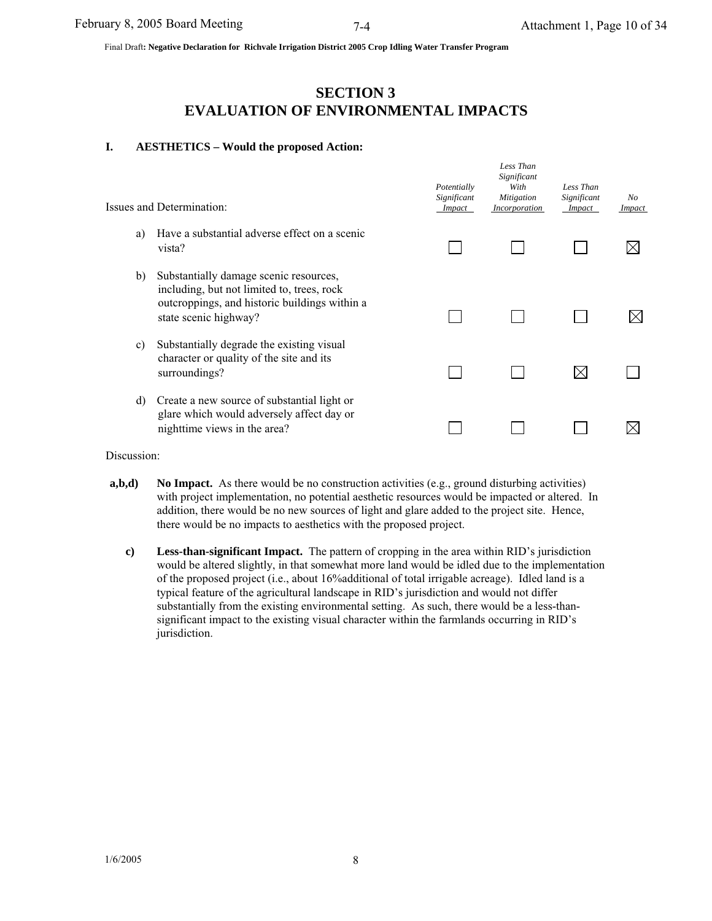# **SECTION 3 EVALUATION OF ENVIRONMENTAL IMPACTS**

## **I. AESTHETICS – Would the proposed Action:**

|    | <b>Issues and Determination:</b>                                                                                                                               | Potentially<br>Significant<br>Impact | Less Than<br>Significant<br>With<br><b>Mitigation</b><br>Incorporation | Less Than<br>Significant<br><i>Impact</i> | No<br>Impact |
|----|----------------------------------------------------------------------------------------------------------------------------------------------------------------|--------------------------------------|------------------------------------------------------------------------|-------------------------------------------|--------------|
| a) | Have a substantial adverse effect on a scenic<br>vista?                                                                                                        |                                      |                                                                        |                                           |              |
| b) | Substantially damage scenic resources,<br>including, but not limited to, trees, rock<br>outcroppings, and historic buildings within a<br>state scenic highway? |                                      |                                                                        |                                           |              |
| C) | Substantially degrade the existing visual<br>character or quality of the site and its<br>surroundings?                                                         |                                      |                                                                        |                                           |              |
| d) | Create a new source of substantial light or<br>glare which would adversely affect day or<br>nighttime views in the area?                                       |                                      |                                                                        |                                           |              |

## Discussion:

- **a,b,d)** No Impact. As there would be no construction activities (e.g., ground disturbing activities) with project implementation, no potential aesthetic resources would be impacted or altered. In addition, there would be no new sources of light and glare added to the project site. Hence, there would be no impacts to aesthetics with the proposed project.
	- **c) Less-than-significant Impact.** The pattern of cropping in the area within RID's jurisdiction would be altered slightly, in that somewhat more land would be idled due to the implementation of the proposed project (i.e., about 16%additional of total irrigable acreage). Idled land is a typical feature of the agricultural landscape in RID's jurisdiction and would not differ substantially from the existing environmental setting. As such, there would be a less-thansignificant impact to the existing visual character within the farmlands occurring in RID's jurisdiction.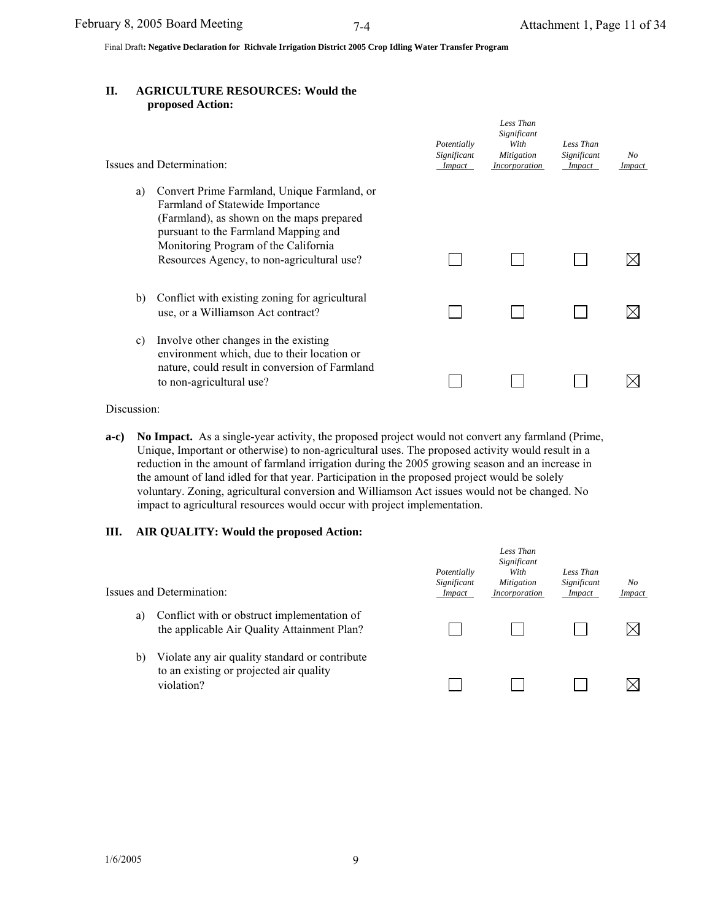## **II. AGRICULTURE RESOURCES: Would the proposed Action:**

|               | <b>Issues and Determination:</b>                                                                                                                                                                                                                           | Potentially<br>Significant<br><i>Impact</i> | Less Than<br>Significant<br>With<br><i>Mitigation</i><br>Incorporation | Less Than<br>Significant<br><i>Impact</i> | No<br><i>Impact</i> |
|---------------|------------------------------------------------------------------------------------------------------------------------------------------------------------------------------------------------------------------------------------------------------------|---------------------------------------------|------------------------------------------------------------------------|-------------------------------------------|---------------------|
| a)            | Convert Prime Farmland, Unique Farmland, or<br>Farmland of Statewide Importance<br>(Farmland), as shown on the maps prepared<br>pursuant to the Farmland Mapping and<br>Monitoring Program of the California<br>Resources Agency, to non-agricultural use? |                                             |                                                                        |                                           |                     |
| b)            | Conflict with existing zoning for agricultural<br>use, or a Williamson Act contract?                                                                                                                                                                       |                                             |                                                                        |                                           |                     |
| $\mathbf{c})$ | Involve other changes in the existing<br>environment which, due to their location or<br>nature, could result in conversion of Farmland<br>to non-agricultural use?                                                                                         |                                             |                                                                        |                                           |                     |

## Discussion:

**a-c) No Impact.** As a single-year activity, the proposed project would not convert any farmland (Prime, Unique, Important or otherwise) to non-agricultural uses. The proposed activity would result in a reduction in the amount of farmland irrigation during the 2005 growing season and an increase in the amount of land idled for that year. Participation in the proposed project would be solely voluntary. Zoning, agricultural conversion and Williamson Act issues would not be changed. No impact to agricultural resources would occur with project implementation.

## **III. AIR QUALITY: Would the proposed Action:**

|    | Issues and Determination:                                                                               | Potentially<br>Significant<br><i>Impact</i> | Less Than<br>Significant<br>With<br>Mitigation<br>Incorporation | Less Than<br>Significant<br><i>Impact</i> | No<br><i>Impact</i> |
|----|---------------------------------------------------------------------------------------------------------|---------------------------------------------|-----------------------------------------------------------------|-------------------------------------------|---------------------|
| a) | Conflict with or obstruct implementation of<br>the applicable Air Quality Attainment Plan?              |                                             |                                                                 |                                           |                     |
| b) | Violate any air quality standard or contribute<br>to an existing or projected air quality<br>violation? |                                             |                                                                 |                                           |                     |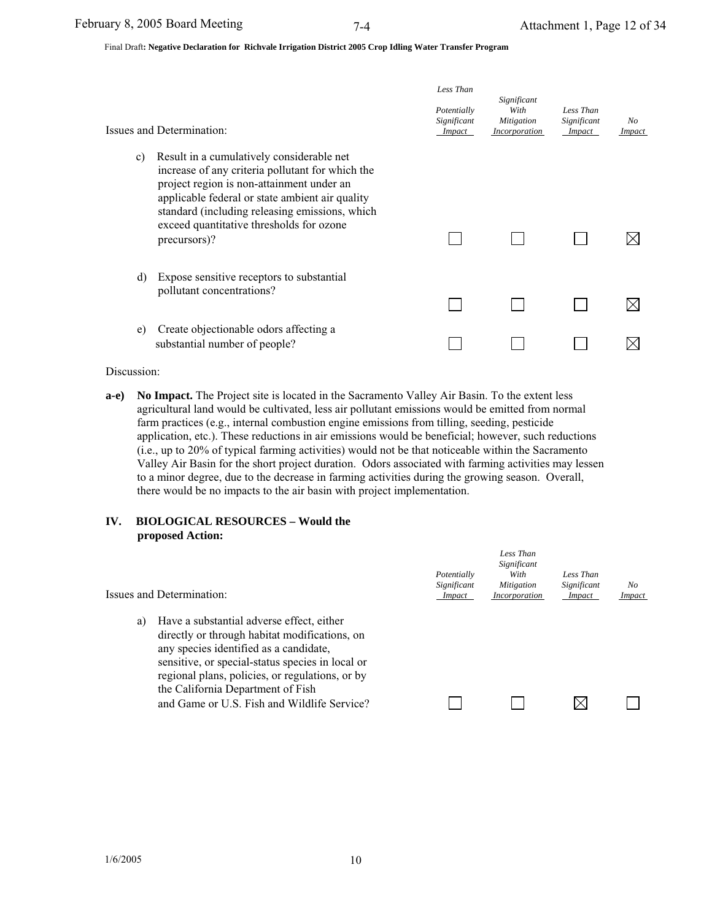|    | <b>Issues and Determination:</b>                                                                                                                                                                                                                                                                            | Less Than<br>Potentially<br>Significant<br><i>Impact</i> | Significant<br>With<br>Mitigation<br>Incorporation | Less Than<br>Significant<br><i>Impact</i> | No<br>Impact |
|----|-------------------------------------------------------------------------------------------------------------------------------------------------------------------------------------------------------------------------------------------------------------------------------------------------------------|----------------------------------------------------------|----------------------------------------------------|-------------------------------------------|--------------|
| C) | Result in a cumulatively considerable net<br>increase of any criteria pollutant for which the<br>project region is non-attainment under an<br>applicable federal or state ambient air quality<br>standard (including releasing emissions, which<br>exceed quantitative thresholds for ozone<br>precursors)? |                                                          |                                                    |                                           |              |
| d) | Expose sensitive receptors to substantial<br>pollutant concentrations?                                                                                                                                                                                                                                      |                                                          |                                                    |                                           |              |
| e) | Create objectionable odors affecting a<br>substantial number of people?                                                                                                                                                                                                                                     |                                                          |                                                    |                                           |              |

## Discussion:

**a-e) No Impact.** The Project site is located in the Sacramento Valley Air Basin. To the extent less agricultural land would be cultivated, less air pollutant emissions would be emitted from normal farm practices (e.g., internal combustion engine emissions from tilling, seeding, pesticide application, etc.). These reductions in air emissions would be beneficial; however, such reductions (i.e., up to 20% of typical farming activities) would not be that noticeable within the Sacramento Valley Air Basin for the short project duration. Odors associated with farming activities may lessen to a minor degree, due to the decrease in farming activities during the growing season. Overall, there would be no impacts to the air basin with project implementation.

## **IV. BIOLOGICAL RESOURCES – Would the proposed Action:**

|    | <b>Issues and Determination:</b>                                                                                                                                                                                                                                                                                                | Potentially<br>Significant<br><i>Impact</i> | Less Than<br>Significant<br>With<br><i>Mitigation</i><br>Incorporation | Less Than<br>Significant<br><i>Impact</i> | No<br><i>Impact</i> |
|----|---------------------------------------------------------------------------------------------------------------------------------------------------------------------------------------------------------------------------------------------------------------------------------------------------------------------------------|---------------------------------------------|------------------------------------------------------------------------|-------------------------------------------|---------------------|
| a) | Have a substantial adverse effect, either<br>directly or through habitat modifications, on<br>any species identified as a candidate,<br>sensitive, or special-status species in local or<br>regional plans, policies, or regulations, or by<br>the California Department of Fish<br>and Game or U.S. Fish and Wildlife Service? |                                             |                                                                        |                                           |                     |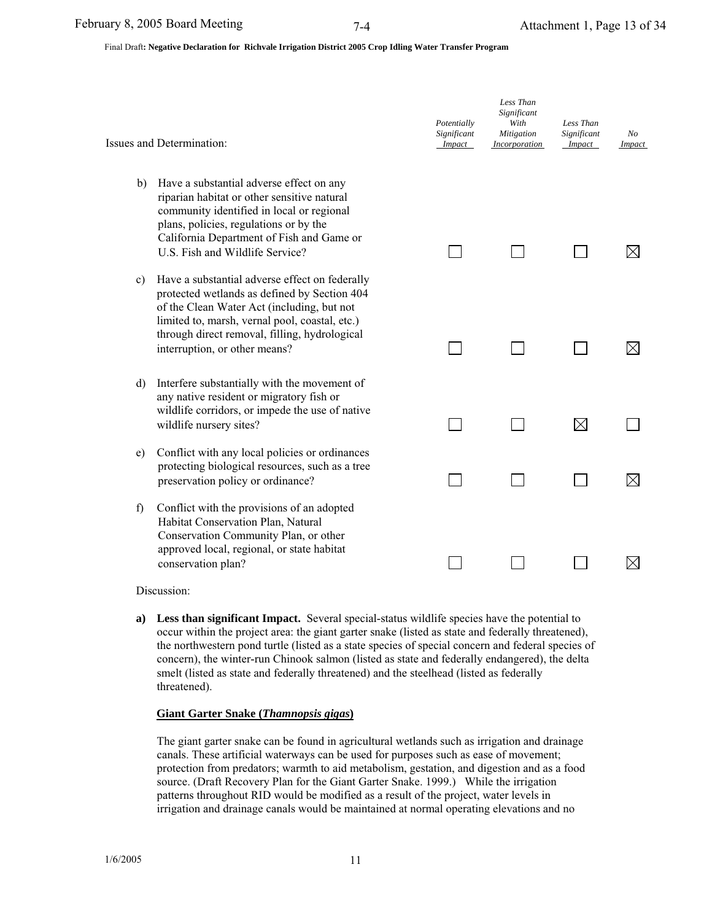| <b>Issues and Determination:</b>                                                                                                                                                                                                                                                       | Potentially<br>Significant<br><i>Impact</i> | Less Than<br>Significant<br>With<br>Mitigation<br>Incorporation | Less Than<br>Significant<br><i>Impact</i> | No<br><i>Impact</i> |
|----------------------------------------------------------------------------------------------------------------------------------------------------------------------------------------------------------------------------------------------------------------------------------------|---------------------------------------------|-----------------------------------------------------------------|-------------------------------------------|---------------------|
| Have a substantial adverse effect on any<br>b)<br>riparian habitat or other sensitive natural<br>community identified in local or regional<br>plans, policies, regulations or by the<br>California Department of Fish and Game or<br>U.S. Fish and Wildlife Service?                   |                                             |                                                                 |                                           |                     |
| Have a substantial adverse effect on federally<br>c)<br>protected wetlands as defined by Section 404<br>of the Clean Water Act (including, but not<br>limited to, marsh, vernal pool, coastal, etc.)<br>through direct removal, filling, hydrological<br>interruption, or other means? |                                             |                                                                 |                                           |                     |
| Interfere substantially with the movement of<br>d)<br>any native resident or migratory fish or<br>wildlife corridors, or impede the use of native<br>wildlife nursery sites?                                                                                                           |                                             |                                                                 | $\boxtimes$                               |                     |
| Conflict with any local policies or ordinances<br>e)<br>protecting biological resources, such as a tree<br>preservation policy or ordinance?                                                                                                                                           |                                             |                                                                 |                                           |                     |
| f)<br>Conflict with the provisions of an adopted<br>Habitat Conservation Plan, Natural<br>Conservation Community Plan, or other<br>approved local, regional, or state habitat<br>conservation plan?                                                                                    |                                             |                                                                 |                                           |                     |

Discussion:

**a) Less than significant Impact.** Several special-status wildlife species have the potential to occur within the project area: the giant garter snake (listed as state and federally threatened), the northwestern pond turtle (listed as a state species of special concern and federal species of concern), the winter-run Chinook salmon (listed as state and federally endangered), the delta smelt (listed as state and federally threatened) and the steelhead (listed as federally threatened).

## **Giant Garter Snake (***Thamnopsis gigas***)**

The giant garter snake can be found in agricultural wetlands such as irrigation and drainage canals. These artificial waterways can be used for purposes such as ease of movement; protection from predators; warmth to aid metabolism, gestation, and digestion and as a food source. (Draft Recovery Plan for the Giant Garter Snake. 1999.) While the irrigation patterns throughout RID would be modified as a result of the project, water levels in irrigation and drainage canals would be maintained at normal operating elevations and no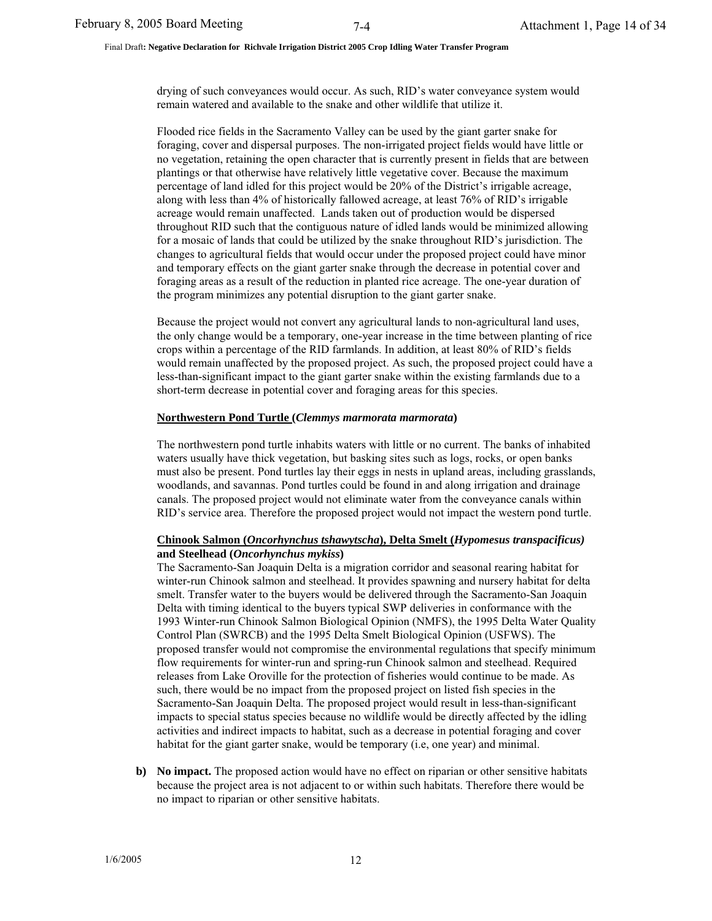drying of such conveyances would occur. As such, RID's water conveyance system would remain watered and available to the snake and other wildlife that utilize it.

Flooded rice fields in the Sacramento Valley can be used by the giant garter snake for foraging, cover and dispersal purposes. The non-irrigated project fields would have little or no vegetation, retaining the open character that is currently present in fields that are between plantings or that otherwise have relatively little vegetative cover. Because the maximum percentage of land idled for this project would be 20% of the District's irrigable acreage, along with less than 4% of historically fallowed acreage, at least 76% of RID's irrigable acreage would remain unaffected. Lands taken out of production would be dispersed throughout RID such that the contiguous nature of idled lands would be minimized allowing for a mosaic of lands that could be utilized by the snake throughout RID's jurisdiction. The changes to agricultural fields that would occur under the proposed project could have minor and temporary effects on the giant garter snake through the decrease in potential cover and foraging areas as a result of the reduction in planted rice acreage. The one-year duration of the program minimizes any potential disruption to the giant garter snake.

Because the project would not convert any agricultural lands to non-agricultural land uses, the only change would be a temporary, one-year increase in the time between planting of rice crops within a percentage of the RID farmlands. In addition, at least 80% of RID's fields would remain unaffected by the proposed project. As such, the proposed project could have a less-than-significant impact to the giant garter snake within the existing farmlands due to a short-term decrease in potential cover and foraging areas for this species.

#### **Northwestern Pond Turtle (***Clemmys marmorata marmorata***)**

The northwestern pond turtle inhabits waters with little or no current. The banks of inhabited waters usually have thick vegetation, but basking sites such as logs, rocks, or open banks must also be present. Pond turtles lay their eggs in nests in upland areas, including grasslands, woodlands, and savannas. Pond turtles could be found in and along irrigation and drainage canals. The proposed project would not eliminate water from the conveyance canals within RID's service area. Therefore the proposed project would not impact the western pond turtle.

## **Chinook Salmon (***Oncorhynchus tshawytscha***), Delta Smelt (***Hypomesus transpacificus)*  **and Steelhead (***Oncorhynchus mykiss***)**

The Sacramento-San Joaquin Delta is a migration corridor and seasonal rearing habitat for winter-run Chinook salmon and steelhead. It provides spawning and nursery habitat for delta smelt. Transfer water to the buyers would be delivered through the Sacramento-San Joaquin Delta with timing identical to the buyers typical SWP deliveries in conformance with the 1993 Winter-run Chinook Salmon Biological Opinion (NMFS), the 1995 Delta Water Quality Control Plan (SWRCB) and the 1995 Delta Smelt Biological Opinion (USFWS). The proposed transfer would not compromise the environmental regulations that specify minimum flow requirements for winter-run and spring-run Chinook salmon and steelhead. Required releases from Lake Oroville for the protection of fisheries would continue to be made. As such, there would be no impact from the proposed project on listed fish species in the Sacramento-San Joaquin Delta. The proposed project would result in less-than-significant impacts to special status species because no wildlife would be directly affected by the idling activities and indirect impacts to habitat, such as a decrease in potential foraging and cover habitat for the giant garter snake, would be temporary (i.e, one year) and minimal.

**b) No impact.** The proposed action would have no effect on riparian or other sensitive habitats because the project area is not adjacent to or within such habitats. Therefore there would be no impact to riparian or other sensitive habitats.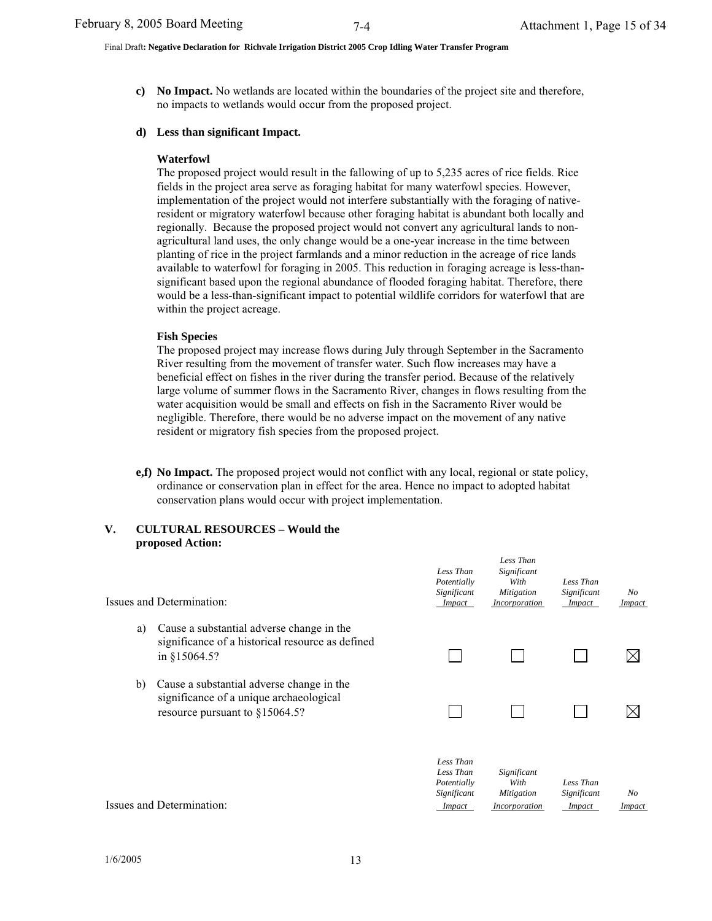**c) No Impact.** No wetlands are located within the boundaries of the project site and therefore, no impacts to wetlands would occur from the proposed project.

#### **d) Less than significant Impact.**

## **Waterfowl**

The proposed project would result in the fallowing of up to 5,235 acres of rice fields. Rice fields in the project area serve as foraging habitat for many waterfowl species. However, implementation of the project would not interfere substantially with the foraging of nativeresident or migratory waterfowl because other foraging habitat is abundant both locally and regionally. Because the proposed project would not convert any agricultural lands to nonagricultural land uses, the only change would be a one-year increase in the time between planting of rice in the project farmlands and a minor reduction in the acreage of rice lands available to waterfowl for foraging in 2005. This reduction in foraging acreage is less-thansignificant based upon the regional abundance of flooded foraging habitat. Therefore, there would be a less-than-significant impact to potential wildlife corridors for waterfowl that are within the project acreage.

#### **Fish Species**

The proposed project may increase flows during July through September in the Sacramento River resulting from the movement of transfer water. Such flow increases may have a beneficial effect on fishes in the river during the transfer period. Because of the relatively large volume of summer flows in the Sacramento River, changes in flows resulting from the water acquisition would be small and effects on fish in the Sacramento River would be negligible. Therefore, there would be no adverse impact on the movement of any native resident or migratory fish species from the proposed project.

**e,f) No Impact.** The proposed project would not conflict with any local, regional or state policy, ordinance or conservation plan in effect for the area. Hence no impact to adopted habitat conservation plans would occur with project implementation.

## **V. CULTURAL RESOURCES – Would the proposed Action:**

|    | Issues and Determination:                                                                                                | Less Than<br>Potentially<br>Significant<br><i>Impact</i>              | Less Than<br>Significant<br>With<br><b>Mitigation</b><br>Incorporation | Less Than<br>Significant<br><i>Impact</i> | N <sub>O</sub><br><i>Impact</i> |
|----|--------------------------------------------------------------------------------------------------------------------------|-----------------------------------------------------------------------|------------------------------------------------------------------------|-------------------------------------------|---------------------------------|
| a) | Cause a substantial adverse change in the<br>significance of a historical resource as defined<br>in §15064.5?            |                                                                       |                                                                        |                                           |                                 |
| b) | Cause a substantial adverse change in the<br>significance of a unique archaeological<br>resource pursuant to $§15064.5?$ |                                                                       |                                                                        |                                           |                                 |
|    | Issues and Determination:                                                                                                | Less Than<br>Less Than<br>Potentially<br>Significant<br><i>Impact</i> | Significant<br>With<br>Mitigation<br>Incorporation                     | Less Than<br>Significant<br><i>Impact</i> | No<br><i>Impact</i>             |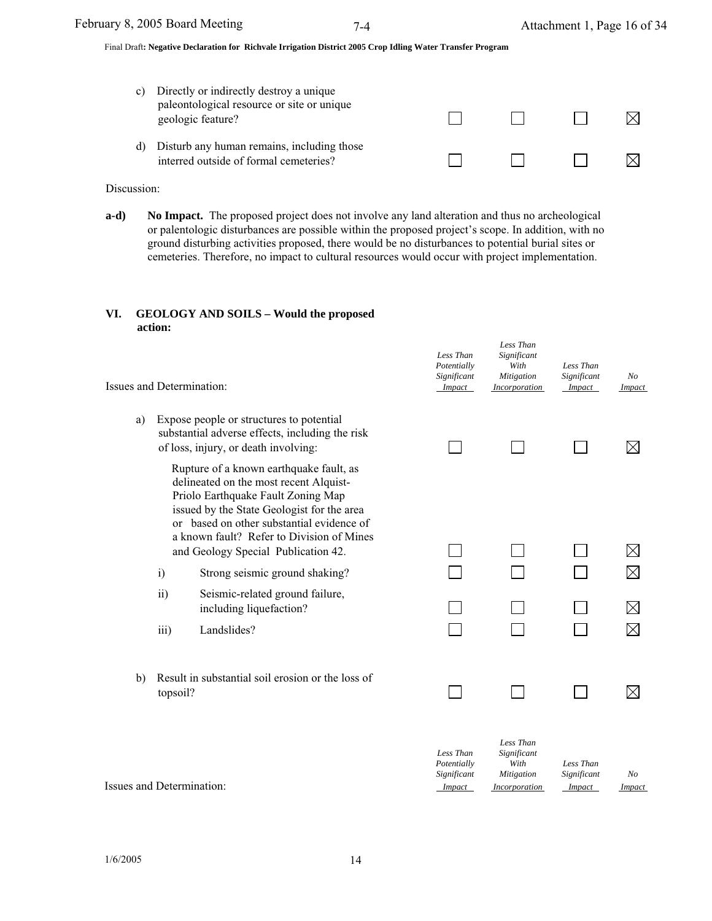| C) | Directly or indirectly destroy a unique<br>paleontological resource or site or unique<br>geologic feature? |  |  |
|----|------------------------------------------------------------------------------------------------------------|--|--|
|    | Disturb any human remains, including those<br>interred outside of formal cemeteries?                       |  |  |

## Discussion:

**a-d) No Impact.** The proposed project does not involve any land alteration and thus no archeological or palentologic disturbances are possible within the proposed project's scope. In addition, with no ground disturbing activities proposed, there would be no disturbances to potential burial sites or cemeteries. Therefore, no impact to cultural resources would occur with project implementation.

## **VI. GEOLOGY AND SOILS – Would the proposed action:**

|    |                 | <b>Issues and Determination:</b>                                                                                                                                                                                                                                                                       | Less Than<br>Potentially<br>Significant<br><i>Impact</i> | Less Than<br>Significant<br>With<br><b>Mitigation</b><br>Incorporation | Less Than<br>Significant<br><i>Impact</i> | No<br><i>Impact</i> |
|----|-----------------|--------------------------------------------------------------------------------------------------------------------------------------------------------------------------------------------------------------------------------------------------------------------------------------------------------|----------------------------------------------------------|------------------------------------------------------------------------|-------------------------------------------|---------------------|
| a) |                 | Expose people or structures to potential<br>substantial adverse effects, including the risk<br>of loss, injury, or death involving:                                                                                                                                                                    |                                                          |                                                                        |                                           |                     |
|    |                 | Rupture of a known earthquake fault, as<br>delineated on the most recent Alquist-<br>Priolo Earthquake Fault Zoning Map<br>issued by the State Geologist for the area<br>or based on other substantial evidence of<br>a known fault? Refer to Division of Mines<br>and Geology Special Publication 42. |                                                          |                                                                        |                                           |                     |
|    | $\ddot{i}$      | Strong seismic ground shaking?                                                                                                                                                                                                                                                                         |                                                          |                                                                        |                                           | $\times$            |
|    | $\overline{ii}$ | Seismic-related ground failure,<br>including liquefaction?                                                                                                                                                                                                                                             |                                                          |                                                                        |                                           |                     |
|    | iii)            | Landslides?                                                                                                                                                                                                                                                                                            |                                                          |                                                                        |                                           | $\times$            |
| b) | topsoil?        | Result in substantial soil erosion or the loss of                                                                                                                                                                                                                                                      |                                                          |                                                                        |                                           |                     |
|    |                 |                                                                                                                                                                                                                                                                                                        | Less Than<br>Potentially<br>Significant                  | Less Than<br>Significant<br>With<br><b>Mitigation</b>                  | Less Than<br>Significant                  | No                  |

Issues and Determination: *Impact Incorporation Impact Impact*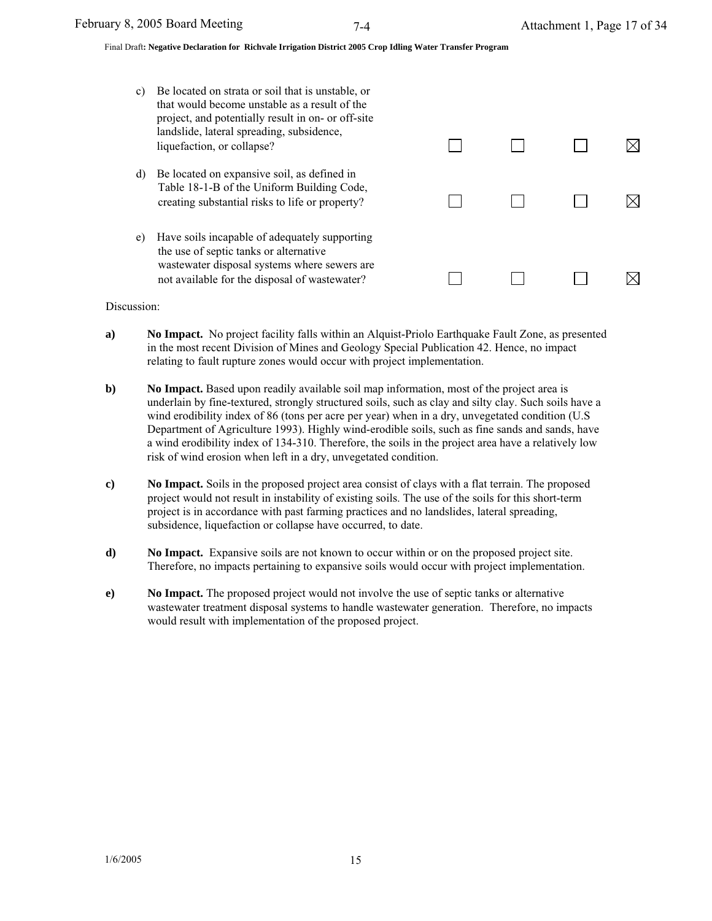- c) Be located on strata or soil that is unstable, or that would become unstable as a result of the project, and potentially result in on- or off-site landslide, lateral spreading, subsidence, liquefaction, or collapse?
- d) Be located on expansive soil, as defined in Table 18-1-B of the Uniform Building Code, creating substantial risks to life or property?
- e) Have soils incapable of adequately supporting the use of septic tanks or alternative wastewater disposal systems where sewers are not available for the disposal of wastewater?

|              | $\Box$            | $\Box$ | $\times$          |
|--------------|-------------------|--------|-------------------|
| $\Box$       | $\Box$ and $\Box$ | $\Box$ | $\bar{\boxtimes}$ |
| $\mathbb{F}$ | $\Box$            | $\Box$ |                   |

## Discussion:

- **a)** No Impact. No project facility falls within an Alquist-Priolo Earthquake Fault Zone, as presented in the most recent Division of Mines and Geology Special Publication 42. Hence, no impact relating to fault rupture zones would occur with project implementation.
- **b)** No Impact. Based upon readily available soil map information, most of the project area is underlain by fine-textured, strongly structured soils, such as clay and silty clay. Such soils have a wind erodibility index of 86 (tons per acre per year) when in a dry, unvegetated condition (U.S Department of Agriculture 1993). Highly wind-erodible soils, such as fine sands and sands, have a wind erodibility index of 134-310. Therefore, the soils in the project area have a relatively low risk of wind erosion when left in a dry, unvegetated condition.
- **c) No Impact.** Soils in the proposed project area consist of clays with a flat terrain. The proposed project would not result in instability of existing soils. The use of the soils for this short-term project is in accordance with past farming practices and no landslides, lateral spreading, subsidence, liquefaction or collapse have occurred, to date.
- **d) No Impact.** Expansive soils are not known to occur within or on the proposed project site. Therefore, no impacts pertaining to expansive soils would occur with project implementation.
- **e) No Impact.** The proposed project would not involve the use of septic tanks or alternative wastewater treatment disposal systems to handle wastewater generation. Therefore, no impacts would result with implementation of the proposed project.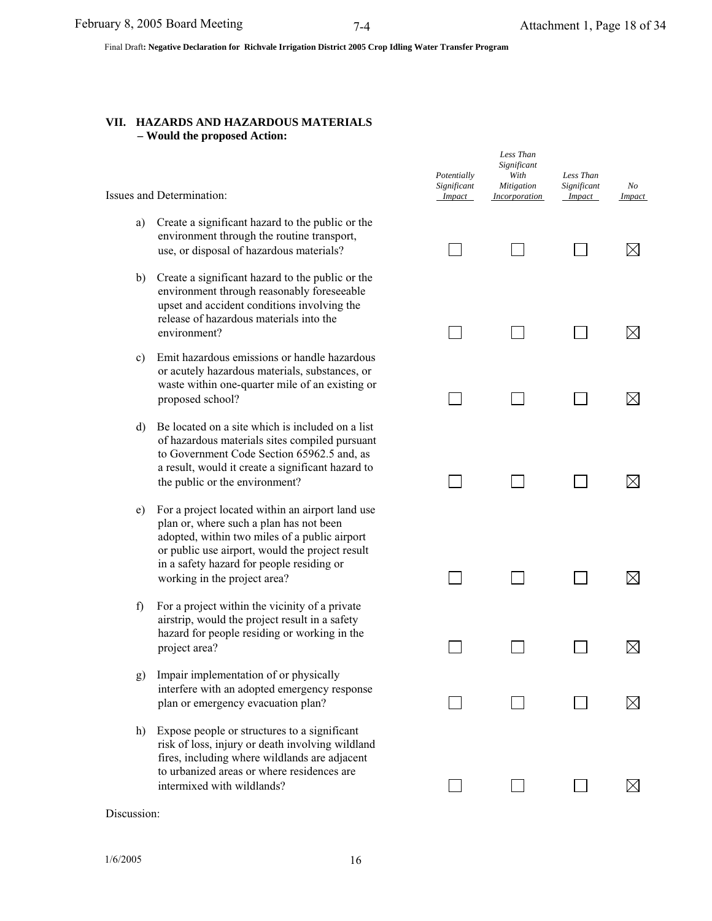## **VII. HAZARDS AND HAZARDOUS MATERIALS – Would the proposed Action:**

- a) Create a significant hazard to the public or the environment through the routine transport, use, or disposal of hazardous materials?
- b) Create a significant hazard to the public or the environment through reasonably foreseeable upset and accident conditions involving the release of hazardous materials into the environment?
- c) Emit hazardous emissions or handle hazardous or acutely hazardous materials, substances, or waste within one-quarter mile of an existing or proposed school?
- d) Be located on a site which is included on a list of hazardous materials sites compiled pursuant to Government Code Section 65962.5 and, as a result, would it create a significant hazard to the public or the environment?
- e) For a project located within an airport land use plan or, where such a plan has not been adopted, within two miles of a public airport or public use airport, would the project result in a safety hazard for people residing or working in the project area?
- f) For a project within the vicinity of a private airstrip, would the project result in a safety hazard for people residing or working in the project area?
- g) Impair implementation of or physically interfere with an adopted emergency response plan or emergency evacuation plan?
- h) Expose people or structures to a significant risk of loss, injury or death involving wildland fires, including where wildlands are adjacent to urbanized areas or where residences are intermixed with wildlands?

Discussion:

|              | Issues and Determination:                                                                                                                                                                                                                                                    | Potentially<br>Significant<br><i>Impact</i> | Less Than<br>Significant<br>With<br>Mitigation<br>Incorporation | Less Than<br>Significant<br><i>Impact</i> | N <sub>O</sub><br><i>Impact</i> |
|--------------|------------------------------------------------------------------------------------------------------------------------------------------------------------------------------------------------------------------------------------------------------------------------------|---------------------------------------------|-----------------------------------------------------------------|-------------------------------------------|---------------------------------|
| a)           | Create a significant hazard to the public or the<br>environment through the routine transport,<br>use, or disposal of hazardous materials?                                                                                                                                   |                                             |                                                                 |                                           |                                 |
| b)           | Create a significant hazard to the public or the<br>environment through reasonably foreseeable<br>upset and accident conditions involving the<br>release of hazardous materials into the<br>environment?                                                                     |                                             |                                                                 |                                           |                                 |
| c)           | Emit hazardous emissions or handle hazardous<br>or acutely hazardous materials, substances, or<br>waste within one-quarter mile of an existing or<br>proposed school?                                                                                                        |                                             |                                                                 |                                           |                                 |
| d)           | Be located on a site which is included on a list<br>of hazardous materials sites compiled pursuant<br>to Government Code Section 65962.5 and, as<br>a result, would it create a significant hazard to<br>the public or the environment?                                      |                                             |                                                                 |                                           |                                 |
| e)           | For a project located within an airport land use<br>plan or, where such a plan has not been<br>adopted, within two miles of a public airport<br>or public use airport, would the project result<br>in a safety hazard for people residing or<br>working in the project area? |                                             |                                                                 |                                           |                                 |
| $\mathbf{f}$ | For a project within the vicinity of a private<br>airstrip, would the project result in a safety<br>hazard for people residing or working in the<br>project area?                                                                                                            |                                             |                                                                 |                                           |                                 |
| g)           | Impair implementation of or physically<br>interfere with an adopted emergency response<br>plan or emergency evacuation plan?                                                                                                                                                 |                                             |                                                                 |                                           |                                 |
| h)           | Expose people or structures to a significant<br>risk of loss, injury or death involving wildland<br>fires, including where wildlands are adjacent<br>to urbanized areas or where residences are<br>intermixed with wildlands?                                                |                                             |                                                                 |                                           |                                 |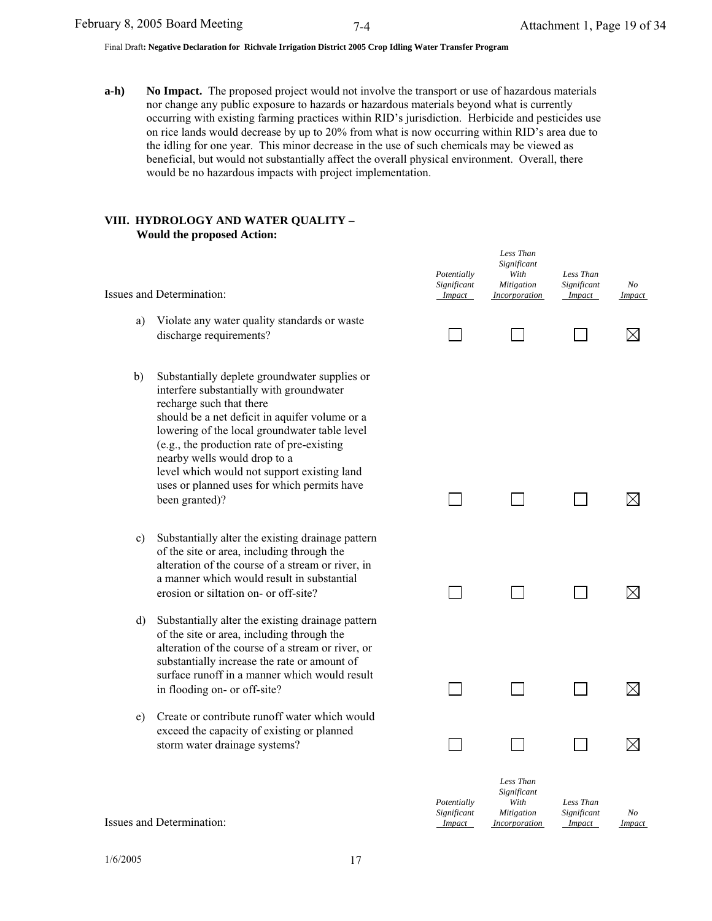**a-h)** No Impact. The proposed project would not involve the transport or use of hazardous materials nor change any public exposure to hazards or hazardous materials beyond what is currently occurring with existing farming practices within RID's jurisdiction. Herbicide and pesticides use on rice lands would decrease by up to 20% from what is now occurring within RID's area due to the idling for one year. This minor decrease in the use of such chemicals may be viewed as beneficial, but would not substantially affect the overall physical environment. Overall, there would be no hazardous impacts with project implementation.

## **VIII. HYDROLOGY AND WATER QUALITY – Would the proposed Action:**

|    | Issues and Determination:                                                                                                                                                                                                                                                                                                                                                                                              | Potentially<br>Significant<br><i>Impact</i> | Less Than<br>Significant<br>With<br>Mitigation<br>Incorporation | Less Than<br>Significant<br><i>Impact</i> | $N_{O}$<br><i>Impact</i> |
|----|------------------------------------------------------------------------------------------------------------------------------------------------------------------------------------------------------------------------------------------------------------------------------------------------------------------------------------------------------------------------------------------------------------------------|---------------------------------------------|-----------------------------------------------------------------|-------------------------------------------|--------------------------|
| a) | Violate any water quality standards or waste<br>discharge requirements?                                                                                                                                                                                                                                                                                                                                                |                                             |                                                                 |                                           |                          |
| b) | Substantially deplete groundwater supplies or<br>interfere substantially with groundwater<br>recharge such that there<br>should be a net deficit in aquifer volume or a<br>lowering of the local groundwater table level<br>(e.g., the production rate of pre-existing<br>nearby wells would drop to a<br>level which would not support existing land<br>uses or planned uses for which permits have<br>been granted)? |                                             |                                                                 |                                           |                          |
| c) | Substantially alter the existing drainage pattern<br>of the site or area, including through the<br>alteration of the course of a stream or river, in<br>a manner which would result in substantial<br>erosion or siltation on- or off-site?                                                                                                                                                                            |                                             |                                                                 |                                           |                          |
| d) | Substantially alter the existing drainage pattern<br>of the site or area, including through the<br>alteration of the course of a stream or river, or<br>substantially increase the rate or amount of<br>surface runoff in a manner which would result<br>in flooding on- or off-site?                                                                                                                                  |                                             |                                                                 |                                           |                          |
| e) | Create or contribute runoff water which would<br>exceed the capacity of existing or planned<br>storm water drainage systems?                                                                                                                                                                                                                                                                                           |                                             |                                                                 |                                           |                          |
|    | Issues and Determination:                                                                                                                                                                                                                                                                                                                                                                                              | Potentially<br>Significant<br><i>Impact</i> | Less Than<br>Significant<br>With<br>Mitigation<br>Incorporation | Less Than<br>Significant<br><i>Impact</i> | No<br><i>Impact</i>      |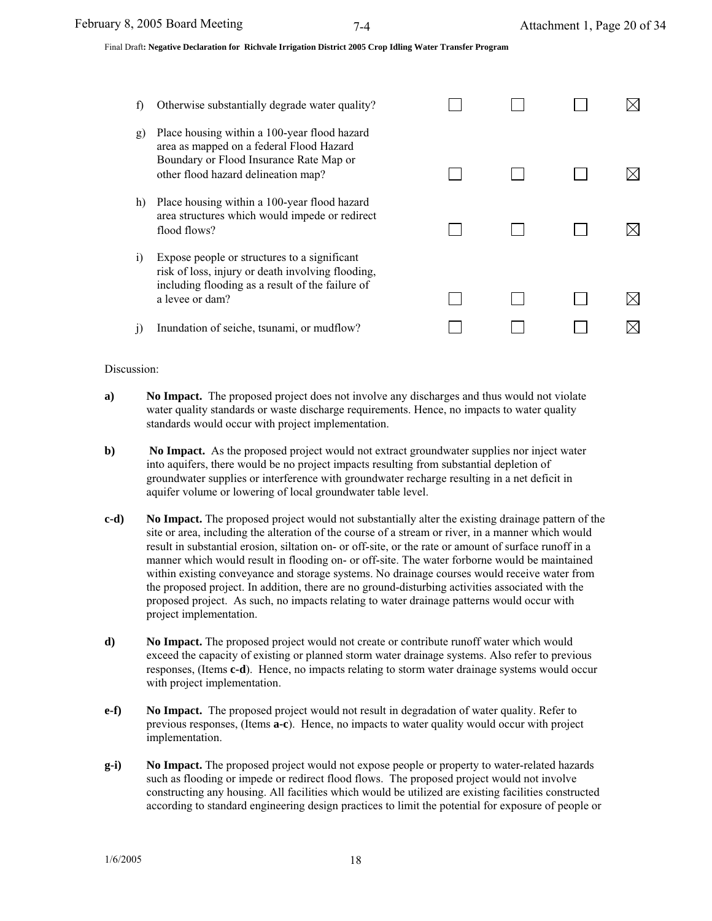| f         | Otherwise substantially degrade water quality?                                                                                                                             |  |  |
|-----------|----------------------------------------------------------------------------------------------------------------------------------------------------------------------------|--|--|
| g)        | Place housing within a 100-year flood hazard<br>area as mapped on a federal Flood Hazard<br>Boundary or Flood Insurance Rate Map or<br>other flood hazard delineation map? |  |  |
| h)        | Place housing within a 100-year flood hazard<br>area structures which would impede or redirect<br>flood flows?                                                             |  |  |
| $\bf{1)}$ | Expose people or structures to a significant<br>risk of loss, injury or death involving flooding,<br>including flooding as a result of the failure of<br>a levee or dam?   |  |  |
| $_{1}$    | Inundation of seiche, tsunami, or mudflow?                                                                                                                                 |  |  |
|           |                                                                                                                                                                            |  |  |

## Discussion:

- **a)** No Impact. The proposed project does not involve any discharges and thus would not violate water quality standards or waste discharge requirements. Hence, no impacts to water quality standards would occur with project implementation.
- **b) No Impact.** As the proposed project would not extract groundwater supplies nor inject water into aquifers, there would be no project impacts resulting from substantial depletion of groundwater supplies or interference with groundwater recharge resulting in a net deficit in aquifer volume or lowering of local groundwater table level.
- **c-d) No Impact.** The proposed project would not substantially alter the existing drainage pattern of the site or area, including the alteration of the course of a stream or river, in a manner which would result in substantial erosion, siltation on- or off-site, or the rate or amount of surface runoff in a manner which would result in flooding on- or off-site. The water forborne would be maintained within existing conveyance and storage systems. No drainage courses would receive water from the proposed project. In addition, there are no ground-disturbing activities associated with the proposed project. As such, no impacts relating to water drainage patterns would occur with project implementation.
- **d)** No Impact. The proposed project would not create or contribute runoff water which would exceed the capacity of existing or planned storm water drainage systems. Also refer to previous responses, (Items **c-d**). Hence, no impacts relating to storm water drainage systems would occur with project implementation.
- **e-f) No Impact.** The proposed project would not result in degradation of water quality. Refer to previous responses, (Items **a-c**). Hence, no impacts to water quality would occur with project implementation.
- **g-i) No Impact.** The proposed project would not expose people or property to water-related hazards such as flooding or impede or redirect flood flows. The proposed project would not involve constructing any housing. All facilities which would be utilized are existing facilities constructed according to standard engineering design practices to limit the potential for exposure of people or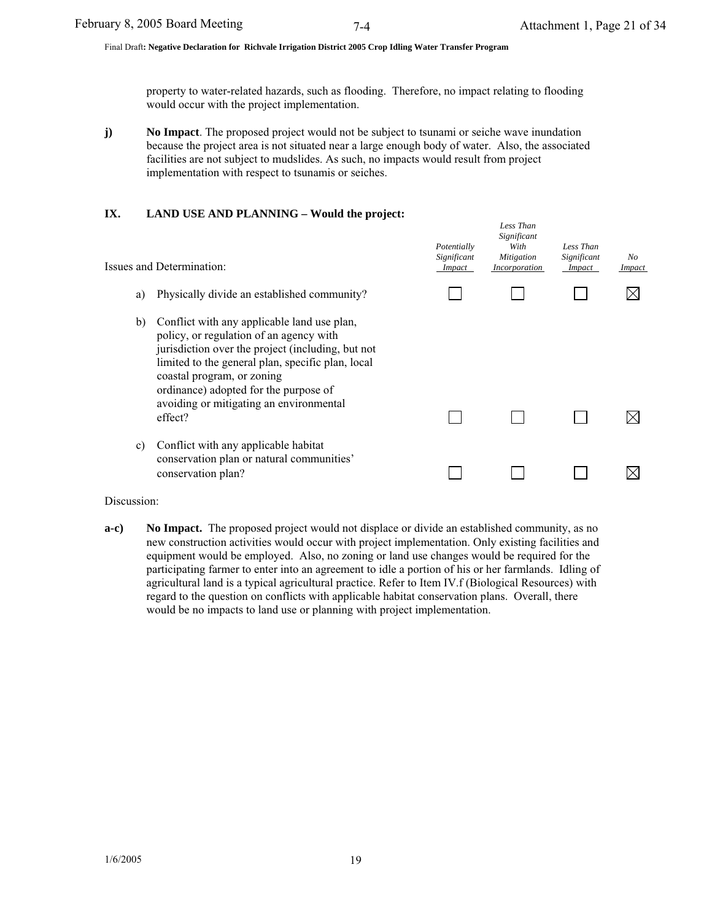property to water-related hazards, such as flooding. Therefore, no impact relating to flooding would occur with the project implementation.

**j**) No Impact. The proposed project would not be subject to tsunami or seiche wave inundation because the project area is not situated near a large enough body of water. Also, the associated facilities are not subject to mudslides. As such, no impacts would result from project implementation with respect to tsunamis or seiches.

## **IX. LAND USE AND PLANNING – Would the project:**

|    | <b>Issues and Determination:</b>                                                                                                                                                                                                                                                                                              | Potentially<br>Significant<br><i>Impact</i> | Less Than<br>Significant<br>With<br><b>Mitigation</b><br>Incorporation | Less Than<br>Significant<br><i>Impact</i> | No<br>Impact |
|----|-------------------------------------------------------------------------------------------------------------------------------------------------------------------------------------------------------------------------------------------------------------------------------------------------------------------------------|---------------------------------------------|------------------------------------------------------------------------|-------------------------------------------|--------------|
| a) | Physically divide an established community?                                                                                                                                                                                                                                                                                   |                                             |                                                                        |                                           |              |
| b) | Conflict with any applicable land use plan,<br>policy, or regulation of an agency with<br>jurisdiction over the project (including, but not<br>limited to the general plan, specific plan, local<br>coastal program, or zoning<br>ordinance) adopted for the purpose of<br>avoiding or mitigating an environmental<br>effect? |                                             |                                                                        |                                           |              |
| C) | Conflict with any applicable habitat<br>conservation plan or natural communities'<br>conservation plan?                                                                                                                                                                                                                       |                                             |                                                                        |                                           |              |

## Discussion:

**a-c)** No Impact. The proposed project would not displace or divide an established community, as no new construction activities would occur with project implementation. Only existing facilities and equipment would be employed. Also, no zoning or land use changes would be required for the participating farmer to enter into an agreement to idle a portion of his or her farmlands. Idling of agricultural land is a typical agricultural practice. Refer to Item IV.f (Biological Resources) with regard to the question on conflicts with applicable habitat conservation plans. Overall, there would be no impacts to land use or planning with project implementation.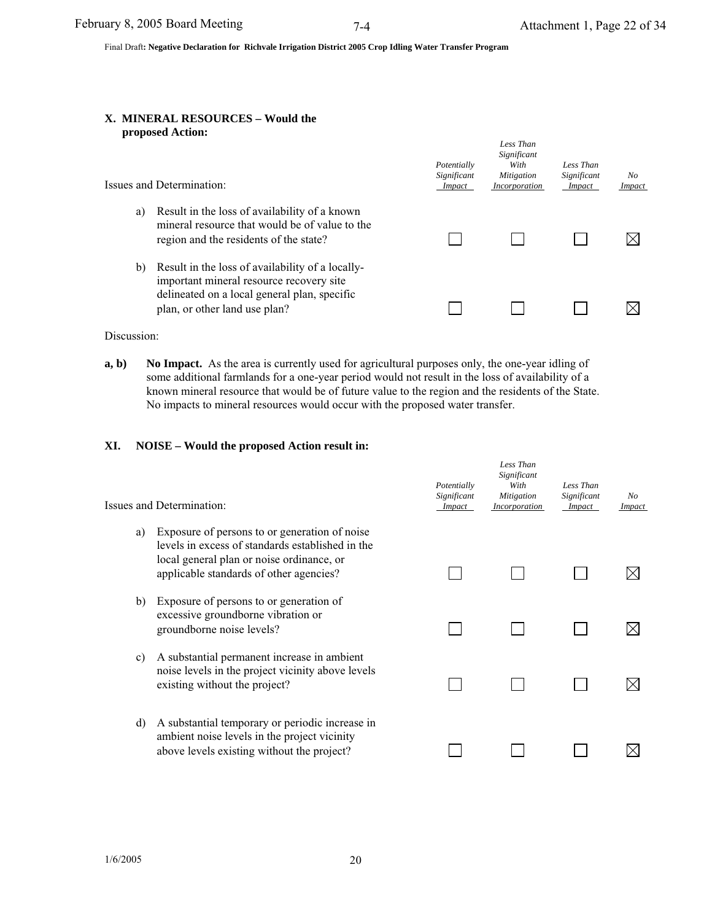# **X. MINERAL RESOURCES – Would the**

| Potentially<br>Significant<br><i>Impact</i> | Less Than<br>Significant<br>With<br><i>Mitigation</i><br>Incorporation | Less Than<br>Significant<br><i>Impact</i> | No<br>Impact |
|---------------------------------------------|------------------------------------------------------------------------|-------------------------------------------|--------------|
|                                             |                                                                        |                                           |              |
|                                             |                                                                        |                                           |              |
|                                             | mineral resource that would be of value to the                         |                                           |              |

## Discussion:

**a, b) No Impact.** As the area is currently used for agricultural purposes only, the one-year idling of some additional farmlands for a one-year period would not result in the loss of availability of a known mineral resource that would be of future value to the region and the residents of the State. No impacts to mineral resources would occur with the proposed water transfer.

## **XI. NOISE – Would the proposed Action result in:**

|    | <b>Issues and Determination:</b>                                                                                                                                                          | Potentially<br>Significant<br><i>Impact</i> | Less Than<br>Significant<br>With<br><i>Mitigation</i><br>Incorporation | Less Than<br>Significant<br><i>Impact</i> | No<br><i>Impact</i> |
|----|-------------------------------------------------------------------------------------------------------------------------------------------------------------------------------------------|---------------------------------------------|------------------------------------------------------------------------|-------------------------------------------|---------------------|
| a) | Exposure of persons to or generation of noise<br>levels in excess of standards established in the<br>local general plan or noise ordinance, or<br>applicable standards of other agencies? |                                             |                                                                        |                                           |                     |
| b) | Exposure of persons to or generation of<br>excessive groundborne vibration or<br>groundborne noise levels?                                                                                |                                             |                                                                        |                                           |                     |
| C) | A substantial permanent increase in ambient<br>noise levels in the project vicinity above levels<br>existing without the project?                                                         |                                             |                                                                        |                                           |                     |
| d) | A substantial temporary or periodic increase in<br>ambient noise levels in the project vicinity<br>above levels existing without the project?                                             |                                             |                                                                        |                                           |                     |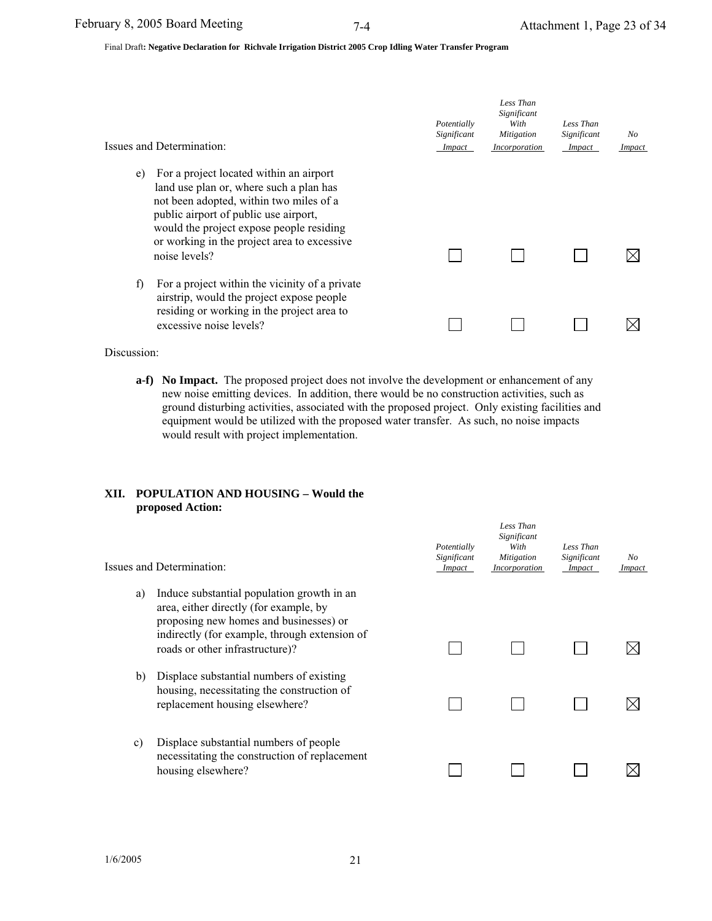| Issues and Determination: |                                                                                                                                                                                                                                                                                    | Potentially<br>Significant<br><i>Impact</i> | Less Than<br>Significant<br>With<br><b>Mitigation</b><br>Incorporation | Less Than<br>Significant<br><i>Impact</i> | No<br>Impact |
|---------------------------|------------------------------------------------------------------------------------------------------------------------------------------------------------------------------------------------------------------------------------------------------------------------------------|---------------------------------------------|------------------------------------------------------------------------|-------------------------------------------|--------------|
| e)                        | For a project located within an airport<br>land use plan or, where such a plan has<br>not been adopted, within two miles of a<br>public airport of public use airport,<br>would the project expose people residing<br>or working in the project area to excessive<br>noise levels? |                                             |                                                                        |                                           |              |
| f)                        | For a project within the vicinity of a private<br>airstrip, would the project expose people<br>residing or working in the project area to<br>excessive noise levels?                                                                                                               |                                             |                                                                        |                                           |              |

## Discussion:

**a-f)** No Impact. The proposed project does not involve the development or enhancement of any new noise emitting devices. In addition, there would be no construction activities, such as ground disturbing activities, associated with the proposed project. Only existing facilities and equipment would be utilized with the proposed water transfer. As such, no noise impacts would result with project implementation.

## **XII. POPULATION AND HOUSING – Would the proposed Action:**

|    | <b>Issues and Determination:</b>                                                                                                                                                                                   | Potentially<br>Significant<br>Impact | Less Than<br>Significant<br>With<br>Mitigation<br>Incorporation | Less Than<br>Significant<br><i>Impact</i> | No<br>Impact |
|----|--------------------------------------------------------------------------------------------------------------------------------------------------------------------------------------------------------------------|--------------------------------------|-----------------------------------------------------------------|-------------------------------------------|--------------|
| a) | Induce substantial population growth in an<br>area, either directly (for example, by<br>proposing new homes and businesses) or<br>indirectly (for example, through extension of<br>roads or other infrastructure)? |                                      |                                                                 |                                           |              |
| b) | Displace substantial numbers of existing<br>housing, necessitating the construction of<br>replacement housing elsewhere?                                                                                           |                                      |                                                                 |                                           |              |
| c) | Displace substantial numbers of people<br>necessitating the construction of replacement<br>housing elsewhere?                                                                                                      |                                      |                                                                 |                                           |              |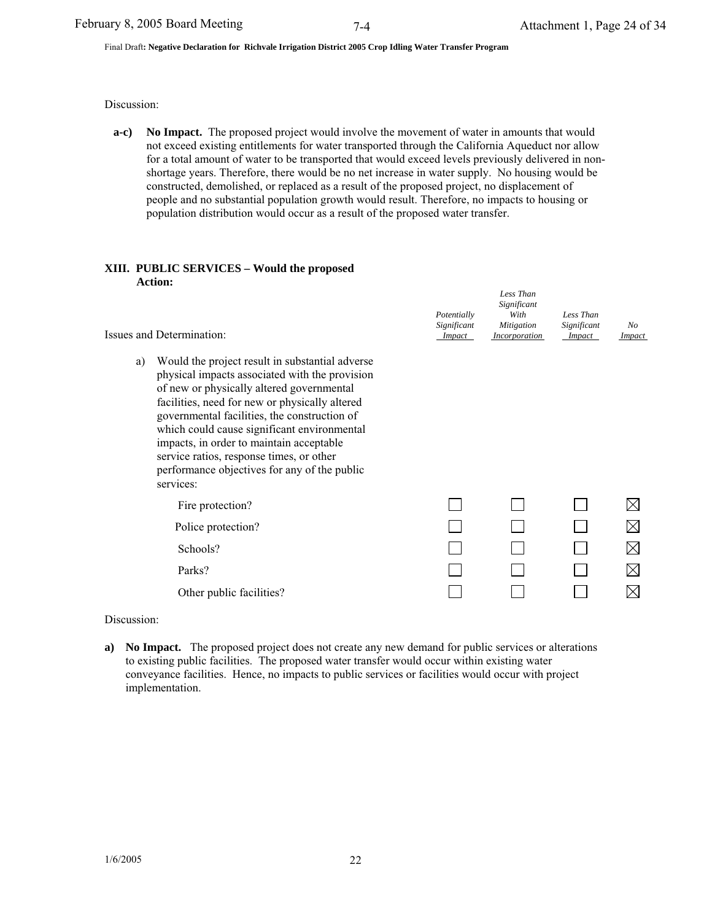## Discussion:

**a-c)** No Impact. The proposed project would involve the movement of water in amounts that would not exceed existing entitlements for water transported through the California Aqueduct nor allow for a total amount of water to be transported that would exceed levels previously delivered in nonshortage years. Therefore, there would be no net increase in water supply. No housing would be constructed, demolished, or replaced as a result of the proposed project, no displacement of people and no substantial population growth would result. Therefore, no impacts to housing or population distribution would occur as a result of the proposed water transfer.

## **XIII. PUBLIC SERVICES – Would the proposed Action:**

|    | Issues and Determination:                                                                                                                                                                                                                                                                                                                                                                                                                            | Potentially<br>Significant<br><i>Impact</i> | Less Than<br>Significant<br>With<br>Mitigation<br>Incorporation | Less Than<br>Significant<br><i>Impact</i> | N <sub>O</sub><br><i>Impact</i> |
|----|------------------------------------------------------------------------------------------------------------------------------------------------------------------------------------------------------------------------------------------------------------------------------------------------------------------------------------------------------------------------------------------------------------------------------------------------------|---------------------------------------------|-----------------------------------------------------------------|-------------------------------------------|---------------------------------|
| a) | Would the project result in substantial adverse<br>physical impacts associated with the provision<br>of new or physically altered governmental<br>facilities, need for new or physically altered<br>governmental facilities, the construction of<br>which could cause significant environmental<br>impacts, in order to maintain acceptable<br>service ratios, response times, or other<br>performance objectives for any of the public<br>services: |                                             |                                                                 |                                           |                                 |
|    | Fire protection?                                                                                                                                                                                                                                                                                                                                                                                                                                     |                                             |                                                                 |                                           | M                               |
|    | Police protection?                                                                                                                                                                                                                                                                                                                                                                                                                                   |                                             |                                                                 |                                           |                                 |
|    | Schools?                                                                                                                                                                                                                                                                                                                                                                                                                                             |                                             |                                                                 |                                           |                                 |
|    | Parks?                                                                                                                                                                                                                                                                                                                                                                                                                                               |                                             |                                                                 |                                           |                                 |
|    | Other public facilities?                                                                                                                                                                                                                                                                                                                                                                                                                             |                                             |                                                                 |                                           |                                 |
|    |                                                                                                                                                                                                                                                                                                                                                                                                                                                      |                                             |                                                                 |                                           |                                 |

Discussion:

**a) No Impact.** The proposed project does not create any new demand for public services or alterations to existing public facilities. The proposed water transfer would occur within existing water conveyance facilities. Hence, no impacts to public services or facilities would occur with project implementation.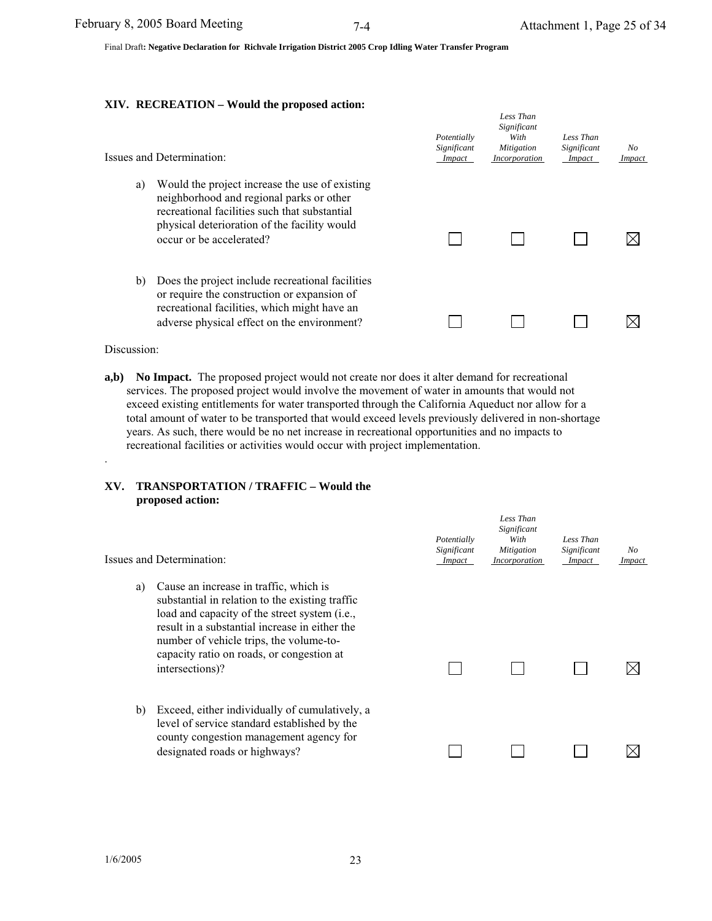## **XIV. RECREATION – Would the proposed action:**

| Issues and Determination:                                                                                                                                                                                                     | Potentially<br>Significant<br><i>Impact</i> | Less Than<br>Significant<br>With<br><i>Mitigation</i><br>Incorporation | Less Than<br>Significant<br><i>Impact</i> | No<br>Impact |
|-------------------------------------------------------------------------------------------------------------------------------------------------------------------------------------------------------------------------------|---------------------------------------------|------------------------------------------------------------------------|-------------------------------------------|--------------|
| Would the project increase the use of existing<br>a)<br>neighborhood and regional parks or other<br>recreational facilities such that substantial<br>physical deterioration of the facility would<br>occur or be accelerated? |                                             |                                                                        |                                           |              |
| b)<br>Does the project include recreational facilities<br>or require the construction or expansion of<br>recreational facilities, which might have an<br>adverse physical effect on the environment?                          |                                             |                                                                        |                                           |              |

## Discussion:

.

**a,b)** No Impact. The proposed project would not create nor does it alter demand for recreational services. The proposed project would involve the movement of water in amounts that would not exceed existing entitlements for water transported through the California Aqueduct nor allow for a total amount of water to be transported that would exceed levels previously delivered in non-shortage years. As such, there would be no net increase in recreational opportunities and no impacts to recreational facilities or activities would occur with project implementation.

## **XV. TRANSPORTATION / TRAFFIC – Would the proposed action:**

|    | Issues and Determination:                                                                                                                                                                                                                                                                               | Potentially<br>Significant<br><i>Impact</i> | Less Than<br>Significant<br>With<br><i>Mitigation</i><br>Incorporation | Less Than<br>Significant<br><i>Impact</i> | No<br>Impact |
|----|---------------------------------------------------------------------------------------------------------------------------------------------------------------------------------------------------------------------------------------------------------------------------------------------------------|---------------------------------------------|------------------------------------------------------------------------|-------------------------------------------|--------------|
| a) | Cause an increase in traffic, which is<br>substantial in relation to the existing traffic<br>load and capacity of the street system (i.e.,<br>result in a substantial increase in either the<br>number of vehicle trips, the volume-to-<br>capacity ratio on roads, or congestion at<br>intersections)? |                                             |                                                                        |                                           |              |
| b) | Exceed, either individually of cumulatively, a<br>level of service standard established by the<br>county congestion management agency for<br>designated roads or highways?                                                                                                                              |                                             |                                                                        |                                           |              |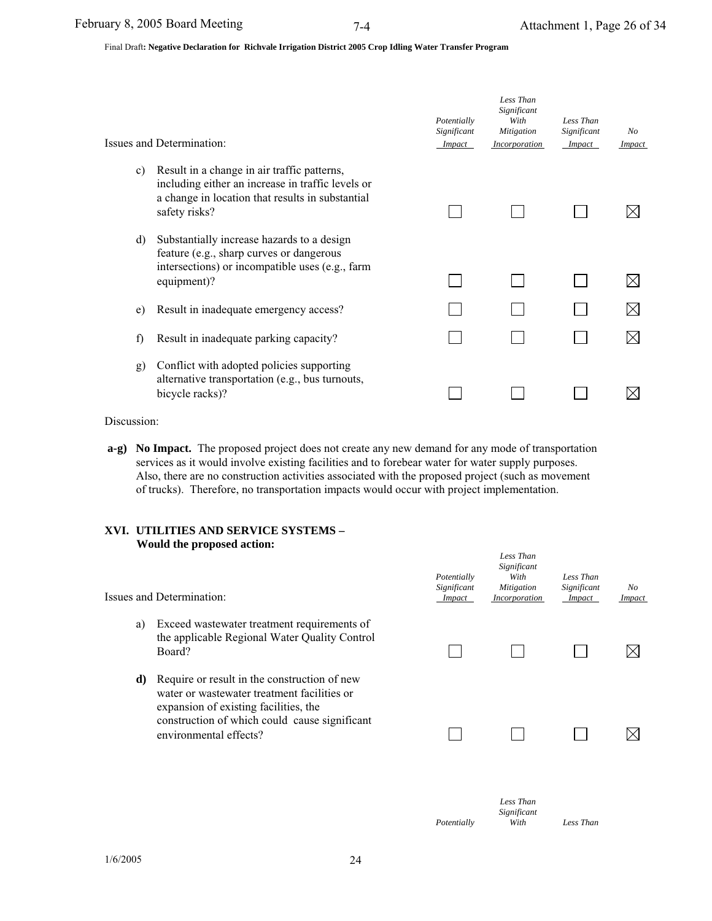|    | <b>Issues and Determination:</b>                                                                                                                                      | Potentially<br>Significant | Less Than<br>Significant<br>With<br>Mitigation | Less Than<br>Significant | No            |
|----|-----------------------------------------------------------------------------------------------------------------------------------------------------------------------|----------------------------|------------------------------------------------|--------------------------|---------------|
|    |                                                                                                                                                                       | <i>Impact</i>              | Incorporation                                  | <i>Impact</i>            | <i>Impact</i> |
| c) | Result in a change in air traffic patterns,<br>including either an increase in traffic levels or<br>a change in location that results in substantial<br>safety risks? |                            |                                                |                          |               |
| d) | Substantially increase hazards to a design<br>feature (e.g., sharp curves or dangerous<br>intersections) or incompatible uses (e.g., farm<br>equipment)?              |                            |                                                |                          |               |
| e) | Result in inadequate emergency access?                                                                                                                                |                            |                                                |                          |               |
| f) | Result in inadequate parking capacity?                                                                                                                                |                            |                                                |                          |               |
| g) | Conflict with adopted policies supporting<br>alternative transportation (e.g., bus turnouts,<br>bicycle racks)?                                                       |                            |                                                |                          |               |

## Discussion:

**a-g)** No Impact. The proposed project does not create any new demand for any mode of transportation services as it would involve existing facilities and to forebear water for water supply purposes. Also, there are no construction activities associated with the proposed project (such as movement of trucks). Therefore, no transportation impacts would occur with project implementation.

# **XVI. UTILITIES AND SERVICE SYSTEMS – Would the proposed action:** *Less Than*

|    | Issues and Determination:                                                                                                                                                                                       | Potentially<br>Significant<br><i>Impact</i> | Significant<br>With<br><b>Mitigation</b><br>Incorporation | Less Than<br>Significant<br>Impact | No<br><i>Impact</i> |
|----|-----------------------------------------------------------------------------------------------------------------------------------------------------------------------------------------------------------------|---------------------------------------------|-----------------------------------------------------------|------------------------------------|---------------------|
| a) | Exceed wastewater treatment requirements of<br>the applicable Regional Water Quality Control<br>Board?                                                                                                          |                                             |                                                           |                                    |                     |
| d) | Require or result in the construction of new<br>water or wastewater treatment facilities or<br>expansion of existing facilities, the<br>construction of which could cause significant<br>environmental effects? |                                             |                                                           |                                    |                     |
|    |                                                                                                                                                                                                                 | Potentially                                 | Less Than<br>Significant<br>With                          | Less Than                          |                     |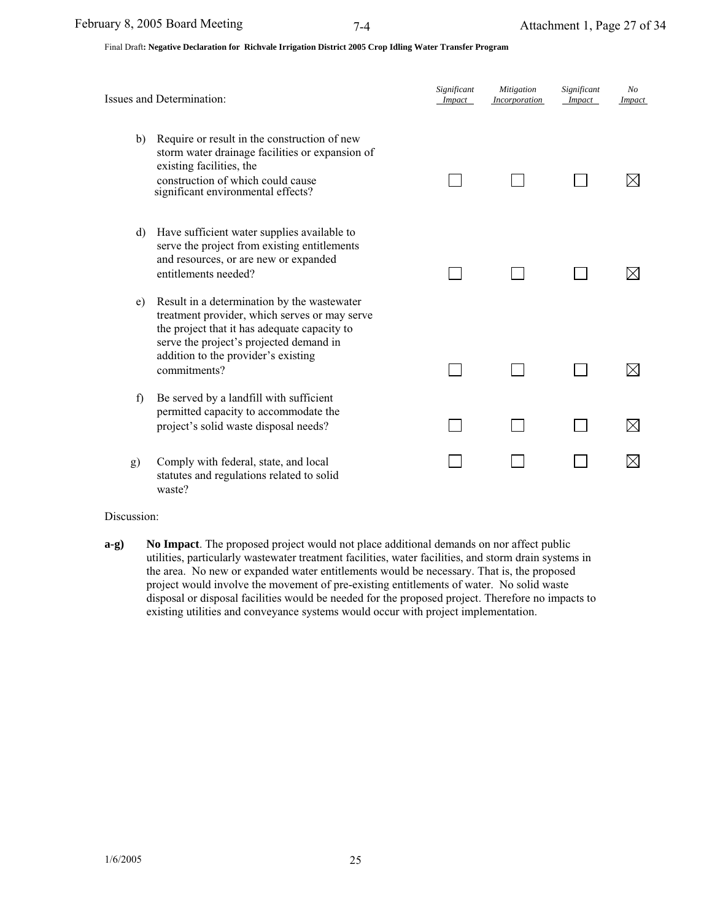## February 8, 2005 Board Meeting 7-4 Attachment 1, Page 27 of 34

#### Final Draft**: Negative Declaration for Richvale Irrigation District 2005 Crop Idling Water Transfer Program**

|    | <b>Issues and Determination:</b>                                                                                                                                                                                                               | Significant<br><i>Impact</i> | <b>Mitigation</b><br>Incorporation | Significant<br><i>Impact</i> | N <sub>O</sub><br>Impact |
|----|------------------------------------------------------------------------------------------------------------------------------------------------------------------------------------------------------------------------------------------------|------------------------------|------------------------------------|------------------------------|--------------------------|
| b) | Require or result in the construction of new<br>storm water drainage facilities or expansion of<br>existing facilities, the<br>construction of which could cause<br>significant environmental effects?                                         |                              |                                    |                              |                          |
| d) | Have sufficient water supplies available to<br>serve the project from existing entitlements<br>and resources, or are new or expanded<br>entitlements needed?                                                                                   |                              |                                    |                              |                          |
| e) | Result in a determination by the wastewater<br>treatment provider, which serves or may serve<br>the project that it has adequate capacity to<br>serve the project's projected demand in<br>addition to the provider's existing<br>commitments? |                              |                                    |                              |                          |
| f) | Be served by a landfill with sufficient<br>permitted capacity to accommodate the<br>project's solid waste disposal needs?                                                                                                                      |                              |                                    |                              |                          |
| g) | Comply with federal, state, and local<br>statutes and regulations related to solid<br>waste?                                                                                                                                                   |                              |                                    |                              |                          |

#### Discussion:

**a-g)** No Impact. The proposed project would not place additional demands on nor affect public utilities, particularly wastewater treatment facilities, water facilities, and storm drain systems in the area. No new or expanded water entitlements would be necessary. That is, the proposed project would involve the movement of pre-existing entitlements of water. No solid waste disposal or disposal facilities would be needed for the proposed project. Therefore no impacts to existing utilities and conveyance systems would occur with project implementation.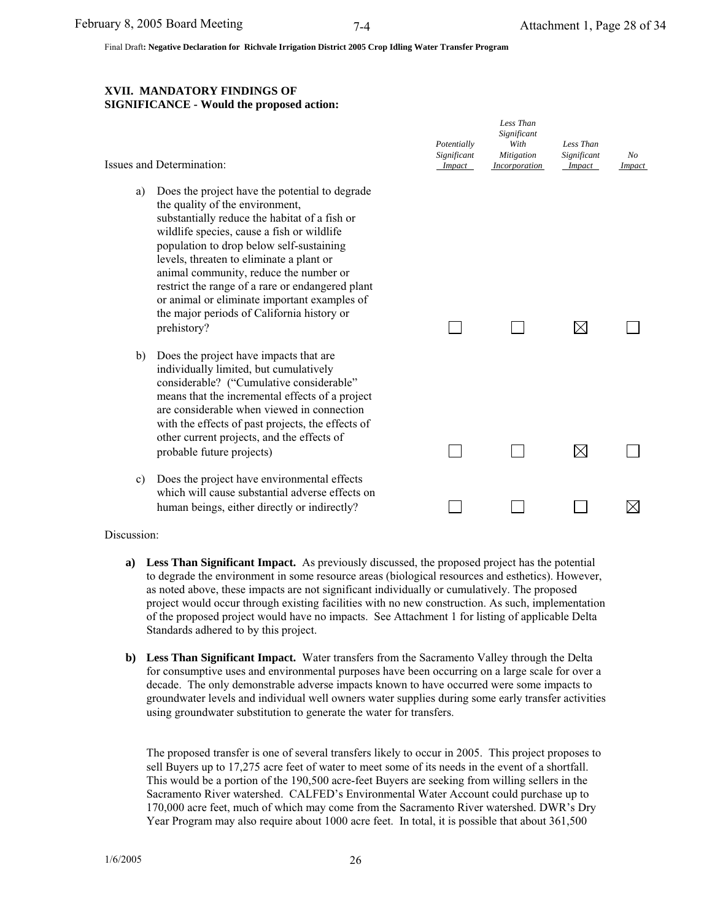## **XVII. MANDATORY FINDINGS OF SIGNIFICANCE - Would the proposed action:**

|                | Issues and Determination:                                                                                                                                                                                                                                                                                                                                                                                                                                                           | Potentially<br>Significant<br><i>Impact</i> | Less Than<br>Significant<br>With<br><b>Mitigation</b><br>Incorporation | Less Than<br>Significant<br><i>Impact</i> | N <sub>O</sub><br><i>Impact</i> |
|----------------|-------------------------------------------------------------------------------------------------------------------------------------------------------------------------------------------------------------------------------------------------------------------------------------------------------------------------------------------------------------------------------------------------------------------------------------------------------------------------------------|---------------------------------------------|------------------------------------------------------------------------|-------------------------------------------|---------------------------------|
| a)             | Does the project have the potential to degrade<br>the quality of the environment,<br>substantially reduce the habitat of a fish or<br>wildlife species, cause a fish or wildlife<br>population to drop below self-sustaining<br>levels, threaten to eliminate a plant or<br>animal community, reduce the number or<br>restrict the range of a rare or endangered plant<br>or animal or eliminate important examples of<br>the major periods of California history or<br>prehistory? |                                             |                                                                        |                                           |                                 |
| b)             | Does the project have impacts that are<br>individually limited, but cumulatively<br>considerable? ("Cumulative considerable"<br>means that the incremental effects of a project<br>are considerable when viewed in connection<br>with the effects of past projects, the effects of<br>other current projects, and the effects of<br>probable future projects)                                                                                                                       |                                             |                                                                        | M                                         |                                 |
| $\mathbf{c}$ ) | Does the project have environmental effects<br>which will cause substantial adverse effects on<br>human beings, either directly or indirectly?                                                                                                                                                                                                                                                                                                                                      |                                             |                                                                        |                                           |                                 |

## Discussion:

- **a) Less Than Significant Impact.** As previously discussed, the proposed project has the potential to degrade the environment in some resource areas (biological resources and esthetics). However, as noted above, these impacts are not significant individually or cumulatively. The proposed project would occur through existing facilities with no new construction. As such, implementation of the proposed project would have no impacts. See Attachment 1 for listing of applicable Delta Standards adhered to by this project.
- **b) Less Than Significant Impact.** Water transfers from the Sacramento Valley through the Delta for consumptive uses and environmental purposes have been occurring on a large scale for over a decade. The only demonstrable adverse impacts known to have occurred were some impacts to groundwater levels and individual well owners water supplies during some early transfer activities using groundwater substitution to generate the water for transfers.

The proposed transfer is one of several transfers likely to occur in 2005. This project proposes to sell Buyers up to 17,275 acre feet of water to meet some of its needs in the event of a shortfall. This would be a portion of the 190,500 acre-feet Buyers are seeking from willing sellers in the Sacramento River watershed. CALFED's Environmental Water Account could purchase up to 170,000 acre feet, much of which may come from the Sacramento River watershed. DWR's Dry Year Program may also require about 1000 acre feet. In total, it is possible that about 361,500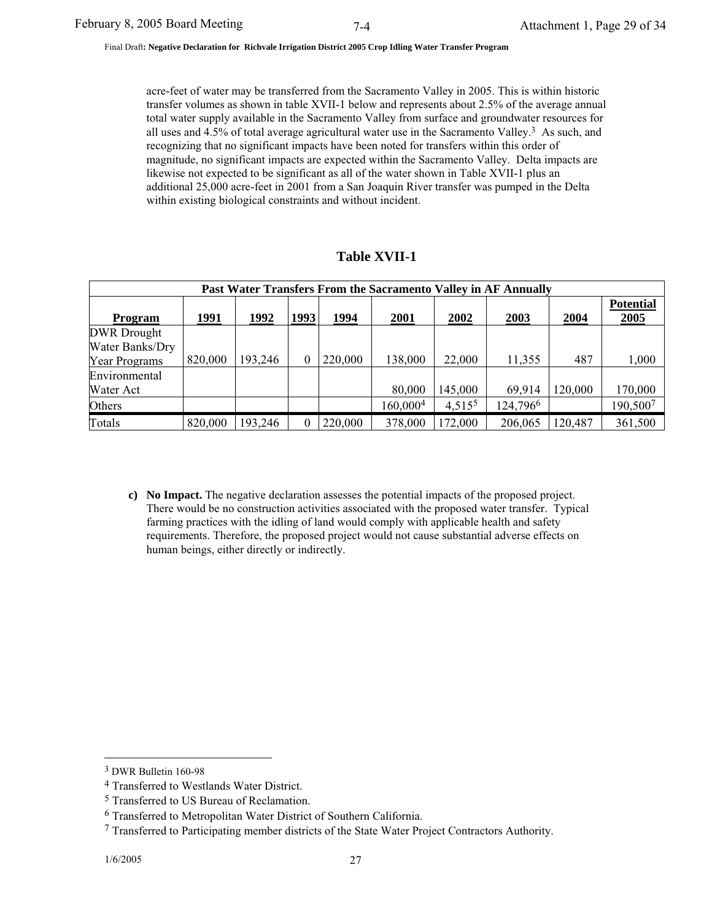acre-feet of water may be transferred from the Sacramento Valley in 2005. This is within historic transfer volumes as shown in table XVII-1 below and represents about 2.5% of the average annual total water supply available in the Sacramento Valley from surface and groundwater resources for all uses and 4.5% of total average agricultural water use in the Sacramento Valley.3 As such, and recognizing that no significant impacts have been noted for transfers within this order of magnitude, no significant impacts are expected within the Sacramento Valley. Delta impacts are likewise not expected to be significant as all of the water shown in Table XVII-1 plus an additional 25,000 acre-feet in 2001 from a San Joaquin River transfer was pumped in the Delta within existing biological constraints and without incident.

|  | <b>Table XVII-1</b> |
|--|---------------------|
|--|---------------------|

|                      |         |         |          |         |                      |                    | Past Water Transfers From the Sacramento Valley in AF Annually |         |                          |
|----------------------|---------|---------|----------|---------|----------------------|--------------------|----------------------------------------------------------------|---------|--------------------------|
| Program              | 1991    | 1992    | 1993     | 1994    | 2001                 | 2002               | 2003                                                           | 2004    | <b>Potential</b><br>2005 |
| <b>DWR</b> Drought   |         |         |          |         |                      |                    |                                                                |         |                          |
| Water Banks/Dry      |         |         |          |         |                      |                    |                                                                |         |                          |
| <b>Year Programs</b> | 820,000 | 193,246 | $\theta$ | 220,000 | 138,000              | 22,000             | 11,355                                                         | 487     | 1,000                    |
| Environmental        |         |         |          |         |                      |                    |                                                                |         |                          |
| Water Act            |         |         |          |         | 80,000               | 145,000            | 69.914                                                         | 120,000 | 170,000                  |
| Others               |         |         |          |         | 160,000 <sup>4</sup> | 4,515 <sup>5</sup> | 124,796 <sup>6</sup>                                           |         | 190,5007                 |
| Totals               | 820,000 | 193,246 | $\theta$ | 220,000 | 378,000              | 172,000            | 206,065                                                        | 120,487 | 361,500                  |

**c) No Impact.** The negative declaration assesses the potential impacts of the proposed project. There would be no construction activities associated with the proposed water transfer. Typical farming practices with the idling of land would comply with applicable health and safety requirements. Therefore, the proposed project would not cause substantial adverse effects on human beings, either directly or indirectly.

l

<sup>3</sup> DWR Bulletin 160-98

<sup>4</sup> Transferred to Westlands Water District.

<sup>5</sup> Transferred to US Bureau of Reclamation.

<sup>6</sup> Transferred to Metropolitan Water District of Southern California.

 $7$  Transferred to Participating member districts of the State Water Project Contractors Authority.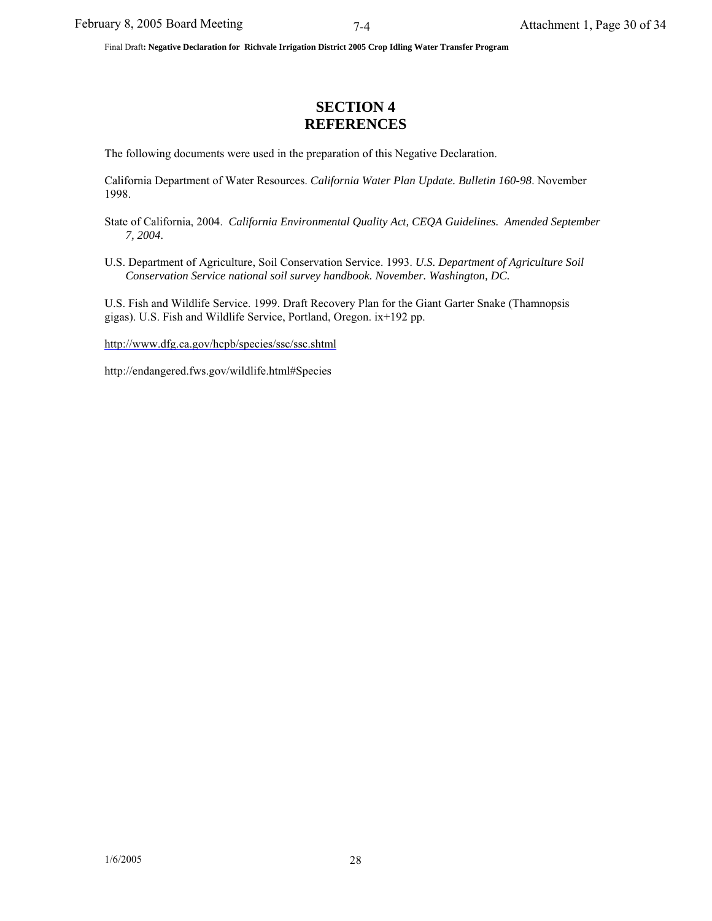# **SECTION 4 REFERENCES**

The following documents were used in the preparation of this Negative Declaration.

California Department of Water Resources. *California Water Plan Update. Bulletin 160-98*. November 1998.

- State of California, 2004. *California Environmental Quality Act, CEQA Guidelines. Amended September 7, 2004.*
- U.S. Department of Agriculture, Soil Conservation Service. 1993. *U.S. Department of Agriculture Soil Conservation Service national soil survey handbook. November. Washington, DC.*

U.S. Fish and Wildlife Service. 1999. Draft Recovery Plan for the Giant Garter Snake (Thamnopsis gigas). U.S. Fish and Wildlife Service, Portland, Oregon. ix+192 pp.

http://www.dfg.ca.gov/hcpb/species/ssc/ssc.shtml

http://endangered.fws.gov/wildlife.html#Species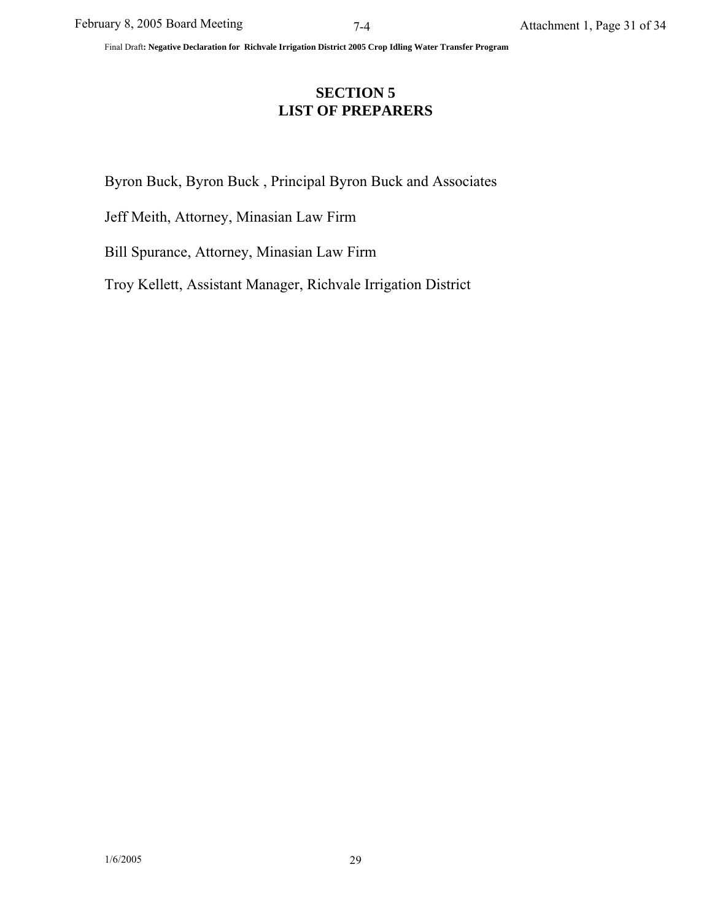# **SECTION 5 LIST OF PREPARERS**

Byron Buck, Byron Buck , Principal Byron Buck and Associates

Jeff Meith, Attorney, Minasian Law Firm

Bill Spurance, Attorney, Minasian Law Firm

Troy Kellett, Assistant Manager, Richvale Irrigation District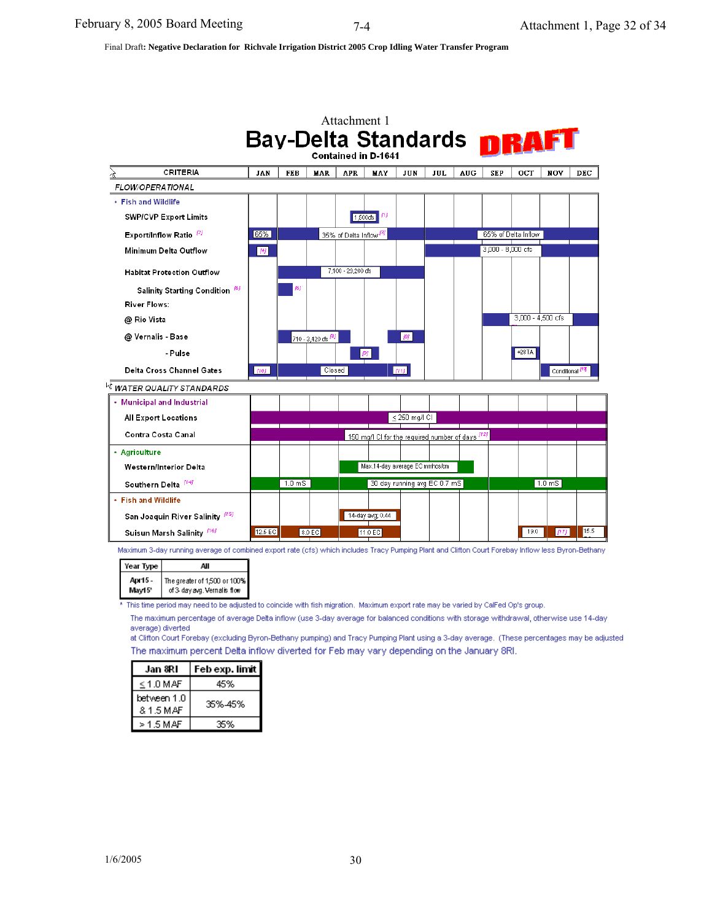Attachment 1

Final Draft**: Negative Declaration for Richvale Irrigation District 2005 Crop Idling Water Transfer Program**

|                                                 | <b>Bay-Delta Standards</b>                                                                                                                                                                                                                                                                                                                                                                                                                                                                                                                                                                            |                    |                 |                                  | <b>Contained in D-1641</b>                       |                              |            |            |                   |                     |                          |            |
|-------------------------------------------------|-------------------------------------------------------------------------------------------------------------------------------------------------------------------------------------------------------------------------------------------------------------------------------------------------------------------------------------------------------------------------------------------------------------------------------------------------------------------------------------------------------------------------------------------------------------------------------------------------------|--------------------|-----------------|----------------------------------|--------------------------------------------------|------------------------------|------------|------------|-------------------|---------------------|--------------------------|------------|
| <b>CRITERIA</b>                                 | <b>JAN</b>                                                                                                                                                                                                                                                                                                                                                                                                                                                                                                                                                                                            | <b>FEB</b>         | <b>MAR</b>      | <b>APR</b>                       | MAY                                              | <b>JUN</b>                   | <b>JUL</b> | <b>AUG</b> | <b>SEP</b>        | 0CT                 | <b>NOV</b>               | <b>DEC</b> |
| <b>FLOW/OPERATIONAL</b>                         |                                                                                                                                                                                                                                                                                                                                                                                                                                                                                                                                                                                                       |                    |                 |                                  |                                                  |                              |            |            |                   |                     |                          |            |
| • Fish and Wildlife                             |                                                                                                                                                                                                                                                                                                                                                                                                                                                                                                                                                                                                       |                    |                 |                                  |                                                  |                              |            |            |                   |                     |                          |            |
| <b>SWP/CVP Export Limits</b>                    |                                                                                                                                                                                                                                                                                                                                                                                                                                                                                                                                                                                                       |                    |                 |                                  | 1,500cfs                                         |                              |            |            |                   |                     |                          |            |
| Export/Inflow Ratio <sup>[2]</sup>              | 65%                                                                                                                                                                                                                                                                                                                                                                                                                                                                                                                                                                                                   |                    |                 | 35% of Delta Inflow <sup>8</sup> |                                                  |                              |            |            |                   | 65% of Delta Inflow |                          |            |
| Minimum Delta Outflow                           | $[4] \centering% \includegraphics[width=1.8\columnwidth]{figures/fig_1a}% \label{fig:1a}% \includegraphics[width=1.8\columnwidth]{figures/fig_1b}% \label{fig:1b}% \includegraphics[width=1.8\columnwidth]{figures/fig_1b}% \label{fig:1b}% \includegraphics[width=1.8\columnwidth]{figures/fig_1b}% \label{fig:1b}% \includegraphics[width=1.8\columnwidth]{figures/fig_1b}% \label{fig:1b}% \includegraphics[width=1.8\columnwidth]{figures/fig_1b}% \label{fig:1b}% \includegraphics[width=1.8\columnwidth]{figures/fig_1b}% \label{fig:1b}% \includegraphics[width=1.8\columnwidth]{figures/fig_$ |                    |                 |                                  |                                                  |                              |            |            | 3,000 - 8,000 cfs |                     |                          |            |
| <b>Habitat Protection Outflow</b>               |                                                                                                                                                                                                                                                                                                                                                                                                                                                                                                                                                                                                       |                    |                 | 7,100 - 29,200 cfs               |                                                  |                              |            |            |                   |                     |                          |            |
| Salinity Starting Condition <sup>61</sup>       |                                                                                                                                                                                                                                                                                                                                                                                                                                                                                                                                                                                                       | f6)                |                 |                                  |                                                  |                              |            |            |                   |                     |                          |            |
| <b>River Flows:</b>                             |                                                                                                                                                                                                                                                                                                                                                                                                                                                                                                                                                                                                       |                    |                 |                                  |                                                  |                              |            |            |                   |                     |                          |            |
| @ Rio Vista                                     |                                                                                                                                                                                                                                                                                                                                                                                                                                                                                                                                                                                                       |                    |                 |                                  |                                                  |                              |            |            |                   | 3,000 - 4,500 cfs   |                          |            |
| @ Vernalis - Base                               |                                                                                                                                                                                                                                                                                                                                                                                                                                                                                                                                                                                                       |                    | 710 - 3,420 cfs |                                  |                                                  | f8f                          |            |            |                   |                     |                          |            |
| - Pulse                                         |                                                                                                                                                                                                                                                                                                                                                                                                                                                                                                                                                                                                       |                    |                 |                                  |                                                  |                              |            |            |                   | $+28TA$             |                          |            |
| Delta Cross Channel Gates                       | M0I                                                                                                                                                                                                                                                                                                                                                                                                                                                                                                                                                                                                   |                    | Closed          |                                  |                                                  | 1111                         |            |            |                   |                     | Conditional <sup>t</sup> |            |
| $^{\text{L}\!\! \zeta}$ WATER QUALITY STANDARDS |                                                                                                                                                                                                                                                                                                                                                                                                                                                                                                                                                                                                       |                    |                 |                                  |                                                  |                              |            |            |                   |                     |                          |            |
| • Municipal and Industrial                      |                                                                                                                                                                                                                                                                                                                                                                                                                                                                                                                                                                                                       |                    |                 |                                  |                                                  |                              |            |            |                   |                     |                          |            |
| <b>All Export Locations</b>                     |                                                                                                                                                                                                                                                                                                                                                                                                                                                                                                                                                                                                       |                    |                 |                                  |                                                  | $\leq$ 250 mg/l Cl           |            |            |                   |                     |                          |            |
| Contra Costa Canal                              |                                                                                                                                                                                                                                                                                                                                                                                                                                                                                                                                                                                                       |                    |                 |                                  | 150 mg/l CI for the required number of days [12] |                              |            |            |                   |                     |                          |            |
| • Agriculture                                   |                                                                                                                                                                                                                                                                                                                                                                                                                                                                                                                                                                                                       |                    |                 |                                  |                                                  |                              |            |            |                   |                     |                          |            |
| Western/Interior Delta                          |                                                                                                                                                                                                                                                                                                                                                                                                                                                                                                                                                                                                       |                    |                 |                                  | Max.14-day average EC mmhos/cm                   |                              |            |            |                   |                     |                          |            |
| Southern Delta <sup>[14]</sup>                  |                                                                                                                                                                                                                                                                                                                                                                                                                                                                                                                                                                                                       | 1.0 <sub>m</sub> S |                 |                                  |                                                  | 30 day running avg EC 0.7 mS |            |            |                   |                     | 1.0 <sub>ms</sub>        |            |
| • Fish and Wildlife                             |                                                                                                                                                                                                                                                                                                                                                                                                                                                                                                                                                                                                       |                    |                 |                                  |                                                  |                              |            |            |                   |                     |                          |            |
| San Joaquin River Salinity [15]                 |                                                                                                                                                                                                                                                                                                                                                                                                                                                                                                                                                                                                       |                    |                 |                                  | 14-day avg; 0.44                                 |                              |            |            |                   |                     |                          |            |
| Suisun Marsh Salinity [16]                      | 12.5 EC                                                                                                                                                                                                                                                                                                                                                                                                                                                                                                                                                                                               |                    | 8.0 EC          |                                  | 11.0 EC                                          |                              |            |            |                   | 19.0                | M71                      | 15.5       |

Maximum 3-day running average of combined export rate (cfs) which includes Tracy Pumping Plant and Clifton Court Forebay Inflow less Byron-Bethany

| Year Type        | ΔII                                                          |
|------------------|--------------------------------------------------------------|
| Apr15-<br>Mav15* | The greater of 1,500 or 100% <br>  of3-dayavg. Vernalis flow |

\* This time period may need to be adjusted to coincide with fish migration. Maximum export rate may be varied by CalFed Op's group.

The maximum percentage of average Delta inflow (use 3-day average for balanced conditions with storage withdrawal, otherwise use 14-day average) diverted

at Clifton Court Forebay (excluding Byron-Bethany pumping) and Tracy Pumping Plant using a 3-day average. (These percentages may be adjusted The maximum percent Delta inflow diverted for Feb may vary depending on the January 8RI.

| Jan 8RI                   | Feb exp. limit |
|---------------------------|----------------|
| $\leq$ 1.0 MAF            | 45%            |
| between 1.0<br>8.1.5 M AF | 35%45%         |
| > 1.5 M AF                | 35%            |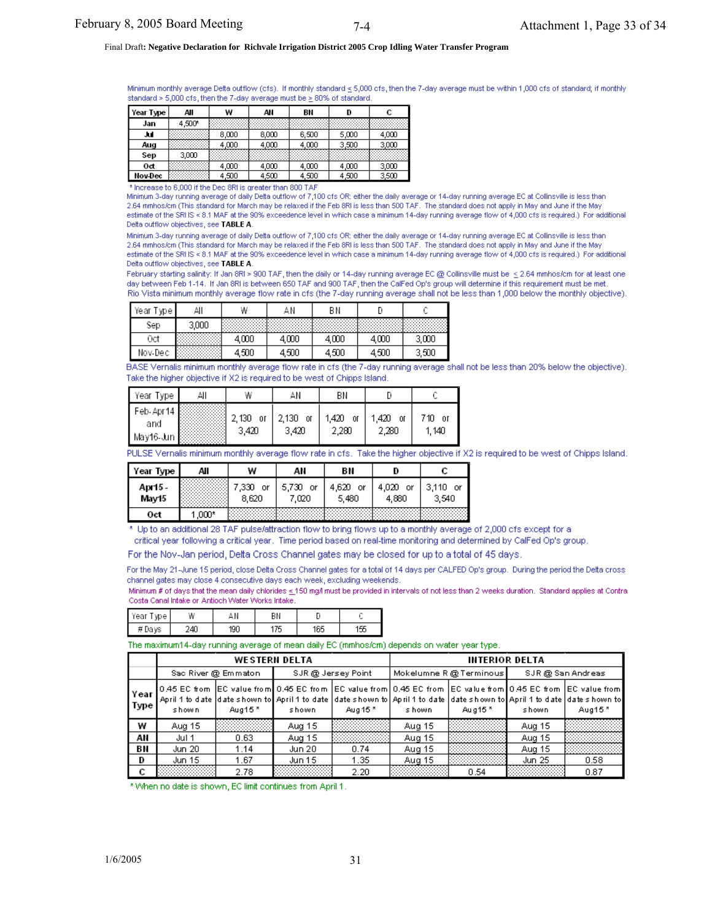Minimum monthly average Delta outflow (cfs). If monthly standard ≤ 5,000 cfs, then the 7-day average must be within 1,000 cfs of standard; if monthly standard > 5,000 cfs, then the 7-day average must be > 80% of standard.

| Year Type | ΑIΙ                                   | w                    | AN     | ВN           |       |               |
|-----------|---------------------------------------|----------------------|--------|--------------|-------|---------------|
| Jan       | 4,500*                                | .<br>1.1.1<br>.<br>. | .<br>. | .            | .     | .<br>. .<br>. |
| Jul.      | .<br>.<br>.<br>.<br>.<br>.            | 8,000                | 8.000  | 6,500        | 5,000 | 4.000         |
| Aug       | .<br>.<br>.<br>.<br>5555655666666666  | 4.000                | 4.000  | 4.000        | 3.500 | 3.000         |
| Sep       | 3,000                                 | .<br>.               | .      | 1.1.1.1<br>. |       | .             |
| 0ct       | <del>.</del><br>.<br>.<br>.<br>.<br>. | 4,000                | 4,000  | 4,000        | 4,000 | 3.000         |
| Nov-Dec   | .<br>.<br>.<br>.<br>.<br>.            | 4,500                | 4,500  | 4,500        | 4,500 | 3,500         |

\* Increase to 6,000 if the Dec 8RI is greater than 800 TAF

Minimum 3-day running average of daily Delta outflow of 7,100 cfs OR: either the daily average or 14-day running average EC at Collinsville is less than 2.64 mmhos/cm (This standard for March may be relaxed if the Feb 8RI is less than 500 TAF. The standard does not apply in May and June if the May estimate of the SRIIS < 8.1 MAF at the 90% exceedence level in which case a minimum 14-day running average flow of 4,000 cfs is required.) For additional Delta outflow objectives, see TABLE A.

Minimum 3-day running average of daily Delta outflow of 7,100 cfs OR: either the daily average or 14-day running average EC at Collinsville is less than 2.64 mmhos/cm (This standard for March may be relaxed if the Feb 8RI is less than 500 TAF. The standard does not apply in May and June if the May estimate of the SRIIS < 8.1 MAF at the 90% exceedence level in which case a minimum 14-day running average flow of 4,000 cfs is required.) For additional Delta outflow objectives, see TABLE A.

February starting salinity: If Jan 8RI > 900 TAF, then the daily or 14-day running average EC @ Collinsville must be ≤ 2.64 mmhos/cm for at least one day between Feb 1-14. If Jan 8RI is between 650 TAF and 900 TAF, then the CalFed Op's group will determine if this requirement must be met. Rio Vista minimum monthly average flow rate in cfs (the 7-day running average shall not be less than 1,000 below the monthly objective).

| Year Type | ΑIΙ                         | W           | AΝ    | ΒN    |       |       |
|-----------|-----------------------------|-------------|-------|-------|-------|-------|
| Sep       | 3.000                       | .<br>.<br>. | .     | .     | .     | .     |
| 0ct       | .<br>.<br>.<br>.            | 4,000       | 4,000 | 4,000 | 4,000 | 3.000 |
| Nov-Dec   | .<br>.<br>----------------- | 4,500       | 4,500 | 4,500 | 4,500 | 3,500 |

BASE Vernalis minimum monthly average flow rate in cfs (the 7-day running average shall not be less than 20% below the objective). Take the higher objective if X2 is required to be west of Chipps Island.

| Year Type                       | ΑIΙ | W     | ΑN                                   | ВN                  |                     |                 |
|---------------------------------|-----|-------|--------------------------------------|---------------------|---------------------|-----------------|
| Feb-Apr14<br>and<br>May16 Jun b |     | 3.420 | $2,130$ or $\vert 2,130$ or<br>3.420 | $1.420$ or<br>2,280 | 1.420<br>0<br>2.280 | 710 or<br>1.140 |

PULSE Vernalis minimum monthly average flow rate in cfs. Take the higher objective if X2 is required to be west of Chipps Island.

| Year Type        | ΑII                             | w                     | AN                   | ВN                   |                      |                       |
|------------------|---------------------------------|-----------------------|----------------------|----------------------|----------------------|-----------------------|
| Арг15 -<br>Way15 | .<br>.<br>.<br>.<br>.<br>.<br>. | 7.330.<br>or<br>8,620 | 5,730<br>or<br>7.020 | 4.620<br>or<br>5,480 | 4.020<br>or<br>4.880 | 3.110<br>-or<br>3.540 |
| Oct              | .<br>1.000*                     | .                     |                      |                      |                      | $\cdots$<br>.         |

\* Up to an additional 28 TAF pulse/attraction flow to bring flows up to a monthly average of 2,000 cfs except for a

critical year following a critical year. Time period based on real-time monitoring and determined by CalFed Op's group.

For the Nov-Jan period, Delta Cross Channel gates may be closed for up to a total of 45 days.

For the May 21-June 15 period, close Delta Cross Channel gates for a total of 14 days per CALFED Op's group. During the period the Delta cross channel gates may close 4 consecutive days each week, excluding weekends.

Minimum # of days that the mean daily chlorides <150 mg/l must be provided in intervals of not less than 2 weeks duration. Standard applies at Contra Costa Canal Intake or Antioch Water Works Intake.

| эe<br>rea. | W   | . . I | D.N.             |     |                  |
|------------|-----|-------|------------------|-----|------------------|
| ys<br>va   | 240 | 190   | <b>TE</b><br>175 | 100 | 1 <i>EE</i><br>ю |

The maximum14-day running average of mean daily EC (mmhos/cm) depends on water year type.

|              | <b>WESTERN DELTA</b> |                                           |                                                                                                                                                                                                                                                                                                                                                         |                                            | <b>INTERIOR DELTA</b> |          |        |                    |
|--------------|----------------------|-------------------------------------------|---------------------------------------------------------------------------------------------------------------------------------------------------------------------------------------------------------------------------------------------------------------------------------------------------------------------------------------------------------|--------------------------------------------|-----------------------|----------|--------|--------------------|
|              |                      | SJR @ Jersey Point<br>Sac River @ Emmaton |                                                                                                                                                                                                                                                                                                                                                         | SJR@San Andreas<br>Mokelumne R @ Terminous |                       |          |        |                    |
| Year<br>Type | shown                | Aug15. <sup>*</sup>                       | [0.45 EC from  EC value from 0.45 EC from  EC value from 0.45 EC from  EC value from 0.45 EC from  EC value from  <br>April 1 to date date shown to April 1 to date date shown to April 1 to date date shown to April 1 to date date shown to April 1 to date date shown to April 1 to date date shown to April 1 to date date shown to $\sim$<br>shown | Aug 15 *                                   | shown                 | Au g15 * | shown  | Aug15 <sup>*</sup> |
| w            | Aug 15               |                                           | Aug 15                                                                                                                                                                                                                                                                                                                                                  |                                            | Aug 15                |          | Aug 15 |                    |
| AN           | Jul 1                | 0.63                                      | Aug 15                                                                                                                                                                                                                                                                                                                                                  |                                            | Aug 15                |          | Aug 15 |                    |
| ВN           | Jun 20               | 1.14                                      | Jun 20                                                                                                                                                                                                                                                                                                                                                  | 0.74                                       | Aug 15                |          | Aug 15 |                    |
| Đ            | Jun 15.              | 1.67                                      | Jun 15                                                                                                                                                                                                                                                                                                                                                  | 1.35                                       | Aug 15                | ******** | Jun 25 | 0.58               |
| с            |                      | 2.78                                      |                                                                                                                                                                                                                                                                                                                                                         | 2.20                                       |                       | 0.54     |        | 0.87               |

\* When no date is shown, EC limit continues from April 1.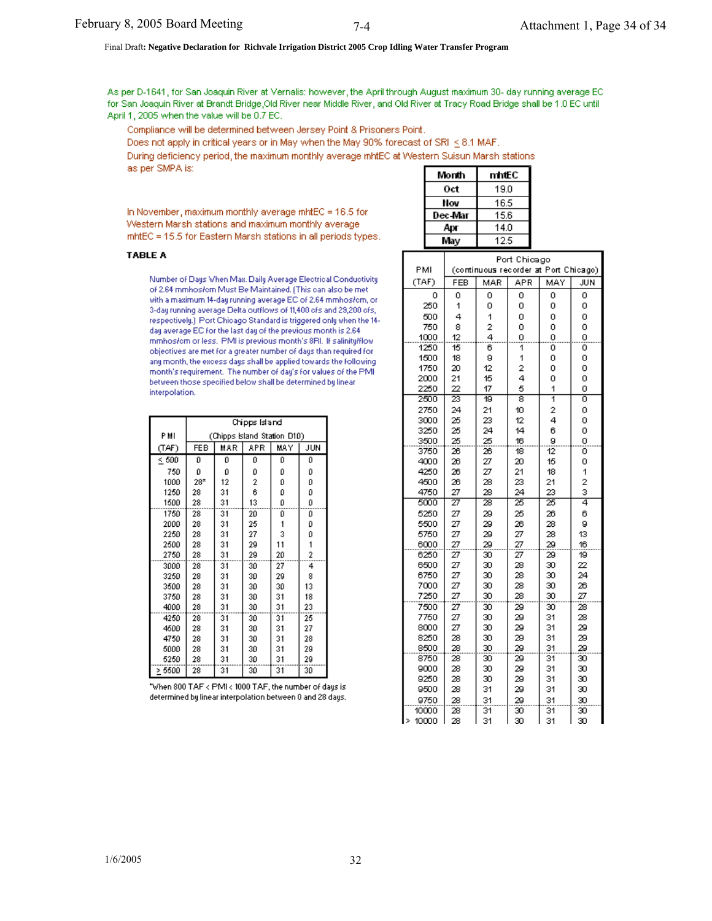As per D-1641, for San Joaquin River at Vernalis: however, the April through August maximum 30- day running average EC for San Joaquin River at Brandt Bridge,Old River near Middle River, and Old River at Tracy Road Bridge shall be 1.0 EC until April 1, 2005 when the value will be 0.7 EC.

Compliance will be determined between Jersey Point & Prisoners Point.

Does not apply in critical years or in May when the May 90% forecast of SRI ≤ 8.1 MAF.

During deficiency period, the maximum monthly average mhtEC at Western Suisun Marsh stations as per SMPA is:

In November, maximum monthly average mhtEC = 16.5 for Western Marsh stations and maximum monthly average mhtEC = 15.5 for Eastern Marsh stations in all periods types.

| Month   | mhtEC |
|---------|-------|
| Oct     | 19.0  |
| Nov     | 16.5  |
| Dec-Mar | 15.6  |
| Aрr     | 14.0  |
| Mav     | 12.5  |

## **TABLE A**

Number of Days When Max. Daily Average Electrical Conductivity of 2.64 mmhos/cm Must Be Maintained. (This can also be met with a maximum 14-day running average EC of 2.64 mmhos/cm, or 3-day running average Delta outflows of 11,400 cfs and 29,200 cfs, respectively.) Port Chicago Standard is triggered only when the 14day average EC for the last day of the previous month is 2.64. mmhos/cm or less. PMI is previous month's 8RI. If salinity/flow objectives are met for a greater number of days than required for any month, the excess days shall be applied towards the following month's requirement. The number of day's for values of the PMI between those specified below shall be determined by linear interpolation.

|           | Chipps Island |                             |     |     |     |
|-----------|---------------|-----------------------------|-----|-----|-----|
| P MI      |               | (Chipps Island Station D10) |     |     |     |
| (TAF)     | FEB           | MAR                         | APR | MAY | JUN |
| < 500     | ٥             | ٥                           | ٥   | o   | o   |
| 750       | Û             | Û                           | ٥   | ٥   | ٥   |
| 1000      | $28^{*}$      | 12                          | 2   | ٥   | Ũ   |
| 1250      | 28            | 31                          | 6   | o   | Ŭ   |
| 1500      | 28            | 31                          | 13  | ٥   | Û   |
| 1750      | 28            | 31                          | 20  | ٥   | ٥   |
| 2000      | 28            | 31                          | 25  |     | ٥   |
| 2250      | 28            | 31                          | 27  | 3   | ٥   |
| 2500      | 28            | 31                          | 29  | 11  | 1   |
| 2750      | 28            | 31                          | 29  | 20  | 2   |
| 3000      | 28            | 31                          | 30  | 27  | 4   |
| 3250      | 28            | 31                          | 30  | 29  | 8   |
| 3500      | 28            | 31                          | 30  | 30  | 13  |
| 3750      | 28            | 31                          | 30  | 31  | 18  |
| 4000      | 28            | 31                          | 30  | 31  | 23  |
| 4250      | 28            | 31                          | 30  | 31  | 25  |
| 4500      | 28            | 31                          | 30  | 31  | 27  |
| 4750      | 28            | 31                          | 30  | 31  | 28  |
| 5000      | 28            | 31                          | 30  | 31  | 29  |
| 5250      | 28            | 31                          | 30  | 31  | 29  |
| 5500<br>⋗ | 28            | 31                          | 30  | 31  | 30  |

"When 800 TAF < PMI < 1000 TAF, the number of days is determined by linear interpolation between 0 and 28 days.

|              | Port Chicago |          |                                       |          |                                |
|--------------|--------------|----------|---------------------------------------|----------|--------------------------------|
| PMI          |              |          | (continuous recorder at Port Chicago) |          |                                |
| (TAF)        | FEB          | MAR      | APR                                   | MAY      | JUN                            |
| 0            | 0            | ο        | 0                                     | ο        | 0                              |
| 250          | 1            | o        | o                                     | o        | 0                              |
| 500          | 4            | 1        | o                                     | o        | o                              |
| 750          | 8            | 2        | o                                     | o        | ō                              |
| 1000         | 12           | 4        | 0                                     | o        | 0                              |
| 1250         | 15           | 6        | ï                                     | ö        | 0                              |
| 1500         | 18           | 9        | 1                                     | o        | o                              |
| 1750         | 20           | 12       | 2                                     | ō        | o                              |
| 2000         | 21           | 15       | 4                                     | o        | o                              |
| 2250         | 22           | 17       | 5                                     | 1<br>ī   | o<br>$\overline{\mathfrak{o}}$ |
| 2500         | 23           | 19       | s                                     |          |                                |
| 2750         | 24           | 21       | 10<br>12                              | 2<br>4   | Ō<br>o                         |
| 3000<br>3250 | 25<br>25     | 23<br>24 | 14                                    | 6        | o                              |
| 3500         | 25           | 25       | 16                                    | g        | o                              |
| 3750         | 26           | 26       | $\overline{18}$                       | 12       | ö                              |
| 4000         | 26           | 27       | 20                                    | 15       | o                              |
| 4250         | 26           | 27       | 21                                    | 18       | 1                              |
| 4500         | 26           | 28       | 23                                    | 21       | 2                              |
| 4750         | 27           | 28       | 24                                    | 23       | з                              |
| 5000         | 27           | ≅        | ळ                                     | ळ        | 4                              |
| 5250         | 27           | 29       | 25                                    | 26       | 6                              |
| 5500         | 27           | 29       | 26                                    | 28       | g                              |
| 5750         | 27           | 29       | 27                                    | 28       | 13                             |
| 6000         | 27           | 29       | 27                                    | 29       | 16                             |
| 6250         | 27           | 30       | 27                                    | 29       | 19                             |
| 6500         | 27           | 30       | 28                                    | 30       | 22                             |
| 6750         | 27           | 30       | 28                                    | 30       | 24                             |
| 7000         | 27           | 30       | 28                                    | 30       | 26                             |
| 7250         | 27           | 30       | 28                                    | 30       | 27                             |
| 7500         | 27           | 3Ō       | 29                                    | 3Ő       | 28                             |
| 7750         | 27           | 30       | 29                                    | 31       | 28                             |
| 8000         | 27           | 30       | 29                                    | 31       | 29                             |
| 8250         | 28           | 30       | 29                                    | 31       | 29                             |
| 8500         | 28           | 30       | 29                                    | 31       | 29                             |
| 8750<br>9000 | 28<br>28     | 30<br>30 | 29<br>29                              | 31<br>31 | ÖÖ<br>30                       |
| 9250         | 28           | 30       | 29                                    | 31       | 30                             |
| 9500         | 28           | 31       | 29                                    | 31       | 30                             |
| 9750         | 28           | 31       | 29                                    | 31       | 30                             |
| 10000        | 28           | 31       | Ï0                                    | 31       | 30                             |
| 10000<br>×   | 28           | 31       | 30                                    | 31       | 30                             |
|              |              |          |                                       |          |                                |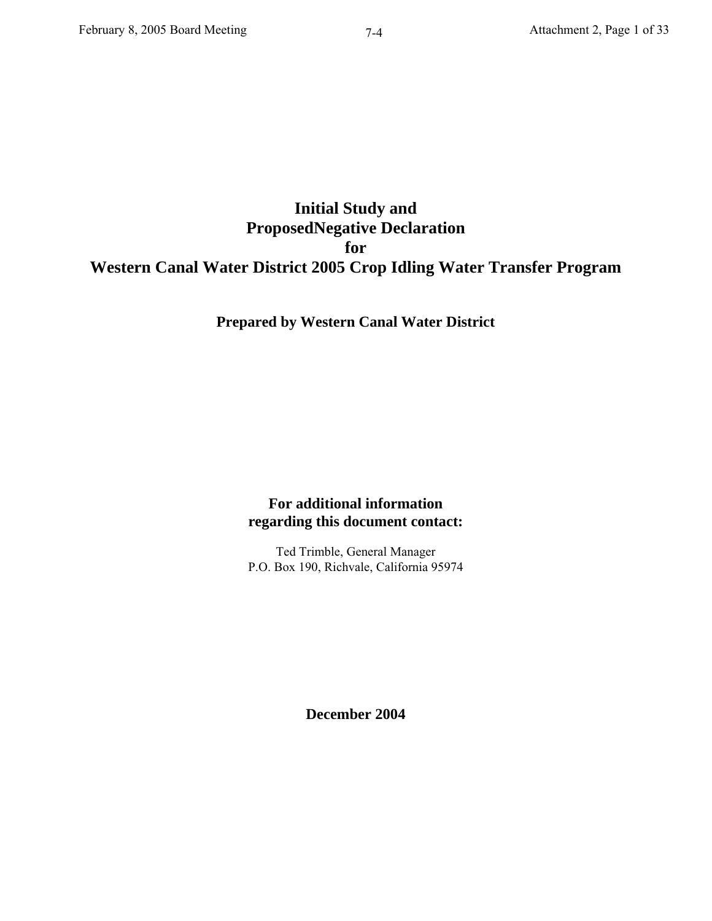# **Initial Study and ProposedNegative Declaration for Western Canal Water District 2005 Crop Idling Water Transfer Program**

**Prepared by Western Canal Water District** 

# **For additional information regarding this document contact:**

Ted Trimble, General Manager P.O. Box 190, Richvale, California 95974

**December 2004**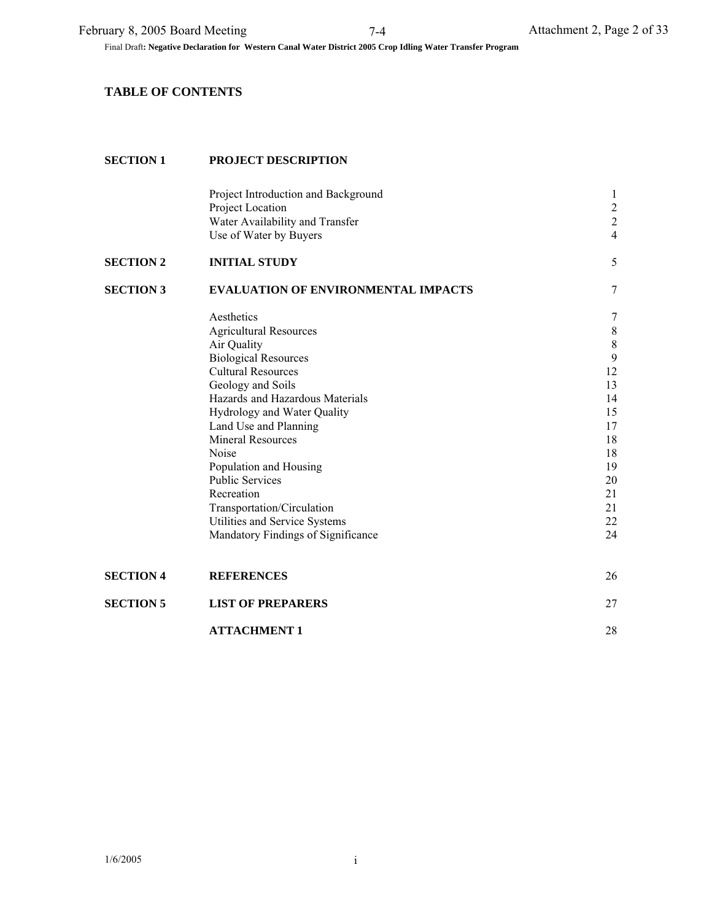# **TABLE OF CONTENTS**

| <b>SECTION 1</b> | <b>PROJECT DESCRIPTION</b> |
|------------------|----------------------------|
|                  |                            |

|                  | Project Introduction and Background<br>Project Location<br>Water Availability and Transfer<br>Use of Water by Buyers | 1<br>$\boldsymbol{2}$<br>$\sqrt{2}$<br>$\overline{4}$ |
|------------------|----------------------------------------------------------------------------------------------------------------------|-------------------------------------------------------|
| <b>SECTION 2</b> | <b>INITIAL STUDY</b>                                                                                                 | 5                                                     |
| <b>SECTION 3</b> | <b>EVALUATION OF ENVIRONMENTAL IMPACTS</b>                                                                           | 7                                                     |
|                  | Aesthetics                                                                                                           | 7                                                     |
|                  | <b>Agricultural Resources</b>                                                                                        | $\,8\,$                                               |
|                  | Air Quality                                                                                                          | $\,8\,$                                               |
|                  | <b>Biological Resources</b>                                                                                          | 9                                                     |
|                  | <b>Cultural Resources</b>                                                                                            | 12                                                    |
|                  | Geology and Soils                                                                                                    | 13                                                    |
|                  | Hazards and Hazardous Materials                                                                                      | 14                                                    |
|                  | Hydrology and Water Quality                                                                                          | 15                                                    |
|                  | Land Use and Planning                                                                                                | 17                                                    |
|                  | <b>Mineral Resources</b>                                                                                             | 18                                                    |
|                  | Noise                                                                                                                | 18                                                    |
|                  | Population and Housing                                                                                               | 19                                                    |
|                  | <b>Public Services</b>                                                                                               | 20                                                    |
|                  | Recreation                                                                                                           | 21                                                    |
|                  | Transportation/Circulation                                                                                           | 21                                                    |
|                  | Utilities and Service Systems                                                                                        | 22                                                    |
|                  | Mandatory Findings of Significance                                                                                   | 24                                                    |
| <b>SECTION 4</b> | <b>REFERENCES</b>                                                                                                    | 26                                                    |
| <b>SECTION 5</b> | <b>LIST OF PREPARERS</b>                                                                                             | 27                                                    |
|                  | <b>ATTACHMENT 1</b>                                                                                                  | 28                                                    |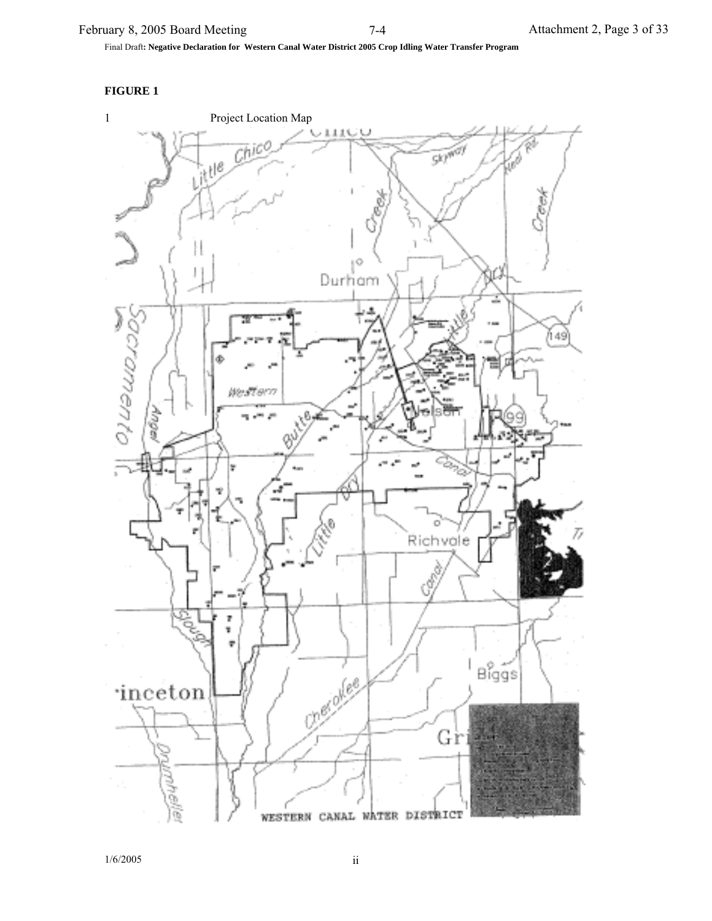# February 8, 2005 Board Meeting 7-4 Attachment 2, Page 3 of 33

Final Draft**: Negative Declaration for Western Canal Water District 2005 Crop Idling Water Transfer Program**

## **FIGURE 1**

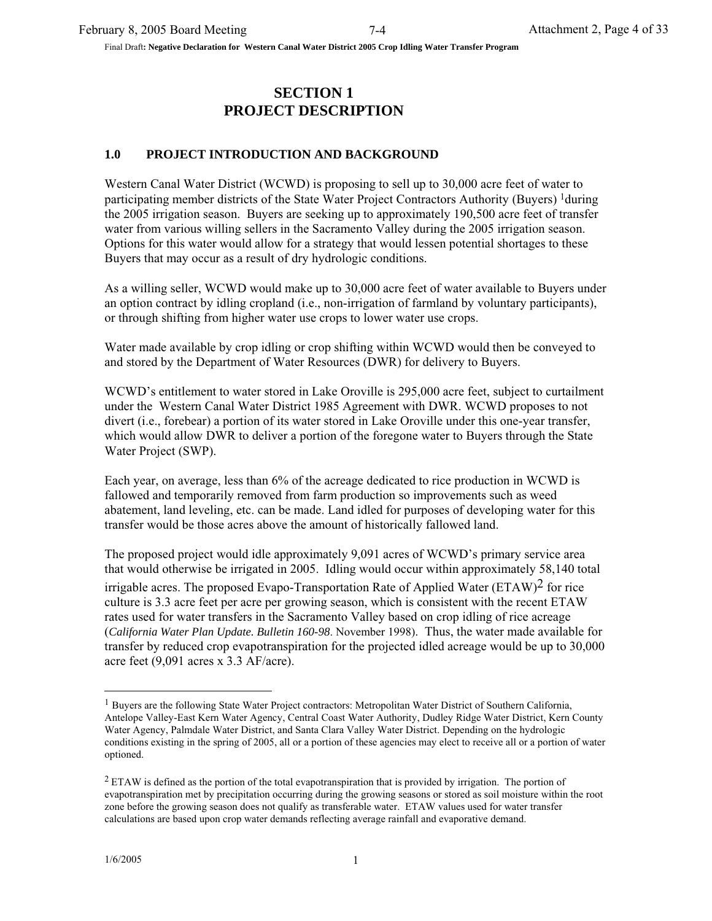# **SECTION 1 PROJECT DESCRIPTION**

## **1.0 PROJECT INTRODUCTION AND BACKGROUND**

Western Canal Water District (WCWD) is proposing to sell up to 30,000 acre feet of water to participating member districts of the State Water Project Contractors Authority (Buyers) 1during the 2005 irrigation season. Buyers are seeking up to approximately 190,500 acre feet of transfer water from various willing sellers in the Sacramento Valley during the 2005 irrigation season. Options for this water would allow for a strategy that would lessen potential shortages to these Buyers that may occur as a result of dry hydrologic conditions.

As a willing seller, WCWD would make up to 30,000 acre feet of water available to Buyers under an option contract by idling cropland (i.e., non-irrigation of farmland by voluntary participants), or through shifting from higher water use crops to lower water use crops.

Water made available by crop idling or crop shifting within WCWD would then be conveyed to and stored by the Department of Water Resources (DWR) for delivery to Buyers.

WCWD's entitlement to water stored in Lake Oroville is 295,000 acre feet, subject to curtailment under the Western Canal Water District 1985 Agreement with DWR. WCWD proposes to not divert (i.e., forebear) a portion of its water stored in Lake Oroville under this one-year transfer, which would allow DWR to deliver a portion of the foregone water to Buyers through the State Water Project (SWP).

Each year, on average, less than 6% of the acreage dedicated to rice production in WCWD is fallowed and temporarily removed from farm production so improvements such as weed abatement, land leveling, etc. can be made. Land idled for purposes of developing water for this transfer would be those acres above the amount of historically fallowed land.

The proposed project would idle approximately 9,091 acres of WCWD's primary service area that would otherwise be irrigated in 2005. Idling would occur within approximately 58,140 total irrigable acres. The proposed Evapo-Transportation Rate of Applied Water  $(ETAW)^2$  for rice culture is 3.3 acre feet per acre per growing season, which is consistent with the recent ETAW rates used for water transfers in the Sacramento Valley based on crop idling of rice acreage (*California Water Plan Update. Bulletin 160-98*. November 1998). Thus, the water made available for transfer by reduced crop evapotranspiration for the projected idled acreage would be up to 30,000 acre feet (9,091 acres x 3.3 AF/acre).

l

<sup>1</sup> Buyers are the following State Water Project contractors: Metropolitan Water District of Southern California, Antelope Valley-East Kern Water Agency, Central Coast Water Authority, Dudley Ridge Water District, Kern County Water Agency, Palmdale Water District, and Santa Clara Valley Water District. Depending on the hydrologic conditions existing in the spring of 2005, all or a portion of these agencies may elect to receive all or a portion of water optioned.

<sup>&</sup>lt;sup>2</sup> ETAW is defined as the portion of the total evapotranspiration that is provided by irrigation. The portion of evapotranspiration met by precipitation occurring during the growing seasons or stored as soil moisture within the root zone before the growing season does not qualify as transferable water. ETAW values used for water transfer calculations are based upon crop water demands reflecting average rainfall and evaporative demand.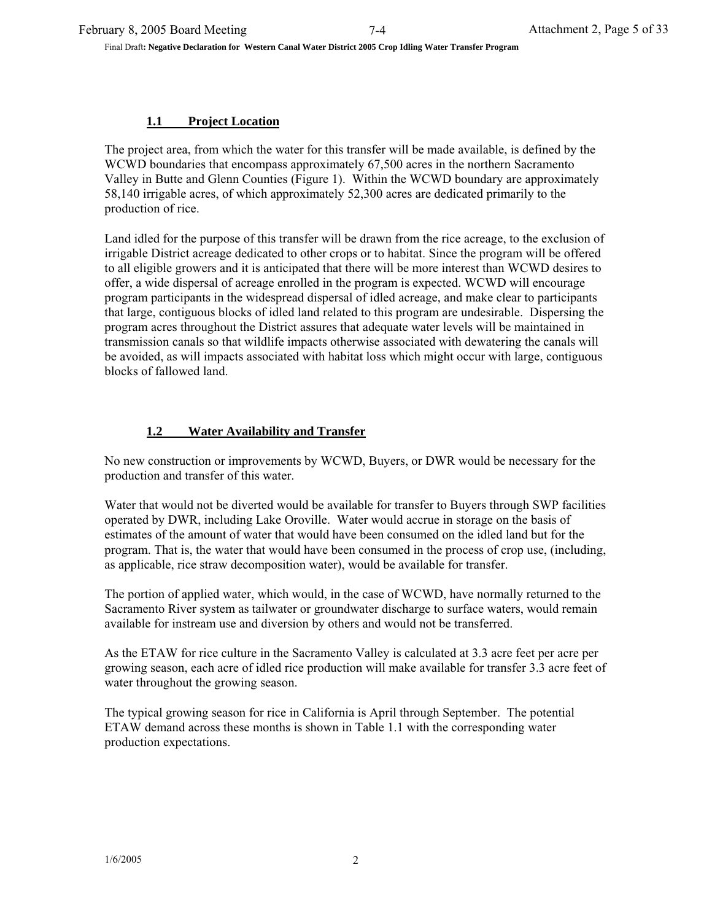## **1.1 Project Location**

The project area, from which the water for this transfer will be made available, is defined by the WCWD boundaries that encompass approximately 67,500 acres in the northern Sacramento Valley in Butte and Glenn Counties (Figure 1). Within the WCWD boundary are approximately 58,140 irrigable acres, of which approximately 52,300 acres are dedicated primarily to the production of rice.

Land idled for the purpose of this transfer will be drawn from the rice acreage, to the exclusion of irrigable District acreage dedicated to other crops or to habitat. Since the program will be offered to all eligible growers and it is anticipated that there will be more interest than WCWD desires to offer, a wide dispersal of acreage enrolled in the program is expected. WCWD will encourage program participants in the widespread dispersal of idled acreage, and make clear to participants that large, contiguous blocks of idled land related to this program are undesirable. Dispersing the program acres throughout the District assures that adequate water levels will be maintained in transmission canals so that wildlife impacts otherwise associated with dewatering the canals will be avoided, as will impacts associated with habitat loss which might occur with large, contiguous blocks of fallowed land.

## **1.2 Water Availability and Transfer**

No new construction or improvements by WCWD, Buyers, or DWR would be necessary for the production and transfer of this water.

Water that would not be diverted would be available for transfer to Buyers through SWP facilities operated by DWR, including Lake Oroville. Water would accrue in storage on the basis of estimates of the amount of water that would have been consumed on the idled land but for the program. That is, the water that would have been consumed in the process of crop use, (including, as applicable, rice straw decomposition water), would be available for transfer.

The portion of applied water, which would, in the case of WCWD, have normally returned to the Sacramento River system as tailwater or groundwater discharge to surface waters, would remain available for instream use and diversion by others and would not be transferred.

As the ETAW for rice culture in the Sacramento Valley is calculated at 3.3 acre feet per acre per growing season, each acre of idled rice production will make available for transfer 3.3 acre feet of water throughout the growing season.

The typical growing season for rice in California is April through September. The potential ETAW demand across these months is shown in Table 1.1 with the corresponding water production expectations.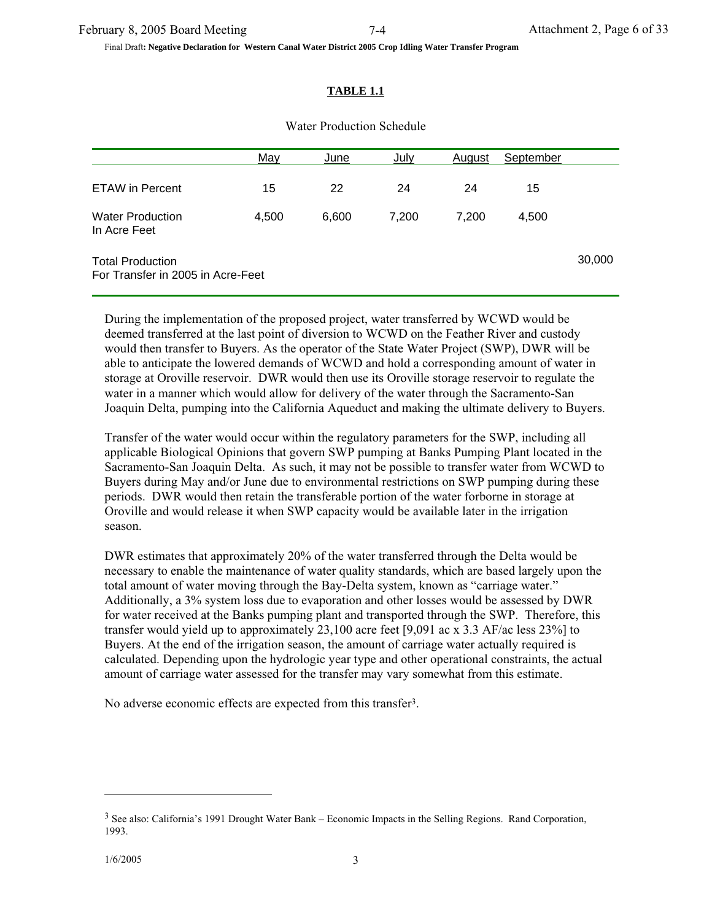## **TABLE 1.1**

# May June July August September ETAW in Percent 15 22 24 24 15 Water Production In Acre Feet 4,500 6,600 7,200 7,200 4,500 Total Production 30,000 For Transfer in 2005 in Acre-Feet

Water Production Schedule

During the implementation of the proposed project, water transferred by WCWD would be deemed transferred at the last point of diversion to WCWD on the Feather River and custody would then transfer to Buyers. As the operator of the State Water Project (SWP), DWR will be able to anticipate the lowered demands of WCWD and hold a corresponding amount of water in storage at Oroville reservoir. DWR would then use its Oroville storage reservoir to regulate the water in a manner which would allow for delivery of the water through the Sacramento-San Joaquin Delta, pumping into the California Aqueduct and making the ultimate delivery to Buyers.

Transfer of the water would occur within the regulatory parameters for the SWP, including all applicable Biological Opinions that govern SWP pumping at Banks Pumping Plant located in the Sacramento-San Joaquin Delta. As such, it may not be possible to transfer water from WCWD to Buyers during May and/or June due to environmental restrictions on SWP pumping during these periods. DWR would then retain the transferable portion of the water forborne in storage at Oroville and would release it when SWP capacity would be available later in the irrigation season.

DWR estimates that approximately 20% of the water transferred through the Delta would be necessary to enable the maintenance of water quality standards, which are based largely upon the total amount of water moving through the Bay-Delta system, known as "carriage water." Additionally, a 3% system loss due to evaporation and other losses would be assessed by DWR for water received at the Banks pumping plant and transported through the SWP. Therefore, this transfer would yield up to approximately 23,100 acre feet [9,091 ac x 3.3 AF/ac less 23%] to Buyers. At the end of the irrigation season, the amount of carriage water actually required is calculated. Depending upon the hydrologic year type and other operational constraints, the actual amount of carriage water assessed for the transfer may vary somewhat from this estimate.

No adverse economic effects are expected from this transfer3.

l

<sup>3</sup> See also: California's 1991 Drought Water Bank – Economic Impacts in the Selling Regions. Rand Corporation, 1993.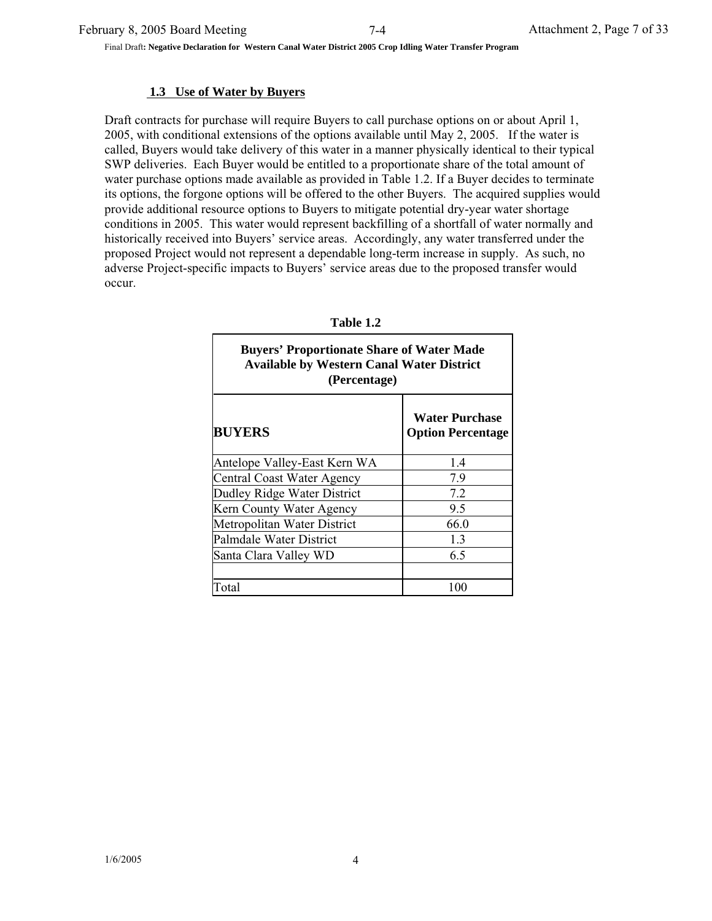## **1.3 Use of Water by Buyers**

Draft contracts for purchase will require Buyers to call purchase options on or about April 1, 2005, with conditional extensions of the options available until May 2, 2005. If the water is called, Buyers would take delivery of this water in a manner physically identical to their typical SWP deliveries. Each Buyer would be entitled to a proportionate share of the total amount of water purchase options made available as provided in Table 1.2. If a Buyer decides to terminate its options, the forgone options will be offered to the other Buyers. The acquired supplies would provide additional resource options to Buyers to mitigate potential dry-year water shortage conditions in 2005. This water would represent backfilling of a shortfall of water normally and historically received into Buyers' service areas. Accordingly, any water transferred under the proposed Project would not represent a dependable long-term increase in supply. As such, no adverse Project-specific impacts to Buyers' service areas due to the proposed transfer would occur.

| <b>Buyers' Proportionate Share of Water Made</b><br><b>Available by Western Canal Water District</b><br>(Percentage) |                                                   |  |  |  |
|----------------------------------------------------------------------------------------------------------------------|---------------------------------------------------|--|--|--|
| <b>BUYERS</b>                                                                                                        | <b>Water Purchase</b><br><b>Option Percentage</b> |  |  |  |
| Antelope Valley-East Kern WA                                                                                         | 1.4                                               |  |  |  |
| Central Coast Water Agency                                                                                           | 7.9                                               |  |  |  |
| Dudley Ridge Water District                                                                                          | 7.2                                               |  |  |  |
| Kern County Water Agency                                                                                             | 9.5                                               |  |  |  |
| Metropolitan Water District                                                                                          | 66.0                                              |  |  |  |
| Palmdale Water District                                                                                              | 1.3                                               |  |  |  |
| Santa Clara Valley WD                                                                                                | 6.5                                               |  |  |  |
| Total                                                                                                                | 100                                               |  |  |  |

|  | l`able |  |
|--|--------|--|
|--|--------|--|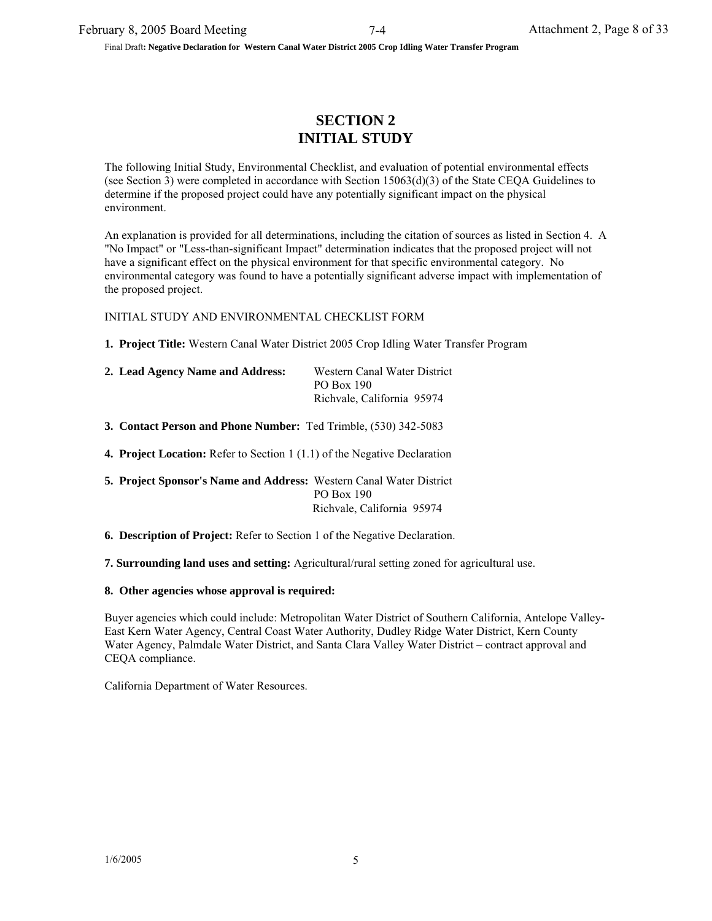# **SECTION 2 INITIAL STUDY**

The following Initial Study, Environmental Checklist, and evaluation of potential environmental effects (see Section 3) were completed in accordance with Section 15063(d)(3) of the State CEQA Guidelines to determine if the proposed project could have any potentially significant impact on the physical environment.

An explanation is provided for all determinations, including the citation of sources as listed in Section 4. A "No Impact" or "Less-than-significant Impact" determination indicates that the proposed project will not have a significant effect on the physical environment for that specific environmental category. No environmental category was found to have a potentially significant adverse impact with implementation of the proposed project.

## INITIAL STUDY AND ENVIRONMENTAL CHECKLIST FORM

**1. Project Title:** Western Canal Water District 2005 Crop Idling Water Transfer Program

| 2. Lead Agency Name and Address: | Western Canal Water District |
|----------------------------------|------------------------------|
|                                  | PO Box 190                   |
|                                  | Richvale, California 95974   |

**3. Contact Person and Phone Number:** Ted Trimble, (530) 342-5083

**4. Project Location:** Refer to Section 1 (1.1) of the Negative Declaration

- **5. Project Sponsor's Name and Address:** Western Canal Water District PO Box 190 Richvale, California 95974
- **6. Description of Project:** Refer to Section 1 of the Negative Declaration.

**7. Surrounding land uses and setting:** Agricultural/rural setting zoned for agricultural use.

## **8. Other agencies whose approval is required:**

Buyer agencies which could include: Metropolitan Water District of Southern California, Antelope Valley-East Kern Water Agency, Central Coast Water Authority, Dudley Ridge Water District, Kern County Water Agency, Palmdale Water District, and Santa Clara Valley Water District – contract approval and CEQA compliance.

California Department of Water Resources.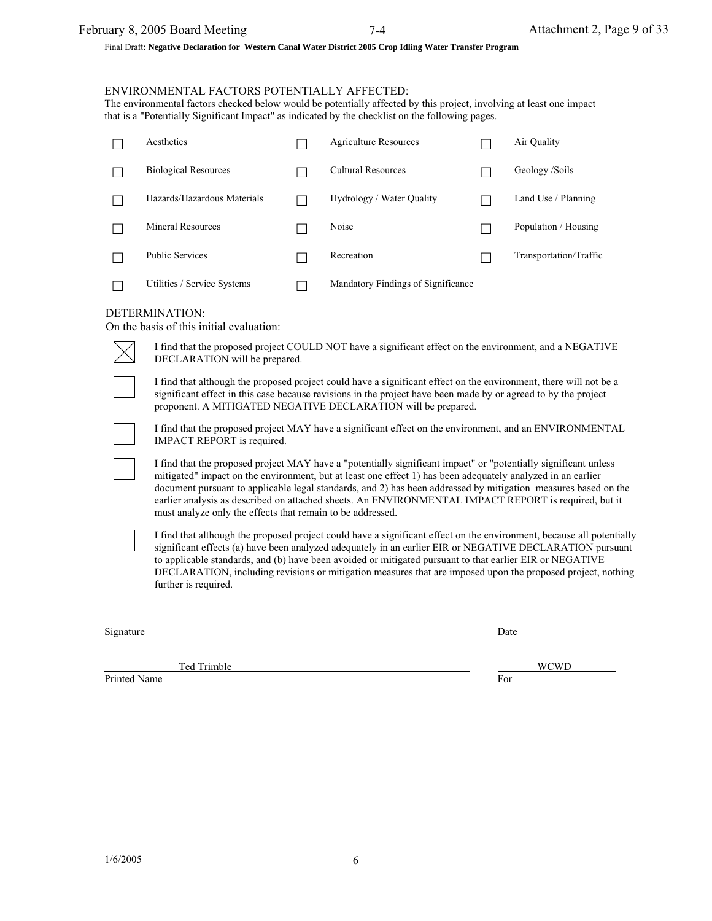## ENVIRONMENTAL FACTORS POTENTIALLY AFFECTED:

The environmental factors checked below would be potentially affected by this project, involving at least one impact that is a "Potentially Significant Impact" as indicated by the checklist on the following pages.

| Aesthetics                  | <b>Agriculture Resources</b>       | Air Quality            |
|-----------------------------|------------------------------------|------------------------|
| <b>Biological Resources</b> | Cultural Resources                 | Geology /Soils         |
| Hazards/Hazardous Materials | Hydrology / Water Quality          | Land Use / Planning    |
| Mineral Resources           | Noise                              | Population / Housing   |
| <b>Public Services</b>      | Recreation                         | Transportation/Traffic |
| Utilities / Service Systems | Mandatory Findings of Significance |                        |

## DETERMINATION:

On the basis of this initial evaluation:



I find that the proposed project COULD NOT have a significant effect on the environment, and a NEGATIVE DECLARATION will be prepared.

I find that although the proposed project could have a significant effect on the environment, there will not be a significant effect in this case because revisions in the project have been made by or agreed to by the project proponent. A MITIGATED NEGATIVE DECLARATION will be prepared.



I find that the proposed project MAY have a significant effect on the environment, and an ENVIRONMENTAL IMPACT REPORT is required.

I find that the proposed project MAY have a "potentially significant impact" or "potentially significant unless mitigated" impact on the environment, but at least one effect 1) has been adequately analyzed in an earlier document pursuant to applicable legal standards, and 2) has been addressed by mitigation measures based on the earlier analysis as described on attached sheets. An ENVIRONMENTAL IMPACT REPORT is required, but it must analyze only the effects that remain to be addressed.

I find that although the proposed project could have a significant effect on the environment, because all potentially significant effects (a) have been analyzed adequately in an earlier EIR or NEGATIVE DECLARATION pursuant to applicable standards, and (b) have been avoided or mitigated pursuant to that earlier EIR or NEGATIVE DECLARATION, including revisions or mitigation measures that are imposed upon the proposed project, nothing further is required.

| Signature    |             | Date |             |
|--------------|-------------|------|-------------|
|              |             |      |             |
|              | Ted Trimble |      | <b>WCWD</b> |
| Printed Name |             | For  |             |

Printed Name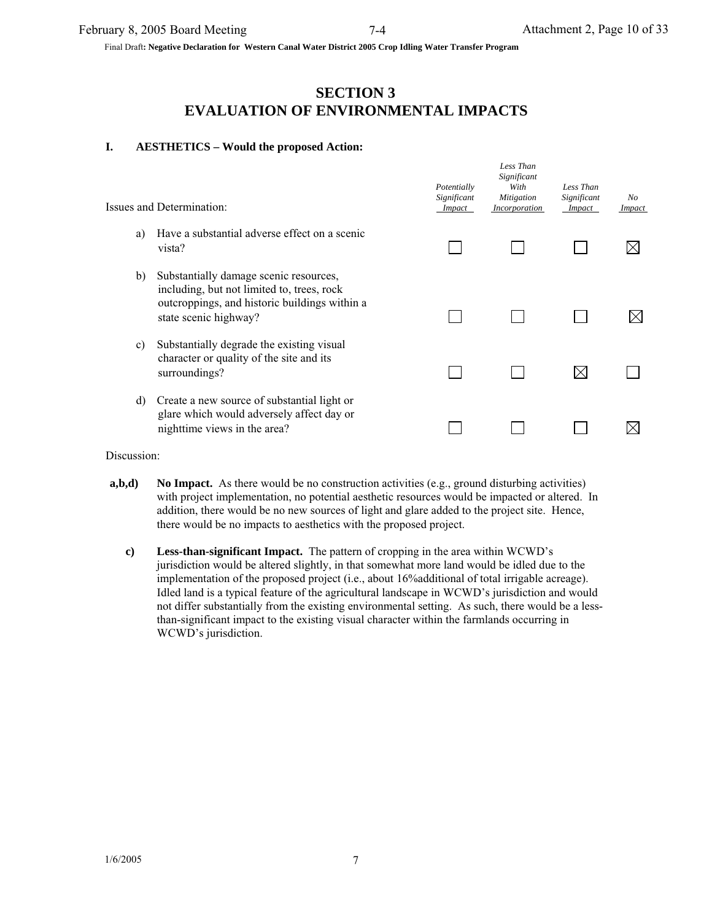## February 8, 2005 Board Meeting 7-4 Attachment 2, Page 10 of 33

Final Draft**: Negative Declaration for Western Canal Water District 2005 Crop Idling Water Transfer Program**

# **SECTION 3 EVALUATION OF ENVIRONMENTAL IMPACTS**

## **I. AESTHETICS – Would the proposed Action:**

|    | <b>Issues and Determination:</b>                                                                                                                               | Potentially<br>Significant<br>Impact | Less Than<br>Significant<br>With<br><b>Mitigation</b><br>Incorporation | Less Than<br>Significant<br><i>Impact</i> | No<br>Impact |
|----|----------------------------------------------------------------------------------------------------------------------------------------------------------------|--------------------------------------|------------------------------------------------------------------------|-------------------------------------------|--------------|
| a) | Have a substantial adverse effect on a scenic<br>vista?                                                                                                        |                                      |                                                                        |                                           |              |
| b) | Substantially damage scenic resources,<br>including, but not limited to, trees, rock<br>outcroppings, and historic buildings within a<br>state scenic highway? |                                      |                                                                        |                                           |              |
| C) | Substantially degrade the existing visual<br>character or quality of the site and its<br>surroundings?                                                         |                                      |                                                                        |                                           |              |
| d) | Create a new source of substantial light or<br>glare which would adversely affect day or<br>nighttime views in the area?                                       |                                      |                                                                        |                                           |              |

## Discussion:

- **a,b,d)** No Impact. As there would be no construction activities (e.g., ground disturbing activities) with project implementation, no potential aesthetic resources would be impacted or altered. In addition, there would be no new sources of light and glare added to the project site. Hence, there would be no impacts to aesthetics with the proposed project.
	- **c) Less-than-significant Impact.** The pattern of cropping in the area within WCWD's jurisdiction would be altered slightly, in that somewhat more land would be idled due to the implementation of the proposed project (i.e., about 16%additional of total irrigable acreage). Idled land is a typical feature of the agricultural landscape in WCWD's jurisdiction and would not differ substantially from the existing environmental setting. As such, there would be a lessthan-significant impact to the existing visual character within the farmlands occurring in WCWD's jurisdiction.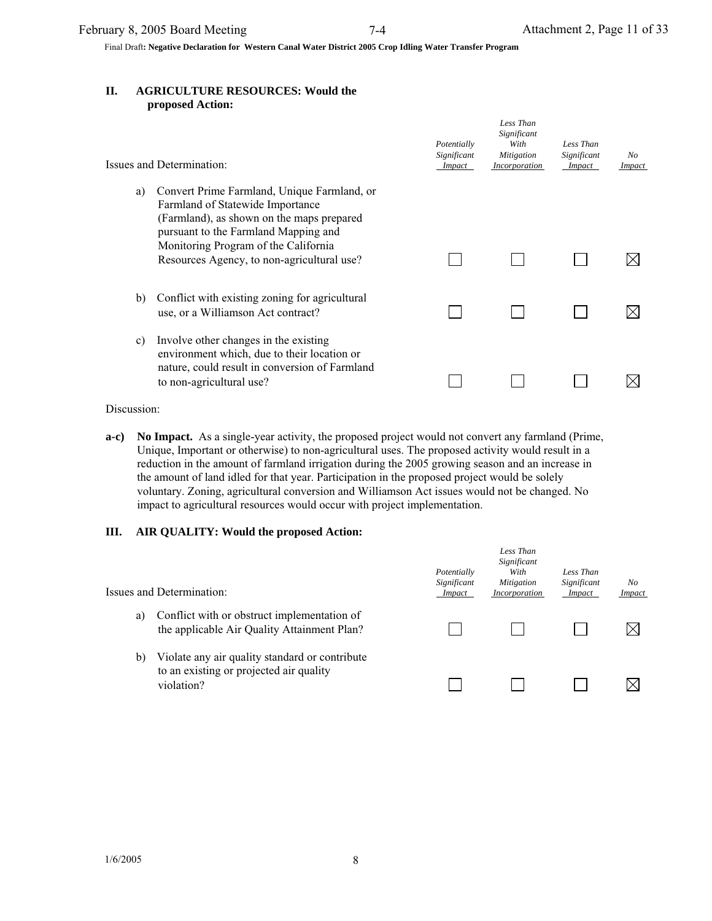## **II. AGRICULTURE RESOURCES: Would the proposed Action:**

|               | <b>Issues and Determination:</b>                                                                                                                                                                                                                           | Potentially<br>Significant<br><i>Impact</i> | Less Than<br>Significant<br>With<br><i>Mitigation</i><br>Incorporation | Less Than<br>Significant<br><i>Impact</i> | No<br><i>Impact</i> |
|---------------|------------------------------------------------------------------------------------------------------------------------------------------------------------------------------------------------------------------------------------------------------------|---------------------------------------------|------------------------------------------------------------------------|-------------------------------------------|---------------------|
| a)            | Convert Prime Farmland, Unique Farmland, or<br>Farmland of Statewide Importance<br>(Farmland), as shown on the maps prepared<br>pursuant to the Farmland Mapping and<br>Monitoring Program of the California<br>Resources Agency, to non-agricultural use? |                                             |                                                                        |                                           |                     |
| b)            | Conflict with existing zoning for agricultural<br>use, or a Williamson Act contract?                                                                                                                                                                       |                                             |                                                                        |                                           |                     |
| $\mathbf{c})$ | Involve other changes in the existing<br>environment which, due to their location or<br>nature, could result in conversion of Farmland<br>to non-agricultural use?                                                                                         |                                             |                                                                        |                                           |                     |

## Discussion:

**a-c) No Impact.** As a single-year activity, the proposed project would not convert any farmland (Prime, Unique, Important or otherwise) to non-agricultural uses. The proposed activity would result in a reduction in the amount of farmland irrigation during the 2005 growing season and an increase in the amount of land idled for that year. Participation in the proposed project would be solely voluntary. Zoning, agricultural conversion and Williamson Act issues would not be changed. No impact to agricultural resources would occur with project implementation.

## **III. AIR QUALITY: Would the proposed Action:**

|    | Issues and Determination:                                                                               | Potentially<br>Significant<br><i>Impact</i> | Significant<br>With<br>Mitigation<br>Incorporation | Less Than<br>Significant<br><i>Impact</i> | No<br><i>Impact</i> |
|----|---------------------------------------------------------------------------------------------------------|---------------------------------------------|----------------------------------------------------|-------------------------------------------|---------------------|
| a) | Conflict with or obstruct implementation of<br>the applicable Air Quality Attainment Plan?              |                                             |                                                    |                                           |                     |
| b) | Violate any air quality standard or contribute<br>to an existing or projected air quality<br>violation? |                                             |                                                    |                                           |                     |

 *Less Than*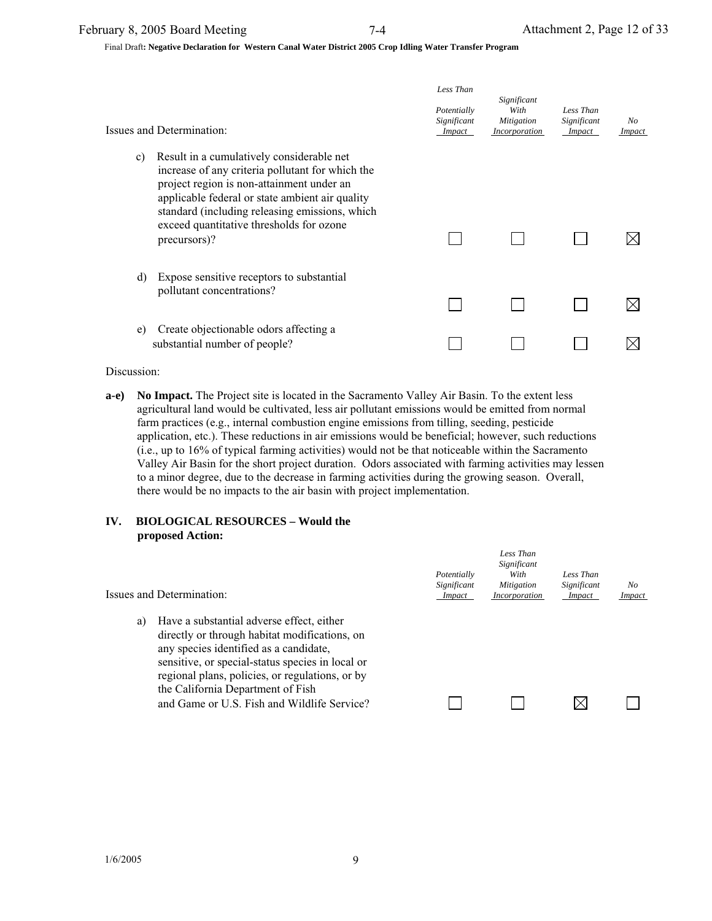## February 8, 2005 Board Meeting 7-4 Attachment 2, Page 12 of 33

#### Final Draft**: Negative Declaration for Western Canal Water District 2005 Crop Idling Water Transfer Program**

|    | <b>Issues and Determination:</b>                                                                                                                                                                                                                                                                            | Less Than<br>Potentially<br>Significant<br><i>Impact</i> | Significant<br>With<br><i>Mitigation</i><br>Incorporation | Less Than<br>Significant<br><i>Impact</i> | No<br><i>Impact</i> |
|----|-------------------------------------------------------------------------------------------------------------------------------------------------------------------------------------------------------------------------------------------------------------------------------------------------------------|----------------------------------------------------------|-----------------------------------------------------------|-------------------------------------------|---------------------|
| C) | Result in a cumulatively considerable net<br>increase of any criteria pollutant for which the<br>project region is non-attainment under an<br>applicable federal or state ambient air quality<br>standard (including releasing emissions, which<br>exceed quantitative thresholds for ozone<br>precursors)? |                                                          |                                                           |                                           |                     |
| d) | Expose sensitive receptors to substantial<br>pollutant concentrations?                                                                                                                                                                                                                                      |                                                          |                                                           |                                           |                     |
| e) | Create objectionable odors affecting a<br>substantial number of people?                                                                                                                                                                                                                                     |                                                          |                                                           |                                           |                     |

## Discussion:

**a-e) No Impact.** The Project site is located in the Sacramento Valley Air Basin. To the extent less agricultural land would be cultivated, less air pollutant emissions would be emitted from normal farm practices (e.g., internal combustion engine emissions from tilling, seeding, pesticide application, etc.). These reductions in air emissions would be beneficial; however, such reductions (i.e., up to 16% of typical farming activities) would not be that noticeable within the Sacramento Valley Air Basin for the short project duration. Odors associated with farming activities may lessen to a minor degree, due to the decrease in farming activities during the growing season. Overall, there would be no impacts to the air basin with project implementation.

## **IV. BIOLOGICAL RESOURCES – Would the proposed Action:**

|    | <b>Issues and Determination:</b>                                                                                                                                                                                                                                                                                                | Potentially<br>Significant<br><i>Impact</i> | Less Than<br>Significant<br>With<br><i>Mitigation</i><br>Incorporation | Less Than<br>Significant<br><i>Impact</i> | No<br>Impact |
|----|---------------------------------------------------------------------------------------------------------------------------------------------------------------------------------------------------------------------------------------------------------------------------------------------------------------------------------|---------------------------------------------|------------------------------------------------------------------------|-------------------------------------------|--------------|
| a) | Have a substantial adverse effect, either<br>directly or through habitat modifications, on<br>any species identified as a candidate,<br>sensitive, or special-status species in local or<br>regional plans, policies, or regulations, or by<br>the California Department of Fish<br>and Game or U.S. Fish and Wildlife Service? |                                             |                                                                        |                                           |              |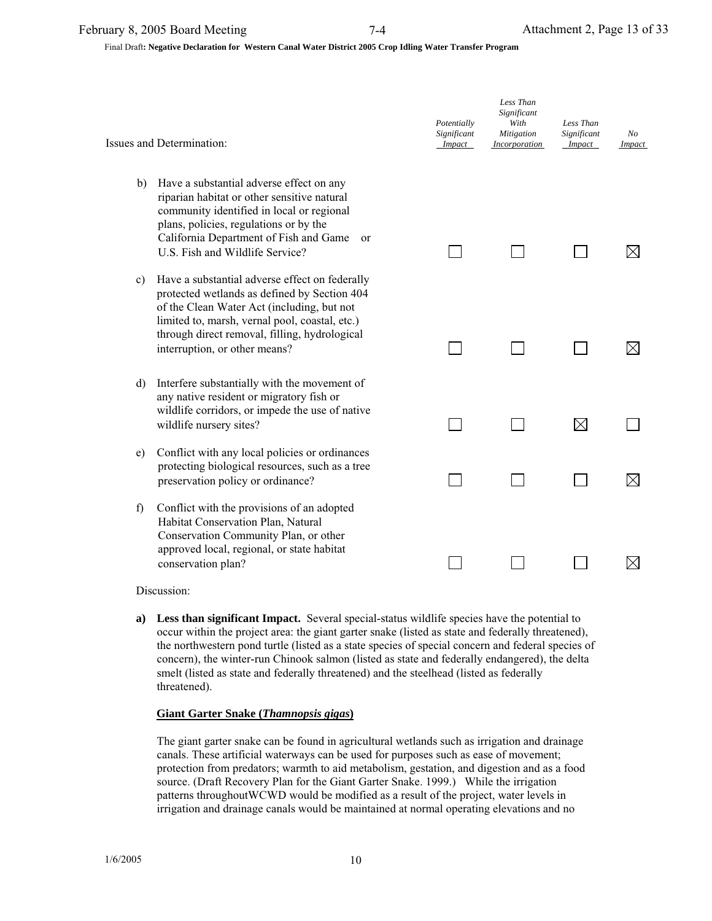|               | <b>Issues and Determination:</b>                                                                                                                                                                                                                                                 | Potentially<br>Significant<br><i>Impact</i> | Less Than<br>Significant<br>With<br><i>Mitigation</i><br>Incorporation | Less Than<br>Significant<br>Impack | No<br><i>Impact</i> |
|---------------|----------------------------------------------------------------------------------------------------------------------------------------------------------------------------------------------------------------------------------------------------------------------------------|---------------------------------------------|------------------------------------------------------------------------|------------------------------------|---------------------|
| b)            | Have a substantial adverse effect on any<br>riparian habitat or other sensitive natural<br>community identified in local or regional<br>plans, policies, regulations or by the<br>California Department of Fish and Game<br><sub>or</sub><br>U.S. Fish and Wildlife Service?     |                                             |                                                                        |                                    |                     |
| $\mathbf{c})$ | Have a substantial adverse effect on federally<br>protected wetlands as defined by Section 404<br>of the Clean Water Act (including, but not<br>limited to, marsh, vernal pool, coastal, etc.)<br>through direct removal, filling, hydrological<br>interruption, or other means? |                                             |                                                                        |                                    |                     |
| d)            | Interfere substantially with the movement of<br>any native resident or migratory fish or<br>wildlife corridors, or impede the use of native<br>wildlife nursery sites?                                                                                                           |                                             |                                                                        |                                    |                     |
| e)            | Conflict with any local policies or ordinances<br>protecting biological resources, such as a tree<br>preservation policy or ordinance?                                                                                                                                           |                                             |                                                                        |                                    |                     |
| f)            | Conflict with the provisions of an adopted<br>Habitat Conservation Plan, Natural<br>Conservation Community Plan, or other<br>approved local, regional, or state habitat<br>conservation plan?                                                                                    |                                             |                                                                        |                                    |                     |

Discussion:

**a) Less than significant Impact.** Several special-status wildlife species have the potential to occur within the project area: the giant garter snake (listed as state and federally threatened), the northwestern pond turtle (listed as a state species of special concern and federal species of concern), the winter-run Chinook salmon (listed as state and federally endangered), the delta smelt (listed as state and federally threatened) and the steelhead (listed as federally threatened).

## **Giant Garter Snake (***Thamnopsis gigas***)**

The giant garter snake can be found in agricultural wetlands such as irrigation and drainage canals. These artificial waterways can be used for purposes such as ease of movement; protection from predators; warmth to aid metabolism, gestation, and digestion and as a food source. (Draft Recovery Plan for the Giant Garter Snake. 1999.) While the irrigation patterns throughoutWCWD would be modified as a result of the project, water levels in irrigation and drainage canals would be maintained at normal operating elevations and no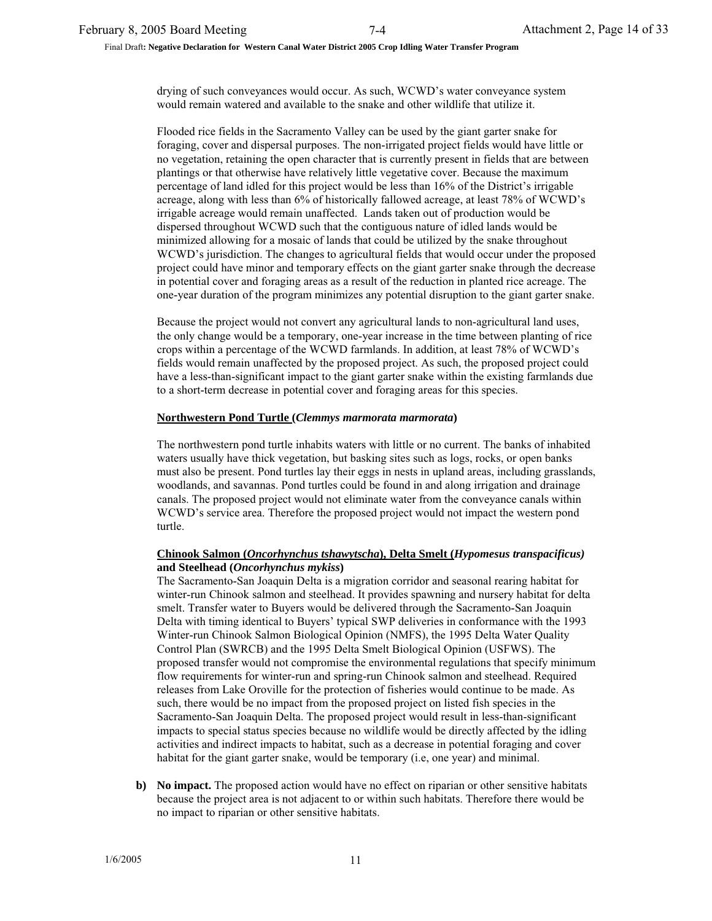drying of such conveyances would occur. As such, WCWD's water conveyance system would remain watered and available to the snake and other wildlife that utilize it.

Flooded rice fields in the Sacramento Valley can be used by the giant garter snake for foraging, cover and dispersal purposes. The non-irrigated project fields would have little or no vegetation, retaining the open character that is currently present in fields that are between plantings or that otherwise have relatively little vegetative cover. Because the maximum percentage of land idled for this project would be less than 16% of the District's irrigable acreage, along with less than 6% of historically fallowed acreage, at least 78% of WCWD's irrigable acreage would remain unaffected. Lands taken out of production would be dispersed throughout WCWD such that the contiguous nature of idled lands would be minimized allowing for a mosaic of lands that could be utilized by the snake throughout WCWD's jurisdiction. The changes to agricultural fields that would occur under the proposed project could have minor and temporary effects on the giant garter snake through the decrease in potential cover and foraging areas as a result of the reduction in planted rice acreage. The one-year duration of the program minimizes any potential disruption to the giant garter snake.

Because the project would not convert any agricultural lands to non-agricultural land uses, the only change would be a temporary, one-year increase in the time between planting of rice crops within a percentage of the WCWD farmlands. In addition, at least 78% of WCWD's fields would remain unaffected by the proposed project. As such, the proposed project could have a less-than-significant impact to the giant garter snake within the existing farmlands due to a short-term decrease in potential cover and foraging areas for this species.

#### **Northwestern Pond Turtle (***Clemmys marmorata marmorata***)**

The northwestern pond turtle inhabits waters with little or no current. The banks of inhabited waters usually have thick vegetation, but basking sites such as logs, rocks, or open banks must also be present. Pond turtles lay their eggs in nests in upland areas, including grasslands, woodlands, and savannas. Pond turtles could be found in and along irrigation and drainage canals. The proposed project would not eliminate water from the conveyance canals within WCWD's service area. Therefore the proposed project would not impact the western pond turtle.

## **Chinook Salmon (***Oncorhynchus tshawytscha***), Delta Smelt (***Hypomesus transpacificus)*  **and Steelhead (***Oncorhynchus mykiss***)**

The Sacramento-San Joaquin Delta is a migration corridor and seasonal rearing habitat for winter-run Chinook salmon and steelhead. It provides spawning and nursery habitat for delta smelt. Transfer water to Buyers would be delivered through the Sacramento-San Joaquin Delta with timing identical to Buyers' typical SWP deliveries in conformance with the 1993 Winter-run Chinook Salmon Biological Opinion (NMFS), the 1995 Delta Water Quality Control Plan (SWRCB) and the 1995 Delta Smelt Biological Opinion (USFWS). The proposed transfer would not compromise the environmental regulations that specify minimum flow requirements for winter-run and spring-run Chinook salmon and steelhead. Required releases from Lake Oroville for the protection of fisheries would continue to be made. As such, there would be no impact from the proposed project on listed fish species in the Sacramento-San Joaquin Delta. The proposed project would result in less-than-significant impacts to special status species because no wildlife would be directly affected by the idling activities and indirect impacts to habitat, such as a decrease in potential foraging and cover habitat for the giant garter snake, would be temporary (i.e, one year) and minimal.

**b)** No impact. The proposed action would have no effect on riparian or other sensitive habitats because the project area is not adjacent to or within such habitats. Therefore there would be no impact to riparian or other sensitive habitats.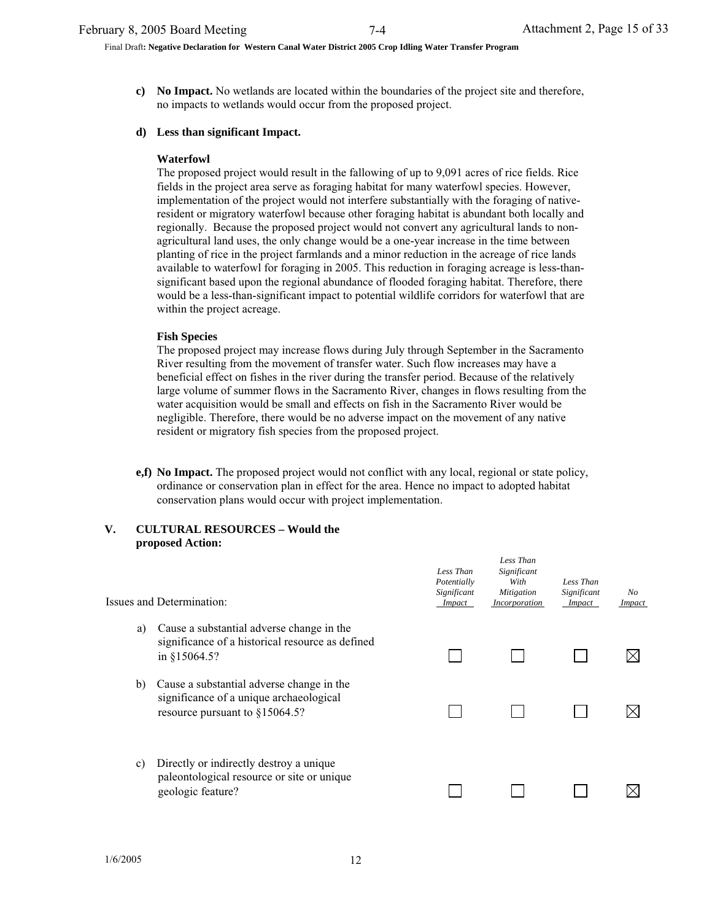**c) No Impact.** No wetlands are located within the boundaries of the project site and therefore, no impacts to wetlands would occur from the proposed project.

## **d) Less than significant Impact.**

## **Waterfowl**

The proposed project would result in the fallowing of up to 9,091 acres of rice fields. Rice fields in the project area serve as foraging habitat for many waterfowl species. However, implementation of the project would not interfere substantially with the foraging of nativeresident or migratory waterfowl because other foraging habitat is abundant both locally and regionally. Because the proposed project would not convert any agricultural lands to nonagricultural land uses, the only change would be a one-year increase in the time between planting of rice in the project farmlands and a minor reduction in the acreage of rice lands available to waterfowl for foraging in 2005. This reduction in foraging acreage is less-thansignificant based upon the regional abundance of flooded foraging habitat. Therefore, there would be a less-than-significant impact to potential wildlife corridors for waterfowl that are within the project acreage.

## **Fish Species**

The proposed project may increase flows during July through September in the Sacramento River resulting from the movement of transfer water. Such flow increases may have a beneficial effect on fishes in the river during the transfer period. Because of the relatively large volume of summer flows in the Sacramento River, changes in flows resulting from the water acquisition would be small and effects on fish in the Sacramento River would be negligible. Therefore, there would be no adverse impact on the movement of any native resident or migratory fish species from the proposed project.

**e,f) No Impact.** The proposed project would not conflict with any local, regional or state policy, ordinance or conservation plan in effect for the area. Hence no impact to adopted habitat conservation plans would occur with project implementation.

## **V. CULTURAL RESOURCES – Would the proposed Action:**

|    | Issues and Determination:                                                                                                | Less Than<br>Potentially<br>Significant<br><i>Impact</i> | Less Than<br>Significant<br>With<br><i>Mitigation</i><br>Incorporation | Less Than<br>Significant<br><i>Impact</i> | No<br><i>Impact</i> |
|----|--------------------------------------------------------------------------------------------------------------------------|----------------------------------------------------------|------------------------------------------------------------------------|-------------------------------------------|---------------------|
| a) | Cause a substantial adverse change in the<br>significance of a historical resource as defined<br>in §15064.5?            |                                                          |                                                                        |                                           |                     |
| b) | Cause a substantial adverse change in the<br>significance of a unique archaeological<br>resource pursuant to $§15064.5?$ |                                                          |                                                                        |                                           |                     |
| C) | Directly or indirectly destroy a unique<br>paleontological resource or site or unique<br>geologic feature?               |                                                          |                                                                        |                                           |                     |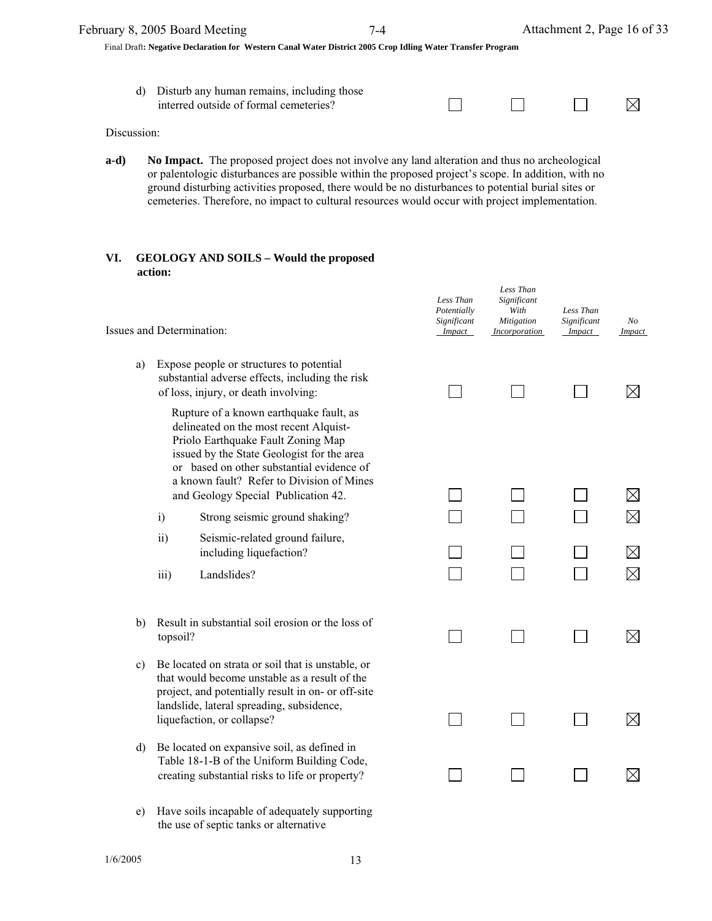## February 8, 2005 Board Meeting 7-4 Attachment 2, Page 16 of 33

Final Draft**: Negative Declaration for Western Canal Water District 2005 Crop Idling Water Transfer Program**

 d) Disturb any human remains, including those  $\Box$ interred outside of formal cemeteries?  $\Box$  $\Box$  $\times$ 

## Discussion:

**a-d) No Impact.** The proposed project does not involve any land alteration and thus no archeological or palentologic disturbances are possible within the proposed project's scope. In addition, with no ground disturbing activities proposed, there would be no disturbances to potential burial sites or cemeteries. Therefore, no impact to cultural resources would occur with project implementation.

## **VI. GEOLOGY AND SOILS – Would the proposed action:**

the use of septic tanks or alternative

|         | <b>Issues and Determination:</b>                                                                                                                                                                                                                                                                       | Less Than<br>Potentially<br>Significant<br><i>Impact</i> | Less Than<br>Significant<br>With<br><i>Mitigation</i><br>Incorporation | Less Than<br>Significant<br>Impact | No<br><i>Impact</i> |
|---------|--------------------------------------------------------------------------------------------------------------------------------------------------------------------------------------------------------------------------------------------------------------------------------------------------------|----------------------------------------------------------|------------------------------------------------------------------------|------------------------------------|---------------------|
| a)      | Expose people or structures to potential<br>substantial adverse effects, including the risk<br>of loss, injury, or death involving:                                                                                                                                                                    |                                                          |                                                                        |                                    | $\times$            |
|         | Rupture of a known earthquake fault, as<br>delineated on the most recent Alquist-<br>Priolo Earthquake Fault Zoning Map<br>issued by the State Geologist for the area<br>or based on other substantial evidence of<br>a known fault? Refer to Division of Mines<br>and Geology Special Publication 42. |                                                          |                                                                        |                                    |                     |
|         | $\mathbf{i}$<br>Strong seismic ground shaking?                                                                                                                                                                                                                                                         |                                                          |                                                                        |                                    | $\times$            |
|         | Seismic-related ground failure,<br>$\overline{11}$<br>including liquefaction?                                                                                                                                                                                                                          |                                                          |                                                                        |                                    |                     |
|         | Landslides?<br>iii)                                                                                                                                                                                                                                                                                    |                                                          |                                                                        |                                    | $\times$            |
| b)      | Result in substantial soil erosion or the loss of<br>topsoil?                                                                                                                                                                                                                                          |                                                          |                                                                        |                                    | $\boxtimes$         |
| c)      | Be located on strata or soil that is unstable, or<br>that would become unstable as a result of the<br>project, and potentially result in on- or off-site<br>landslide, lateral spreading, subsidence,<br>liquefaction, or collapse?                                                                    |                                                          |                                                                        |                                    | $\times$            |
| $\rm d$ | Be located on expansive soil, as defined in<br>Table 18-1-B of the Uniform Building Code,<br>creating substantial risks to life or property?                                                                                                                                                           |                                                          |                                                                        |                                    | X                   |
| e)      | Have soils incapable of adequately supporting                                                                                                                                                                                                                                                          |                                                          |                                                                        |                                    |                     |

1/6/2005 13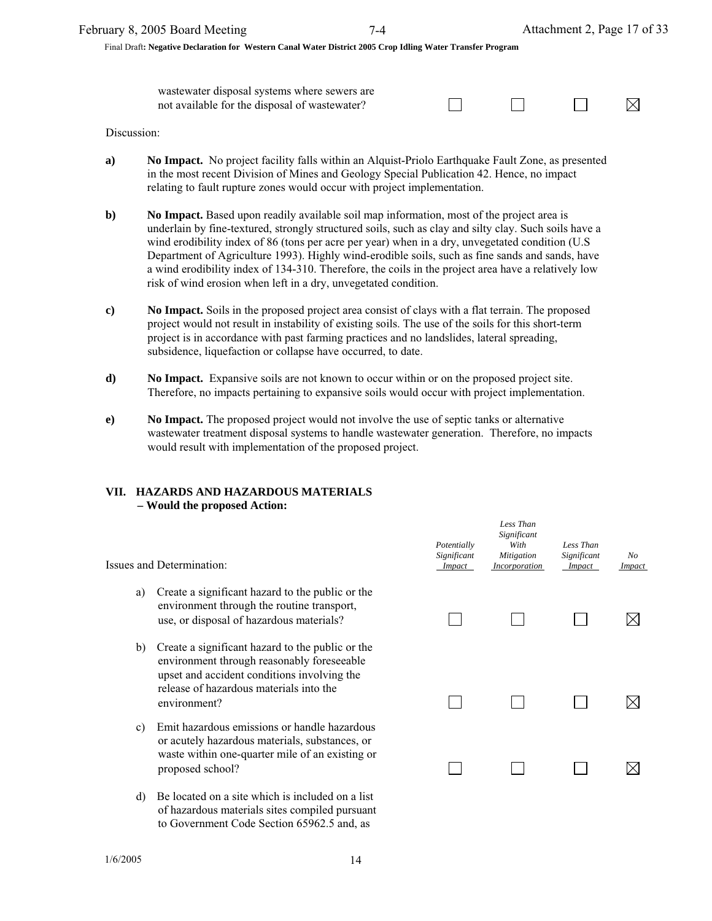| wastewater disposal systems where sewers are  |  |  |
|-----------------------------------------------|--|--|
| not available for the disposal of wastewater? |  |  |

## Discussion:

- **a) No Impact.** No project facility falls within an Alquist-Priolo Earthquake Fault Zone, as presented in the most recent Division of Mines and Geology Special Publication 42. Hence, no impact relating to fault rupture zones would occur with project implementation.
- **b)** No Impact. Based upon readily available soil map information, most of the project area is underlain by fine-textured, strongly structured soils, such as clay and silty clay. Such soils have a wind erodibility index of 86 (tons per acre per year) when in a dry, unvegetated condition (U.S Department of Agriculture 1993). Highly wind-erodible soils, such as fine sands and sands, have a wind erodibility index of 134-310. Therefore, the coils in the project area have a relatively low risk of wind erosion when left in a dry, unvegetated condition.
- **c) No Impact.** Soils in the proposed project area consist of clays with a flat terrain. The proposed project would not result in instability of existing soils. The use of the soils for this short-term project is in accordance with past farming practices and no landslides, lateral spreading, subsidence, liquefaction or collapse have occurred, to date.
- **d) No Impact.** Expansive soils are not known to occur within or on the proposed project site. Therefore, no impacts pertaining to expansive soils would occur with project implementation.
- **e) No Impact.** The proposed project would not involve the use of septic tanks or alternative wastewater treatment disposal systems to handle wastewater generation. Therefore, no impacts would result with implementation of the proposed project.

## **VII. HAZARDS AND HAZARDOUS MATERIALS – Would the proposed Action:**

|    | <b>Issues and Determination:</b>                                                                                                                                                                         | Potentially<br>Significant<br><i>Impact</i> | Less Than<br>Significant<br>With<br>Mitigation<br>Incorporation | Less Than<br>Significant<br><i>Impact</i> | No.<br><i>Impact</i> |
|----|----------------------------------------------------------------------------------------------------------------------------------------------------------------------------------------------------------|---------------------------------------------|-----------------------------------------------------------------|-------------------------------------------|----------------------|
| a) | Create a significant hazard to the public or the<br>environment through the routine transport,<br>use, or disposal of hazardous materials?                                                               |                                             |                                                                 |                                           |                      |
| b) | Create a significant hazard to the public or the<br>environment through reasonably foreseeable<br>upset and accident conditions involving the<br>release of hazardous materials into the<br>environment? |                                             |                                                                 |                                           |                      |
| C) | Emit hazardous emissions or handle hazardous<br>or acutely hazardous materials, substances, or<br>waste within one-quarter mile of an existing or<br>proposed school?                                    |                                             |                                                                 |                                           |                      |

 d) Be located on a site which is included on a list of hazardous materials sites compiled pursuant to Government Code Section 65962.5 and, as

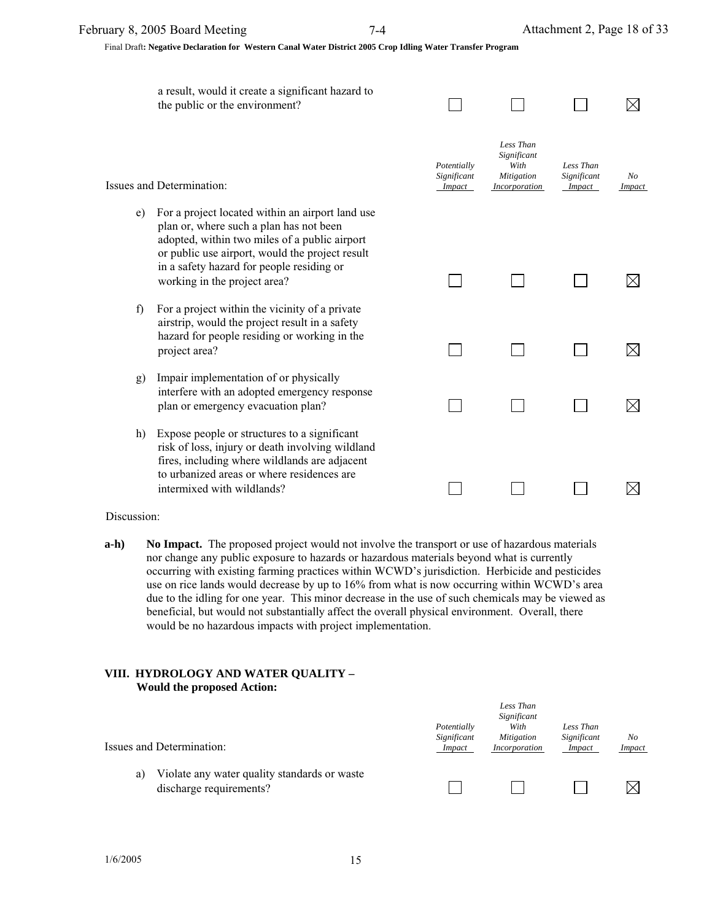|    | a result, would it create a significant hazard to<br>the public or the environment?                                                                                                                                                                                          |                                             |                                                                        |                                           |                                 |
|----|------------------------------------------------------------------------------------------------------------------------------------------------------------------------------------------------------------------------------------------------------------------------------|---------------------------------------------|------------------------------------------------------------------------|-------------------------------------------|---------------------------------|
|    | <b>Issues and Determination:</b>                                                                                                                                                                                                                                             | Potentially<br>Significant<br><i>Impact</i> | Less Than<br>Significant<br>With<br><b>Mitigation</b><br>Incorporation | Less Than<br>Significant<br><i>Impact</i> | N <sub>O</sub><br><i>Impact</i> |
| e) | For a project located within an airport land use<br>plan or, where such a plan has not been<br>adopted, within two miles of a public airport<br>or public use airport, would the project result<br>in a safety hazard for people residing or<br>working in the project area? |                                             |                                                                        |                                           |                                 |
| f) | For a project within the vicinity of a private<br>airstrip, would the project result in a safety<br>hazard for people residing or working in the<br>project area?                                                                                                            |                                             |                                                                        |                                           |                                 |
| g) | Impair implementation of or physically<br>interfere with an adopted emergency response<br>plan or emergency evacuation plan?                                                                                                                                                 |                                             |                                                                        |                                           |                                 |
| h) | Expose people or structures to a significant<br>risk of loss, injury or death involving wildland<br>fires, including where wildlands are adjacent<br>to urbanized areas or where residences are<br>intermixed with wildlands?                                                |                                             |                                                                        |                                           |                                 |

## Discussion:

**a-h)** No Impact. The proposed project would not involve the transport or use of hazardous materials nor change any public exposure to hazards or hazardous materials beyond what is currently occurring with existing farming practices within WCWD's jurisdiction. Herbicide and pesticides use on rice lands would decrease by up to 16% from what is now occurring within WCWD's area due to the idling for one year. This minor decrease in the use of such chemicals may be viewed as beneficial, but would not substantially affect the overall physical environment. Overall, there would be no hazardous impacts with project implementation.

## **VIII. HYDROLOGY AND WATER QUALITY – Would the proposed Action:**

|    | Issues and Determination:                                               | Potentially<br>Significant<br><i>Impact</i> | Less Than<br>Significant<br>With<br><i>Mitigation</i><br>Incorporation | Less Than<br>Significant<br><i>Impact</i> | No<br><b>Impact</b> |
|----|-------------------------------------------------------------------------|---------------------------------------------|------------------------------------------------------------------------|-------------------------------------------|---------------------|
| a) | Violate any water quality standards or waste<br>discharge requirements? |                                             |                                                                        |                                           |                     |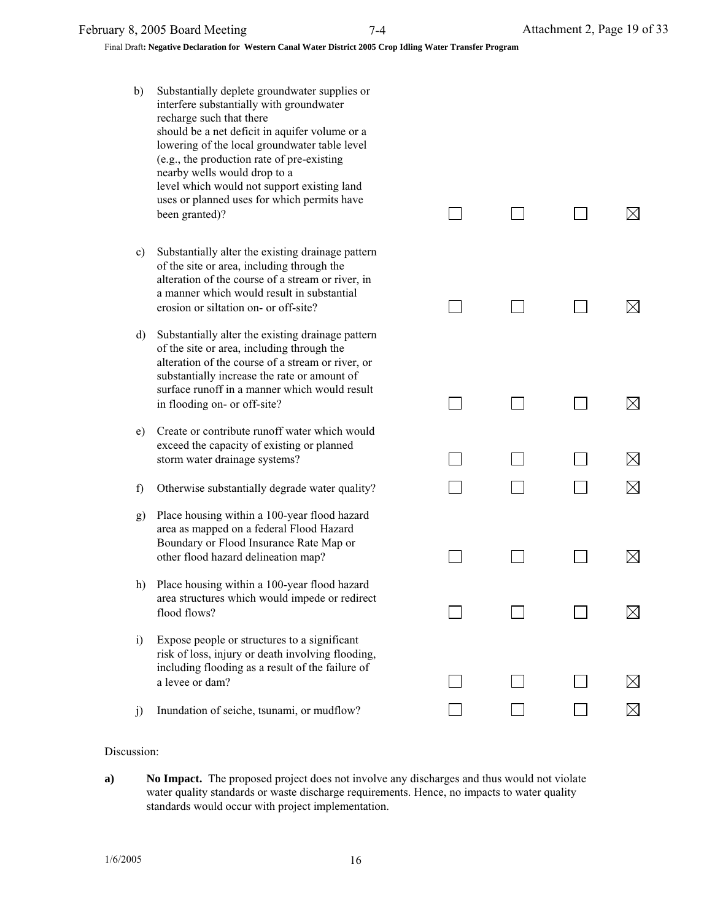## February 8, 2005 Board Meeting 7-4 Attachment 2, Page 19 of 33

Final Draft**: Negative Declaration for Western Canal Water District 2005 Crop Idling Water Transfer Program**

- b) Substantially deplete groundwater supplies or interfere substantially with groundwater recharge such that there should be a net deficit in aquifer volume or a lowering of the local groundwater table level (e.g., the production rate of pre-existing nearby wells would drop to a level which would not support existing land uses or planned uses for which permits have been granted)?
- c) Substantially alter the existing drainage pattern of the site or area, including through the alteration of the course of a stream or river, in a manner which would result in substantial erosion or siltation on- or off-site?
- d) Substantially alter the existing drainage pattern of the site or area, including through the alteration of the course of a stream or river, or substantially increase the rate or amount of surface runoff in a manner which would result in flooding on- or off-site?
- e) Create or contribute runoff water which would exceed the capacity of existing or planned storm water drainage systems?
- f) Otherwise substantially degrade water quality?
- g) Place housing within a 100-year flood hazard area as mapped on a federal Flood Hazard Boundary or Flood Insurance Rate Map or other flood hazard delineation map?
- h) Place housing within a 100-year flood hazard area structures which would impede or redirect flood flows?
- i) Expose people or structures to a significant risk of loss, injury or death involving flooding, including flooding as a result of the failure of a levee or dam?
- j) Inundation of seiche, tsunami, or mudflow?

## Discussion:

**a)** No Impact. The proposed project does not involve any discharges and thus would not violate water quality standards or waste discharge requirements. Hence, no impacts to water quality standards would occur with project implementation.

| $\Box$           | $\Box$           | $\Box$           | $\boxtimes$                |
|------------------|------------------|------------------|----------------------------|
| $\Box$           | $\Box$           | $\Box$           | $\boxtimes$                |
| $\Box$           | $\Box$           | $\Box$           | $\boxtimes$                |
| $\Box$<br>$\Box$ | $\Box$<br>$\Box$ | $\Box$<br>$\Box$ | $\boxtimes$<br>$\boxtimes$ |
| $\Box$           | $\Box$           | $\Box$           | $\boxtimes$                |
| $\Box$           | $\Box$           | $\Box$           | $\boxtimes$                |
| $\Box$<br>$\Box$ | $\Box$<br>$\Box$ | $\Box$<br>$\Box$ | $\boxtimes$<br>$\boxtimes$ |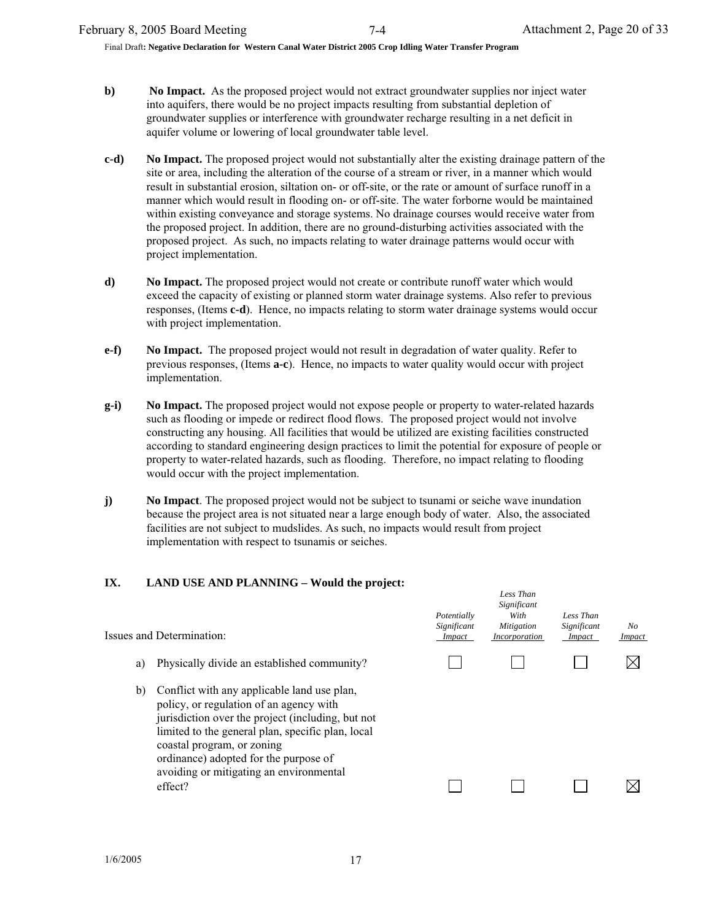- **b) No Impact.** As the proposed project would not extract groundwater supplies nor inject water into aquifers, there would be no project impacts resulting from substantial depletion of groundwater supplies or interference with groundwater recharge resulting in a net deficit in aquifer volume or lowering of local groundwater table level.
- **c-d) No Impact.** The proposed project would not substantially alter the existing drainage pattern of the site or area, including the alteration of the course of a stream or river, in a manner which would result in substantial erosion, siltation on- or off-site, or the rate or amount of surface runoff in a manner which would result in flooding on- or off-site. The water forborne would be maintained within existing conveyance and storage systems. No drainage courses would receive water from the proposed project. In addition, there are no ground-disturbing activities associated with the proposed project. As such, no impacts relating to water drainage patterns would occur with project implementation.
- **d) No Impact.** The proposed project would not create or contribute runoff water which would exceed the capacity of existing or planned storm water drainage systems. Also refer to previous responses, (Items **c-d**). Hence, no impacts relating to storm water drainage systems would occur with project implementation.
- **e-f)** No Impact. The proposed project would not result in degradation of water quality. Refer to previous responses, (Items **a-c**). Hence, no impacts to water quality would occur with project implementation.
- **g-i) No Impact.** The proposed project would not expose people or property to water-related hazards such as flooding or impede or redirect flood flows. The proposed project would not involve constructing any housing. All facilities that would be utilized are existing facilities constructed according to standard engineering design practices to limit the potential for exposure of people or property to water-related hazards, such as flooding. Therefore, no impact relating to flooding would occur with the project implementation.
- **j) No Impact**. The proposed project would not be subject to tsunami or seiche wave inundation because the project area is not situated near a large enough body of water. Also, the associated facilities are not subject to mudslides. As such, no impacts would result from project implementation with respect to tsunamis or seiches.

## **IX. LAND USE AND PLANNING – Would the project:** *Less Than*

| <b>Issues and Determination:</b>                                                                                                                                                                                                                                                                                         | Potentially<br>Significant<br>Impact | Significant<br>With<br>Mitigation<br>Incorporation | Less Than<br>Significant<br><i>Impact</i> | No<br><i>Impact</i> |
|--------------------------------------------------------------------------------------------------------------------------------------------------------------------------------------------------------------------------------------------------------------------------------------------------------------------------|--------------------------------------|----------------------------------------------------|-------------------------------------------|---------------------|
| Physically divide an established community?<br>a)                                                                                                                                                                                                                                                                        |                                      |                                                    |                                           |                     |
| b)<br>Conflict with any applicable land use plan,<br>policy, or regulation of an agency with<br>jurisdiction over the project (including, but not<br>limited to the general plan, specific plan, local<br>coastal program, or zoning<br>ordinance) adopted for the purpose of<br>avoiding or mitigating an environmental |                                      |                                                    |                                           |                     |
| effect?                                                                                                                                                                                                                                                                                                                  |                                      |                                                    |                                           |                     |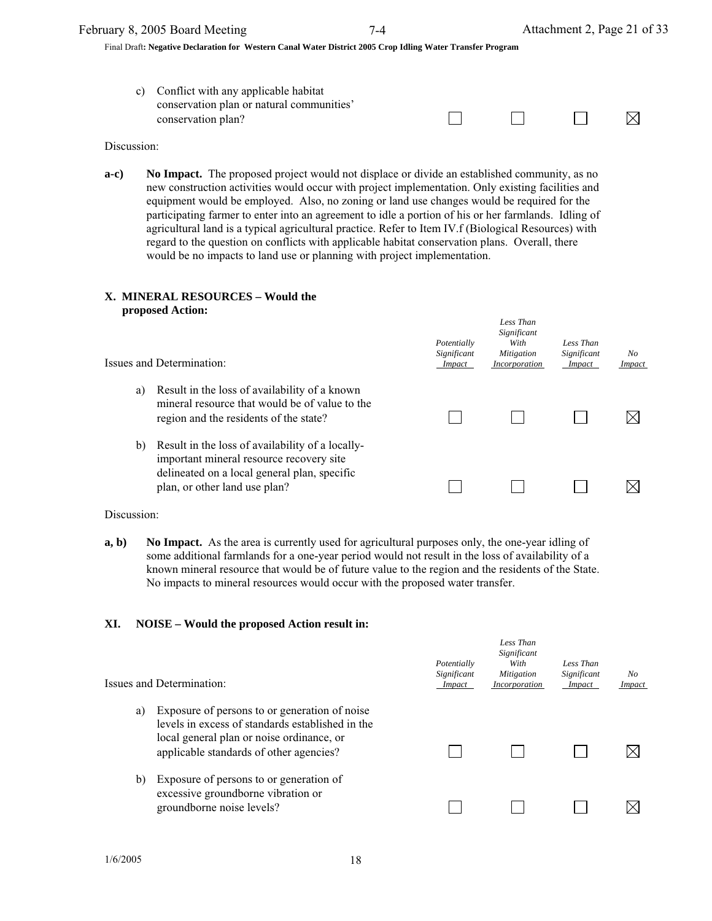| c) Conflict with any applicable habitat   |  |  |
|-------------------------------------------|--|--|
| conservation plan or natural communities' |  |  |
| conservation plan?                        |  |  |

## Discussion:

**a-c)** No Impact. The proposed project would not displace or divide an established community, as no new construction activities would occur with project implementation. Only existing facilities and equipment would be employed. Also, no zoning or land use changes would be required for the participating farmer to enter into an agreement to idle a portion of his or her farmlands. Idling of agricultural land is a typical agricultural practice. Refer to Item IV.f (Biological Resources) with regard to the question on conflicts with applicable habitat conservation plans. Overall, there would be no impacts to land use or planning with project implementation.

# **X. MINERAL RESOURCES – Would the proposed Action:** *Less Than Less Than*

|    | <b>Issues and Determination:</b>                                                                                                                                              | Potentially<br>Significant<br><i>Impact</i> | Significant<br>With<br><i>Mitigation</i><br>Incorporation | Less Than<br>Significant<br><i>Impact</i> | No<br><i>Impact</i> |
|----|-------------------------------------------------------------------------------------------------------------------------------------------------------------------------------|---------------------------------------------|-----------------------------------------------------------|-------------------------------------------|---------------------|
| a) | Result in the loss of availability of a known<br>mineral resource that would be of value to the<br>region and the residents of the state?                                     |                                             |                                                           |                                           |                     |
| b) | Result in the loss of availability of a locally-<br>important mineral resource recovery site<br>delineated on a local general plan, specific<br>plan, or other land use plan? |                                             |                                                           |                                           |                     |

## Discussion:

**a, b) No Impact.** As the area is currently used for agricultural purposes only, the one-year idling of some additional farmlands for a one-year period would not result in the loss of availability of a known mineral resource that would be of future value to the region and the residents of the State. No impacts to mineral resources would occur with the proposed water transfer.

## **XI. NOISE – Would the proposed Action result in:**

|    | <b>Issues and Determination:</b>                                                                                                                                                          | Potentially<br>Significant<br><i>Impact</i> | Less Than<br>Significant<br>With<br>Mitigation<br>Incorporation | Less Than<br>Significant<br><i>Impact</i> | No<br><i>Impact</i> |
|----|-------------------------------------------------------------------------------------------------------------------------------------------------------------------------------------------|---------------------------------------------|-----------------------------------------------------------------|-------------------------------------------|---------------------|
| a) | Exposure of persons to or generation of noise<br>levels in excess of standards established in the<br>local general plan or noise ordinance, or<br>applicable standards of other agencies? |                                             |                                                                 |                                           |                     |
| b) | Exposure of persons to or generation of<br>excessive groundborne vibration or<br>groundborne noise levels?                                                                                |                                             |                                                                 |                                           |                     |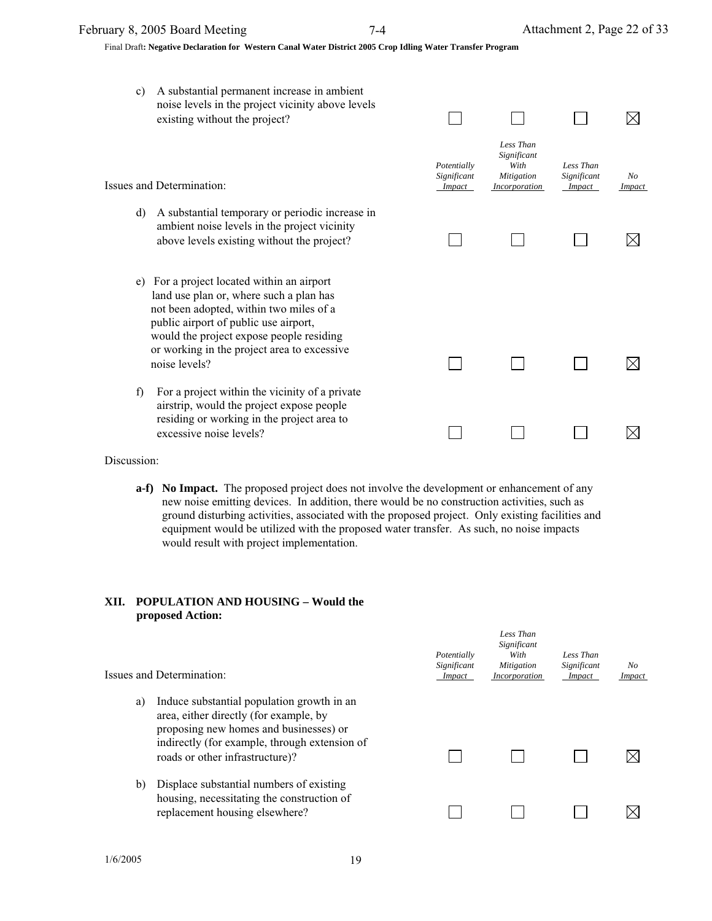## February 8, 2005 Board Meeting 7-4 Attachment 2, Page 22 of 33

Final Draft**: Negative Declaration for Western Canal Water District 2005 Crop Idling Water Transfer Program**

| $\mathbf{c}$ ) | A substantial permanent increase in ambient<br>noise levels in the project vicinity above levels<br>existing without the project?                                                                                                                                                  |                                             |                                                                        |                                           |                                 |
|----------------|------------------------------------------------------------------------------------------------------------------------------------------------------------------------------------------------------------------------------------------------------------------------------------|---------------------------------------------|------------------------------------------------------------------------|-------------------------------------------|---------------------------------|
|                | <b>Issues and Determination:</b>                                                                                                                                                                                                                                                   | Potentially<br>Significant<br><i>Impact</i> | Less Than<br>Significant<br>With<br><b>Mitigation</b><br>Incorporation | Less Than<br>Significant<br><i>Impact</i> | N <sub>O</sub><br><i>Impact</i> |
| d)             | A substantial temporary or periodic increase in<br>ambient noise levels in the project vicinity<br>above levels existing without the project?                                                                                                                                      |                                             |                                                                        |                                           |                                 |
| e)             | For a project located within an airport<br>land use plan or, where such a plan has<br>not been adopted, within two miles of a<br>public airport of public use airport,<br>would the project expose people residing<br>or working in the project area to excessive<br>noise levels? |                                             |                                                                        |                                           |                                 |
| f)             | For a project within the vicinity of a private<br>airstrip, would the project expose people<br>residing or working in the project area to<br>excessive noise levels?                                                                                                               |                                             |                                                                        |                                           |                                 |

## Discussion:

**a-f)** No Impact. The proposed project does not involve the development or enhancement of any new noise emitting devices. In addition, there would be no construction activities, such as ground disturbing activities, associated with the proposed project. Only existing facilities and equipment would be utilized with the proposed water transfer. As such, no noise impacts would result with project implementation.

*Less Than* 

## **XII. POPULATION AND HOUSING – Would the proposed Action:**

| Potentially<br>Significant<br><i>Impact</i> | Significant<br>With<br><i>Mitigation</i><br>Incorporation | Less Than<br>Significant<br><i>Impact</i> | No<br><i>Impact</i> |
|---------------------------------------------|-----------------------------------------------------------|-------------------------------------------|---------------------|
|                                             |                                                           |                                           |                     |
|                                             |                                                           |                                           |                     |
|                                             |                                                           |                                           |                     |

1/6/2005 19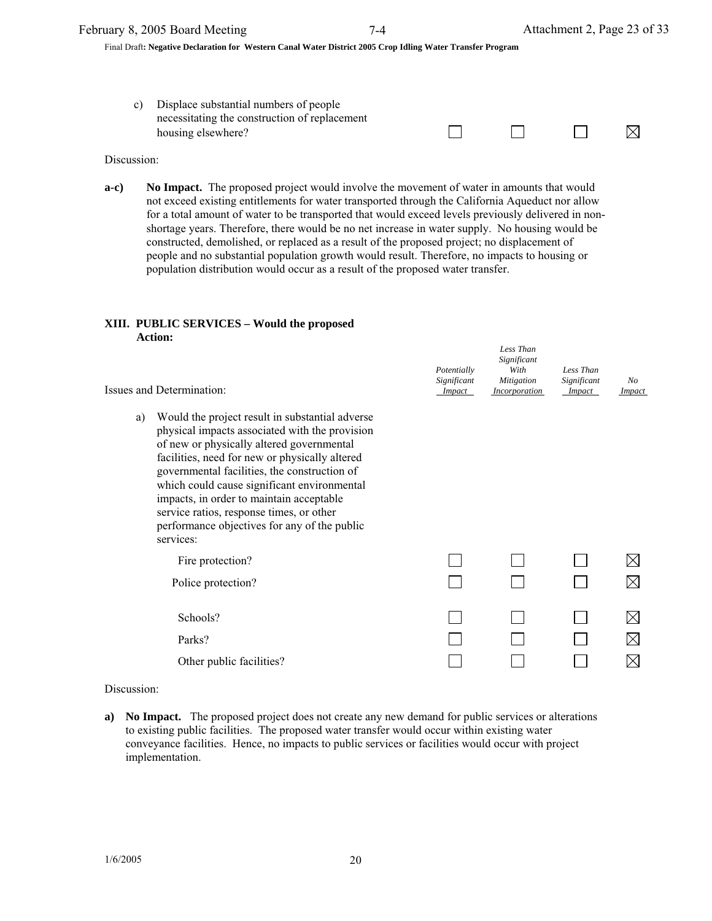c) Displace substantial numbers of people necessitating the construction of replacement  $\Box$  $\Box$  $\Box$  $\boxtimes$ housing elsewhere?

## Discussion:

**a-c)** No Impact. The proposed project would involve the movement of water in amounts that would not exceed existing entitlements for water transported through the California Aqueduct nor allow for a total amount of water to be transported that would exceed levels previously delivered in nonshortage years. Therefore, there would be no net increase in water supply. No housing would be constructed, demolished, or replaced as a result of the proposed project; no displacement of people and no substantial population growth would result. Therefore, no impacts to housing or population distribution would occur as a result of the proposed water transfer.

## **XIII. PUBLIC SERVICES – Would the proposed Action:**

|    | <b>Issues and Determination:</b>                                                                                                                                                                                                                                                                                                                                                                                                                     | Potentially<br>Significant<br><i>Impact</i> | Less Than<br>Significant<br>With<br><b>Mitigation</b><br>Incorporation | Less Than<br>Significant<br><i>Impact</i> | No<br><i>Impact</i> |
|----|------------------------------------------------------------------------------------------------------------------------------------------------------------------------------------------------------------------------------------------------------------------------------------------------------------------------------------------------------------------------------------------------------------------------------------------------------|---------------------------------------------|------------------------------------------------------------------------|-------------------------------------------|---------------------|
| a) | Would the project result in substantial adverse<br>physical impacts associated with the provision<br>of new or physically altered governmental<br>facilities, need for new or physically altered<br>governmental facilities, the construction of<br>which could cause significant environmental<br>impacts, in order to maintain acceptable<br>service ratios, response times, or other<br>performance objectives for any of the public<br>services: |                                             |                                                                        |                                           |                     |
|    | Fire protection?                                                                                                                                                                                                                                                                                                                                                                                                                                     |                                             |                                                                        |                                           |                     |
|    | Police protection?                                                                                                                                                                                                                                                                                                                                                                                                                                   |                                             |                                                                        |                                           |                     |
|    | Schools?<br>Parks?<br>Other public facilities?                                                                                                                                                                                                                                                                                                                                                                                                       |                                             |                                                                        |                                           | $\boxtimes$         |
|    |                                                                                                                                                                                                                                                                                                                                                                                                                                                      |                                             |                                                                        |                                           |                     |

#### Discussion:

**a) No Impact.** The proposed project does not create any new demand for public services or alterations to existing public facilities. The proposed water transfer would occur within existing water conveyance facilities. Hence, no impacts to public services or facilities would occur with project implementation.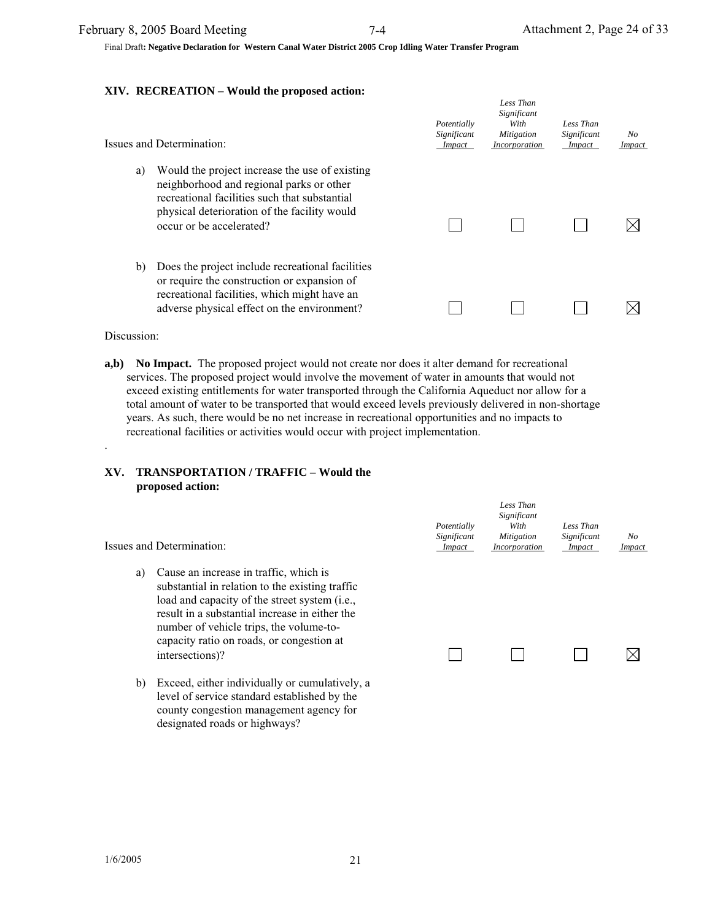## **XIV. RECREATION – Would the proposed action:**

| <b>Issues and Determination:</b>                                                                                                                                                                                              | Potentially<br>Significant<br>Impact | Less Than<br>Significant<br>With<br>Mitigation<br>Incorporation | Less Than<br>Significant<br><i>Impact</i> | No<br><i>Impact</i> |
|-------------------------------------------------------------------------------------------------------------------------------------------------------------------------------------------------------------------------------|--------------------------------------|-----------------------------------------------------------------|-------------------------------------------|---------------------|
| Would the project increase the use of existing<br>a)<br>neighborhood and regional parks or other<br>recreational facilities such that substantial<br>physical deterioration of the facility would<br>occur or be accelerated? |                                      |                                                                 |                                           |                     |
| Does the project include recreational facilities<br>b)<br>or require the construction or expansion of<br>recreational facilities, which might have an<br>adverse physical effect on the environment?                          |                                      |                                                                 |                                           |                     |

## Discussion:

.

**a,b) No Impact.** The proposed project would not create nor does it alter demand for recreational services. The proposed project would involve the movement of water in amounts that would not exceed existing entitlements for water transported through the California Aqueduct nor allow for a total amount of water to be transported that would exceed levels previously delivered in non-shortage years. As such, there would be no net increase in recreational opportunities and no impacts to recreational facilities or activities would occur with project implementation.

## **XV. TRANSPORTATION / TRAFFIC – Would the proposed action:**

county congestion management agency for

designated roads or highways?

|    | <b>Issues and Determination:</b>                                                                                                                                                                                                                                                                        | Potentially<br>Significant<br><i>Impact</i> | Less Than<br>Significant<br>With<br><i>Mitigation</i><br>Incorporation | Less Than<br>Significant<br><i>Impact</i> | No<br><i>Impact</i> |
|----|---------------------------------------------------------------------------------------------------------------------------------------------------------------------------------------------------------------------------------------------------------------------------------------------------------|---------------------------------------------|------------------------------------------------------------------------|-------------------------------------------|---------------------|
| a) | Cause an increase in traffic, which is<br>substantial in relation to the existing traffic<br>load and capacity of the street system (i.e.,<br>result in a substantial increase in either the<br>number of vehicle trips, the volume-to-<br>capacity ratio on roads, or congestion at<br>intersections)? |                                             |                                                                        |                                           |                     |
| b) | Exceed, either individually or cumulatively, a<br>level of service standard established by the                                                                                                                                                                                                          |                                             |                                                                        |                                           |                     |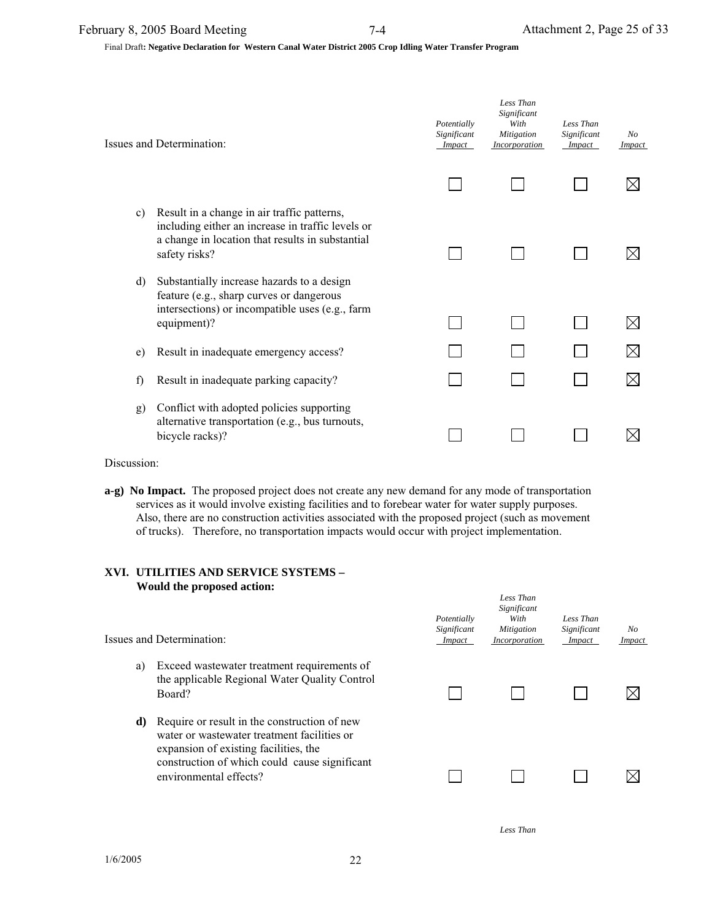|               | <b>Issues and Determination:</b>                                                                                                                                      | Potentially<br>Significant<br><i>Impact</i> | Less Than<br>Significant<br>With<br><b>Mitigation</b><br>Incorporation | Less Than<br>Significant<br><i>Impact</i> | No<br><i>Impact</i> |
|---------------|-----------------------------------------------------------------------------------------------------------------------------------------------------------------------|---------------------------------------------|------------------------------------------------------------------------|-------------------------------------------|---------------------|
|               |                                                                                                                                                                       |                                             |                                                                        |                                           |                     |
| $\mathbf{c})$ | Result in a change in air traffic patterns,<br>including either an increase in traffic levels or<br>a change in location that results in substantial<br>safety risks? |                                             |                                                                        |                                           |                     |
| d)            | Substantially increase hazards to a design<br>feature (e.g., sharp curves or dangerous<br>intersections) or incompatible uses (e.g., farm<br>equipment)?              |                                             |                                                                        |                                           |                     |
| e)            | Result in inadequate emergency access?                                                                                                                                |                                             |                                                                        |                                           |                     |
| f)            | Result in inadequate parking capacity?                                                                                                                                |                                             |                                                                        |                                           |                     |
| g)            | Conflict with adopted policies supporting<br>alternative transportation (e.g., bus turnouts,<br>bicycle racks)?                                                       |                                             |                                                                        |                                           |                     |

## Discussion:

**a-g) No Impact.** The proposed project does not create any new demand for any mode of transportation services as it would involve existing facilities and to forebear water for water supply purposes. Also, there are no construction activities associated with the proposed project (such as movement of trucks). Therefore, no transportation impacts would occur with project implementation.

# **XVI. UTILITIES AND SERVICE SYSTEMS – Would the proposed action:** *Less Than*

|    | Issues and Determination:                                                                                                                                                                                       | Potentially<br>Significant<br>Impact | <b>LCJJ 111111</b><br>Significant<br>With<br><b>Mitigation</b><br>Incorporation | Less Than<br>Significant<br>Impact | No<br><i>Impact</i> |
|----|-----------------------------------------------------------------------------------------------------------------------------------------------------------------------------------------------------------------|--------------------------------------|---------------------------------------------------------------------------------|------------------------------------|---------------------|
| a) | Exceed was tewater treatment requirements of<br>the applicable Regional Water Quality Control<br>Board?                                                                                                         |                                      |                                                                                 |                                    |                     |
| d) | Require or result in the construction of new<br>water or wastewater treatment facilities or<br>expansion of existing facilities, the<br>construction of which could cause significant<br>environmental effects? |                                      |                                                                                 |                                    |                     |

*Less Than*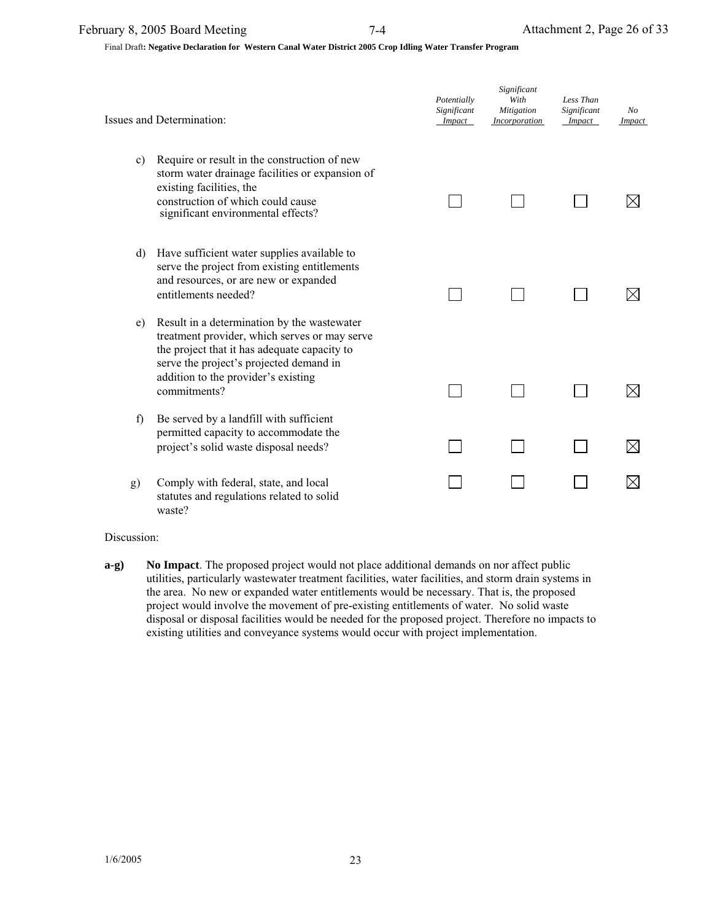## February 8, 2005 Board Meeting 7-4 Attachment 2, Page 26 of 33

#### Final Draft**: Negative Declaration for Western Canal Water District 2005 Crop Idling Water Transfer Program**

|               | <b>Issues and Determination:</b>                                                                                                                                                                                                               | Potentially<br>Significant<br><i>Impact</i> | Significant<br>With<br>Mitigation<br>Incorporation | Less Than<br>Significant<br><i>Impact</i> | No<br>Impact |
|---------------|------------------------------------------------------------------------------------------------------------------------------------------------------------------------------------------------------------------------------------------------|---------------------------------------------|----------------------------------------------------|-------------------------------------------|--------------|
| $\mathbf{c})$ | Require or result in the construction of new<br>storm water drainage facilities or expansion of<br>existing facilities, the<br>construction of which could cause<br>significant environmental effects?                                         |                                             |                                                    |                                           |              |
| d)            | Have sufficient water supplies available to<br>serve the project from existing entitlements<br>and resources, or are new or expanded<br>entitlements needed?                                                                                   |                                             |                                                    |                                           |              |
| e)            | Result in a determination by the wastewater<br>treatment provider, which serves or may serve<br>the project that it has adequate capacity to<br>serve the project's projected demand in<br>addition to the provider's existing<br>commitments? |                                             |                                                    |                                           |              |
| f)            | Be served by a landfill with sufficient<br>permitted capacity to accommodate the<br>project's solid waste disposal needs?                                                                                                                      |                                             |                                                    |                                           | $\times$     |
| g)            | Comply with federal, state, and local<br>statutes and regulations related to solid<br>waste?                                                                                                                                                   |                                             |                                                    |                                           | X            |

#### Discussion:

**a-g)** No Impact. The proposed project would not place additional demands on nor affect public utilities, particularly wastewater treatment facilities, water facilities, and storm drain systems in the area. No new or expanded water entitlements would be necessary. That is, the proposed project would involve the movement of pre-existing entitlements of water. No solid waste disposal or disposal facilities would be needed for the proposed project. Therefore no impacts to existing utilities and conveyance systems would occur with project implementation.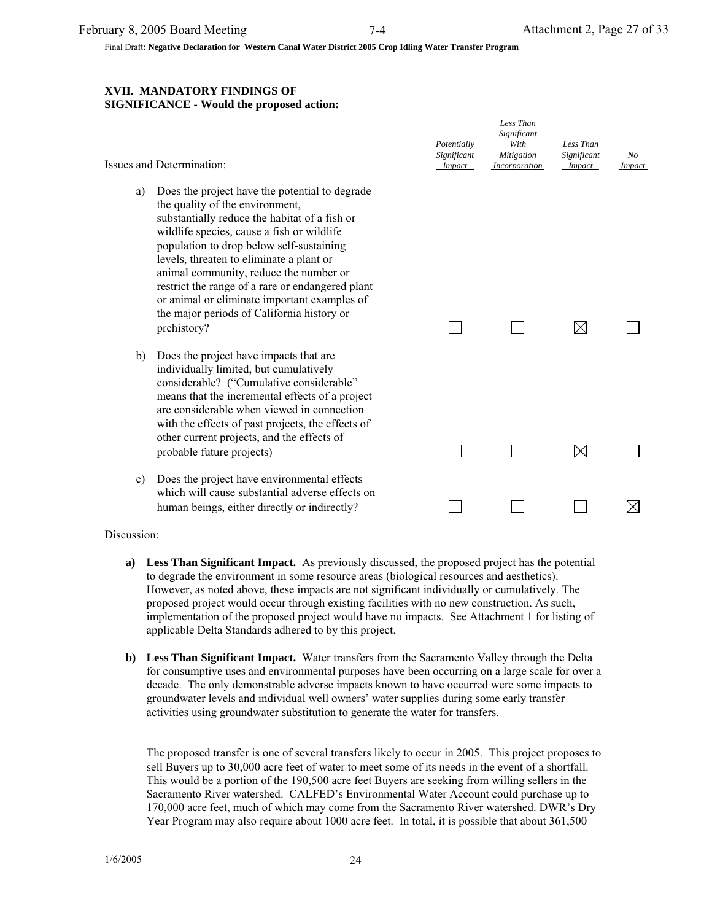## **XVII. MANDATORY FINDINGS OF SIGNIFICANCE - Would the proposed action:**

|                | Issues and Determination:                                                                                                                                                                                                                                                                                                                                                                                                                                                           | Potentially<br>Significant<br><i>Impact</i> | Less Than<br>Significant<br>With<br><b>Mitigation</b><br>Incorporation | Less Than<br>Significant<br><i>Impact</i> | N <sub>O</sub><br><i>Impact</i> |
|----------------|-------------------------------------------------------------------------------------------------------------------------------------------------------------------------------------------------------------------------------------------------------------------------------------------------------------------------------------------------------------------------------------------------------------------------------------------------------------------------------------|---------------------------------------------|------------------------------------------------------------------------|-------------------------------------------|---------------------------------|
| a)             | Does the project have the potential to degrade<br>the quality of the environment,<br>substantially reduce the habitat of a fish or<br>wildlife species, cause a fish or wildlife<br>population to drop below self-sustaining<br>levels, threaten to eliminate a plant or<br>animal community, reduce the number or<br>restrict the range of a rare or endangered plant<br>or animal or eliminate important examples of<br>the major periods of California history or<br>prehistory? |                                             |                                                                        |                                           |                                 |
| b)             | Does the project have impacts that are<br>individually limited, but cumulatively<br>considerable? ("Cumulative considerable"<br>means that the incremental effects of a project<br>are considerable when viewed in connection<br>with the effects of past projects, the effects of<br>other current projects, and the effects of<br>probable future projects)                                                                                                                       |                                             |                                                                        |                                           |                                 |
| $\mathbf{c}$ ) | Does the project have environmental effects<br>which will cause substantial adverse effects on<br>human beings, either directly or indirectly?                                                                                                                                                                                                                                                                                                                                      |                                             |                                                                        |                                           |                                 |

#### Discussion:

- **a) Less Than Significant Impact.** As previously discussed, the proposed project has the potential to degrade the environment in some resource areas (biological resources and aesthetics). However, as noted above, these impacts are not significant individually or cumulatively. The proposed project would occur through existing facilities with no new construction. As such, implementation of the proposed project would have no impacts. See Attachment 1 for listing of applicable Delta Standards adhered to by this project.
- **b) Less Than Significant Impact.** Water transfers from the Sacramento Valley through the Delta for consumptive uses and environmental purposes have been occurring on a large scale for over a decade. The only demonstrable adverse impacts known to have occurred were some impacts to groundwater levels and individual well owners' water supplies during some early transfer activities using groundwater substitution to generate the water for transfers.

The proposed transfer is one of several transfers likely to occur in 2005. This project proposes to sell Buyers up to 30,000 acre feet of water to meet some of its needs in the event of a shortfall. This would be a portion of the 190,500 acre feet Buyers are seeking from willing sellers in the Sacramento River watershed. CALFED's Environmental Water Account could purchase up to 170,000 acre feet, much of which may come from the Sacramento River watershed. DWR's Dry Year Program may also require about 1000 acre feet. In total, it is possible that about 361,500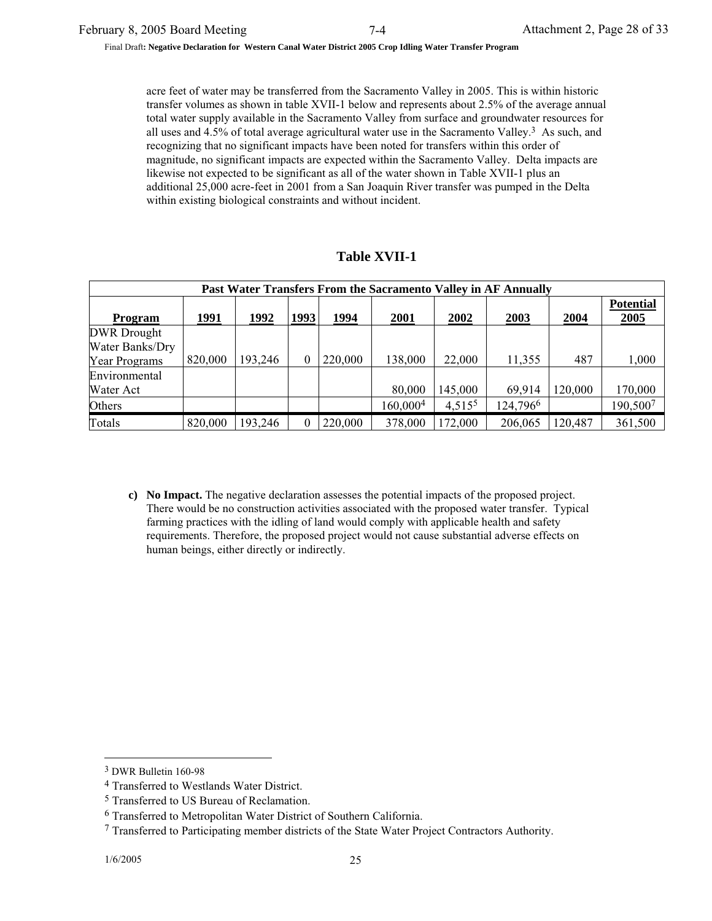acre feet of water may be transferred from the Sacramento Valley in 2005. This is within historic transfer volumes as shown in table XVII-1 below and represents about 2.5% of the average annual total water supply available in the Sacramento Valley from surface and groundwater resources for all uses and 4.5% of total average agricultural water use in the Sacramento Valley.3 As such, and recognizing that no significant impacts have been noted for transfers within this order of magnitude, no significant impacts are expected within the Sacramento Valley. Delta impacts are likewise not expected to be significant as all of the water shown in Table XVII-1 plus an additional 25,000 acre-feet in 2001 from a San Joaquin River transfer was pumped in the Delta within existing biological constraints and without incident.

|  | <b>Table XVII-1</b> |
|--|---------------------|
|--|---------------------|

| Past Water Transfers From the Sacramento Valley in AF Annually |         |         |          |         |                      |                    |                      |         |                          |  |
|----------------------------------------------------------------|---------|---------|----------|---------|----------------------|--------------------|----------------------|---------|--------------------------|--|
| Program                                                        | 1991    | 1992    | 1993     | 1994    | 2001                 | 2002               | 2003                 | 2004    | <b>Potential</b><br>2005 |  |
| <b>DWR</b> Drought                                             |         |         |          |         |                      |                    |                      |         |                          |  |
| Water Banks/Dry                                                |         |         |          |         |                      |                    |                      |         |                          |  |
| <b>Year Programs</b>                                           | 820,000 | 193,246 | 0        | 220,000 | 138,000              | 22,000             | 11,355               | 487     | 1,000                    |  |
| Environmental                                                  |         |         |          |         |                      |                    |                      |         |                          |  |
| Water Act                                                      |         |         |          |         | 80,000               | 145,000            | 69,914               | 120,000 | 170,000                  |  |
| Others                                                         |         |         |          |         | 160,000 <sup>4</sup> | 4,515 <sup>5</sup> | 124,796 <sup>6</sup> |         | 190,5007                 |  |
| Totals                                                         | 820,000 | 193,246 | $\theta$ | 220,000 | 378,000              | 172,000            | 206,065              | 120,487 | 361,500                  |  |

**c) No Impact.** The negative declaration assesses the potential impacts of the proposed project. There would be no construction activities associated with the proposed water transfer. Typical farming practices with the idling of land would comply with applicable health and safety requirements. Therefore, the proposed project would not cause substantial adverse effects on human beings, either directly or indirectly.

l

<sup>3</sup> DWR Bulletin 160-98

<sup>4</sup> Transferred to Westlands Water District.

<sup>5</sup> Transferred to US Bureau of Reclamation.

<sup>6</sup> Transferred to Metropolitan Water District of Southern California.

<sup>7</sup> Transferred to Participating member districts of the State Water Project Contractors Authority.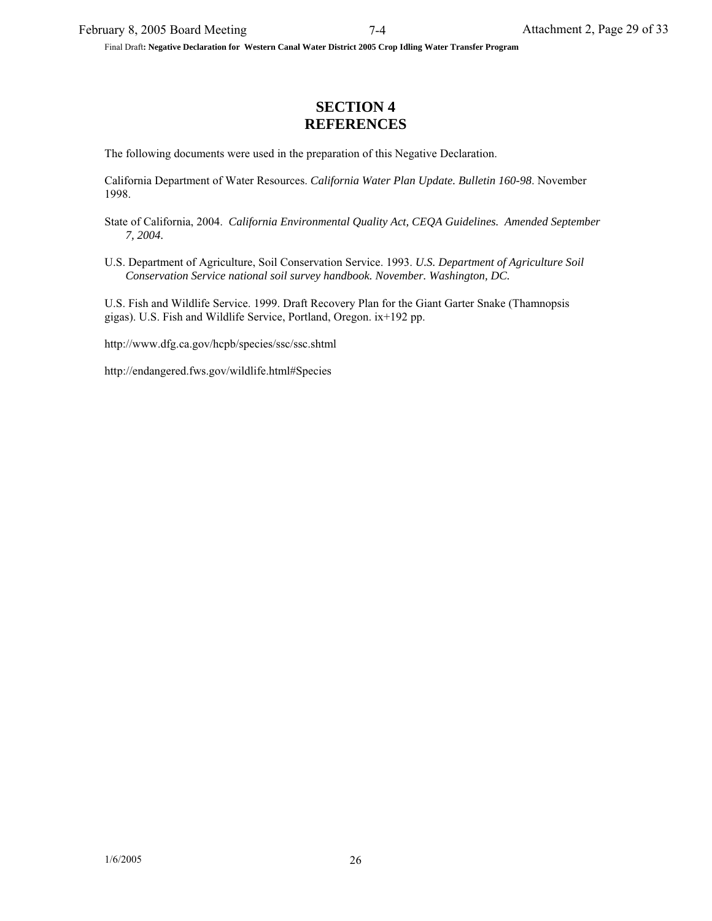# **SECTION 4 REFERENCES**

The following documents were used in the preparation of this Negative Declaration.

California Department of Water Resources. *California Water Plan Update. Bulletin 160-98*. November 1998.

- State of California, 2004. *California Environmental Quality Act, CEQA Guidelines. Amended September 7, 2004.*
- U.S. Department of Agriculture, Soil Conservation Service. 1993. *U.S. Department of Agriculture Soil Conservation Service national soil survey handbook. November. Washington, DC.*

U.S. Fish and Wildlife Service. 1999. Draft Recovery Plan for the Giant Garter Snake (Thamnopsis gigas). U.S. Fish and Wildlife Service, Portland, Oregon. ix+192 pp.

http://www.dfg.ca.gov/hcpb/species/ssc/ssc.shtml

http://endangered.fws.gov/wildlife.html#Species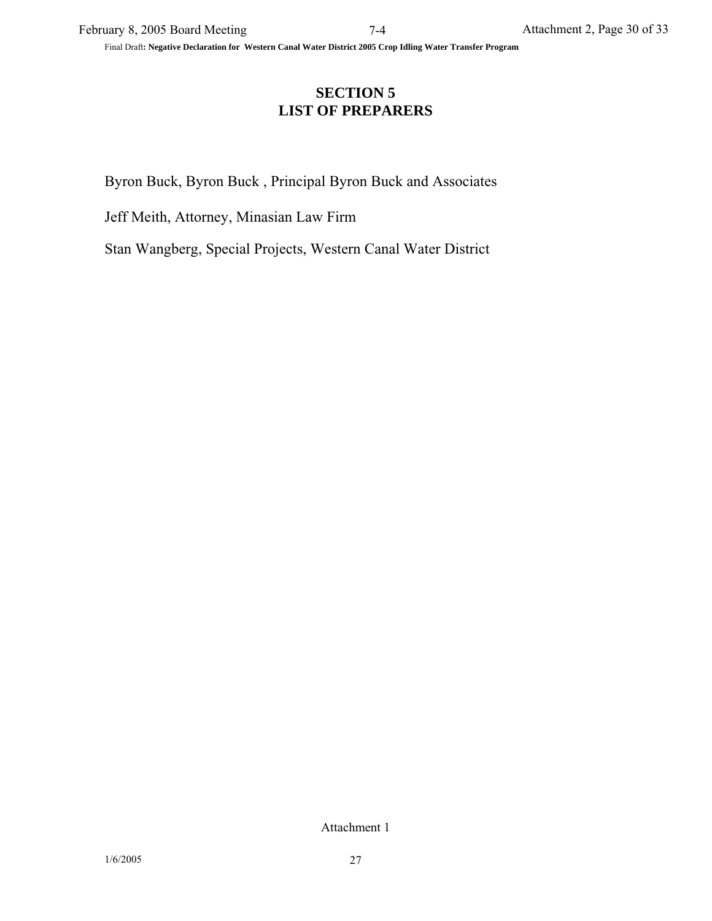# **SECTION 5 LIST OF PREPARERS**

Byron Buck, Byron Buck , Principal Byron Buck and Associates

Jeff Meith, Attorney, Minasian Law Firm

Stan Wangberg, Special Projects, Western Canal Water District

Attachment 1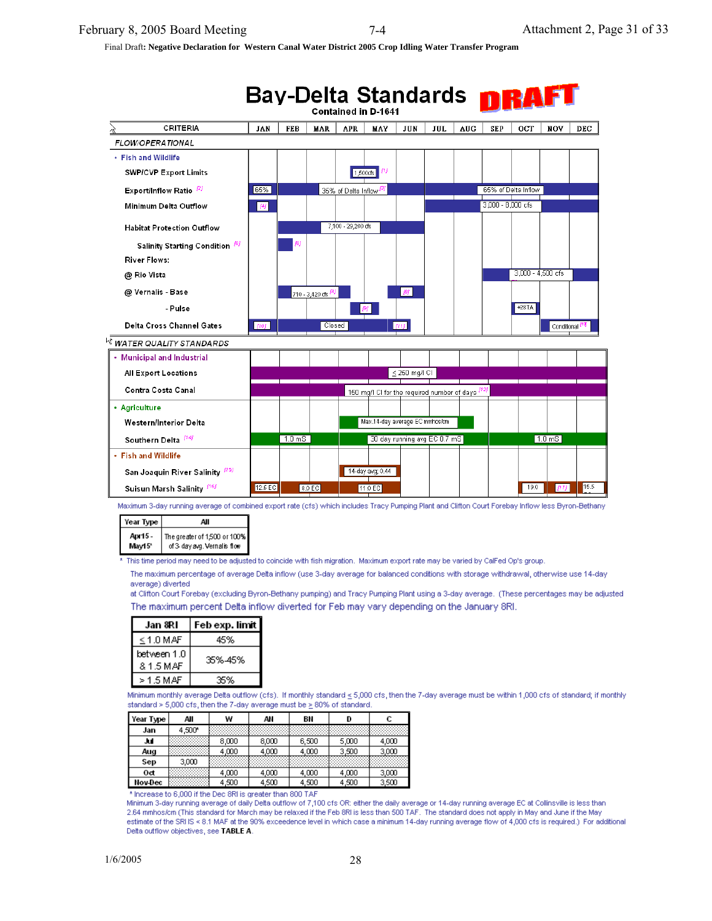|                                            |            |                    |                         |                     | <b>Bay-Delta Standards</b><br><b>Contained in D-1641</b> |                              |            |             |                   | nRA                 |                           |      |
|--------------------------------------------|------------|--------------------|-------------------------|---------------------|----------------------------------------------------------|------------------------------|------------|-------------|-------------------|---------------------|---------------------------|------|
| <b>CRITERIA</b>                            | <b>JAN</b> | <b>FEB</b>         | <b>MAR</b>              | <b>APR</b>          | MAY                                                      | <b>JUN</b>                   | <b>JUL</b> | <b>AIIG</b> | <b>SEP</b>        | oct                 | <b>NOV</b>                | DEC  |
| <b>FLOW/OPERATIONAL</b>                    |            |                    |                         |                     |                                                          |                              |            |             |                   |                     |                           |      |
| • Fish and Wildlife                        |            |                    |                         |                     |                                                          |                              |            |             |                   |                     |                           |      |
| <b>SWP/CVP Export Limits</b>               |            |                    |                         | 1,500cfs            |                                                          |                              |            |             |                   |                     |                           |      |
| Export/Inflow Ratio <sup>[2]</sup>         | 65%        |                    |                         | 35% of Delta Inflow |                                                          |                              |            |             |                   | 65% of Delta Inflow |                           |      |
| Minimum Delta Outflow                      | [4]        |                    |                         |                     |                                                          |                              |            |             | 3,000 - 8,000 cfs |                     |                           |      |
| <b>Habitat Protection Outflow</b>          |            |                    |                         | 7,100 - 29,200 cfs  |                                                          |                              |            |             |                   |                     |                           |      |
| Salinity Starting Condition <sup>[6]</sup> |            | f6)                |                         |                     |                                                          |                              |            |             |                   |                     |                           |      |
| <b>River Flows:</b>                        |            |                    |                         |                     |                                                          |                              |            |             |                   |                     |                           |      |
| @ Rio Vista                                |            |                    |                         |                     |                                                          |                              |            |             |                   | 3,000 - 4,500 cfs   |                           |      |
| @ Vernalis - Base                          |            |                    | 710 - 3,420 cfs $^{16}$ |                     |                                                          | 787                          |            |             |                   |                     |                           |      |
| - Pulse                                    |            |                    |                         |                     |                                                          |                              |            |             |                   | +28TA               |                           |      |
| Delta Cross Channel Gates                  | 1101       |                    | Closed                  |                     |                                                          | M1                           |            |             |                   |                     | Conditional <sup>[1</sup> |      |
| $\frac{1}{N}$ WATER QUALITY STANDARDS      |            |                    |                         |                     |                                                          |                              |            |             |                   |                     |                           |      |
| • Municipal and Industrial                 |            |                    |                         |                     |                                                          |                              |            |             |                   |                     |                           |      |
| <b>All Export Locations</b>                |            |                    |                         |                     |                                                          | < 250 mg/l Cl                |            |             |                   |                     |                           |      |
| Contra Costa Canal                         |            |                    |                         |                     | 150 mg/l CI for the required number of days <sup>p</sup> |                              |            |             |                   |                     |                           |      |
| • Agriculture                              |            |                    |                         |                     |                                                          |                              |            |             |                   |                     |                           |      |
| Western/Interior Delta                     |            |                    |                         |                     | Max.14-day average EC mmhos/cm                           |                              |            |             |                   |                     |                           |      |
| Southern Delta [14]                        |            | 1.0 <sub>m</sub> S |                         |                     |                                                          | 30 day running avg EC 0.7 mS |            |             |                   |                     | 1.0 <sub>m</sub> S        |      |
| • Fish and Wildlife                        |            |                    |                         |                     |                                                          |                              |            |             |                   |                     |                           |      |
| San Joaquin River Salinity [15]            |            |                    |                         |                     | 14-day avg; 0.44                                         |                              |            |             |                   |                     |                           |      |
| Suisun Marsh Salinity [16]                 | 12.5 EC    |                    | 8.0 EC                  |                     | 11.0 EC                                                  |                              |            |             |                   | 19.0                | [17]                      | 15.5 |

Maximum 3-day running average of combined export rate (cfs) which includes Tracy Pumping Plant and Clifton Court Forebay Inflow less Byron-Bethany



This time period may need to be adjusted to coincide with fish migration. Maximum export rate may be varied by CalFed Op's group.

The maximum percentage of average Delta inflow (use 3-day average for balanced conditions with storage withdrawal, otherwise use 14-day average) diverted

at Clifton Court Forebay (excluding Byron-Bethany pumping) and Tracy Pumping Plant using a 3-day average. (These percentages may be adjusted The maximum percent Delta inflow diverted for Feb may vary depending on the January 8RI.

| Jan 8RI                  | Feb exp. limit |
|--------------------------|----------------|
| ≤ 1.0 M AF               | 45%            |
| between 1.0<br>8.1.5 MAF | 35%45%         |
| > 1.5 M AF               | 35%            |

Minimum monthly average Delta outflow (cfs). If monthly standard < 5,000 cfs, then the 7-day average must be within 1,000 cfs of standard; if monthly  $\frac{1}{2}$  standard > 5,000 cfs, then the 7-day average must be  $\geq 80\%$  of standard.

| Year Type | ΑIΙ                              | w           | AN                                                                        | ВN     |            |                         |
|-----------|----------------------------------|-------------|---------------------------------------------------------------------------|--------|------------|-------------------------|
| Jan       | 4.500*                           | .           | kooboo doodoo kooboo doodoo kooboo doodoo kooboo doodo doodo kooboo doodo | .<br>. | .<br>1.1.1 | $\cdots$<br><b>.</b> .  |
| Лđ        | .<br>.<br>.<br>.<br>800000000000 | 8.000       | 8.000                                                                     | 6,500  | 5,000      | 4.000                   |
| Aug       | .<br>88888888888                 | 4.000       | 4.000                                                                     | 4,000  | 3,500      | 3,000                   |
| Sep       | 3,000                            | .<br>.<br>. | .<br>$\cdots$<br>.<br>.                                                   | ×<br>. | .          | $\cdots$<br>.<br>.<br>. |
| 0ct       | .<br>.<br>.<br>.<br>.            | 4,000       | 4,000                                                                     | 4,000  | 4,000      | 3,000                   |
| Nov-Dec   | .<br>.<br>.<br>.<br>.<br>.       | 4,500       | 4,500                                                                     | 4,500  | 4,500      | 3,500                   |

\* Increase to 6,000 if the Dec 8RI is greater than 800 TAF

Minimum 3-day running average of daily Delta outflow of 7,100 cfs OR: either the daily average or 14-day running average EC at Collinsville is less than 2.64 mmhos/cm (This standard for March may be relaxed if the Feb 8RI is less than 500 TAF. The standard does not apply in May and June if the May estimate of the SRHS < 8.1 MAF at the 90% exceedence level in which case a minimum 14-day running average flow of 4,000 cfs is required.) For additional Delta outflow objectives, see TABLE A.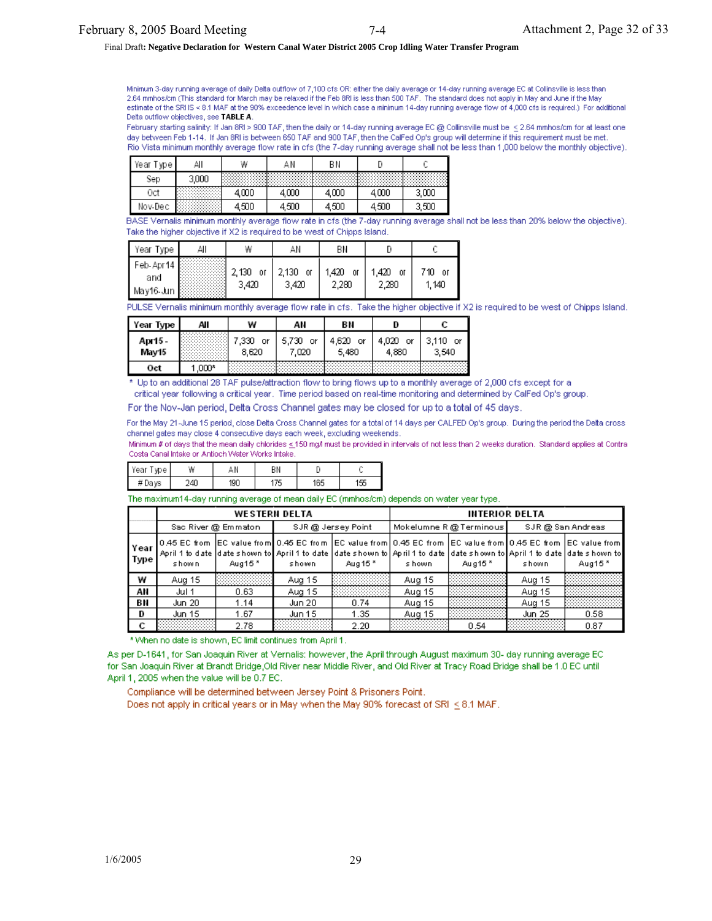Minimum 3-day running average of daily Delta outflow of 7,100 cfs OR: either the daily average or 14-day running average EC at Collinsville is less than 2.64 mmhos/cm (This standard for March may be relaxed if the Feb 8RI is less than 500 TAF. The standard does not apply in May and June if the May estimate of the SRIIS < 8.1 MAF at the 90% exceedence level in which case a minimum 14-day running average flow of 4,000 cfs is required.) For additional Delta outflow objectives, see TABLE A.

February starting salinity: If Jan 8RI > 900 TAF, then the daily or 14-day running average EC @ Collinsville must be < 2.64 mmhos/cm for at least one day between Feb 1-14. If Jan 8RI is between 650 TAF and 900 TAF, then the CalFed Op's group will determine if this requirement must be met. Rio Vista minimum monthly average flow rate in cfs (the 7-day running average shall not be less than 1,000 below the monthly objective).

| . Year Type ⊑ | ΑIΙ                                             | W                     | ΑN    | ΒN    |       |       |
|---------------|-------------------------------------------------|-----------------------|-------|-------|-------|-------|
| Sep           | 3,000                                           | .<br>.<br>.<br>.<br>. |       |       |       |       |
| Oct           | .<br>.<br>.<br>.<br>.<br>.<br>.                 | 4.000                 | 4,000 | 4,000 | 4,000 | 3.000 |
| Nov-Dec       | <del>.</del><br>.<br>.<br>.<br>.<br>.<br>.<br>. | 4,500                 | 4,500 | 4,500 | 4,500 | 3,500 |

BASE Vernalis minimum monthly average flow rate in cfs (the 7-day running average shall not be less than 20% below the objective). Take the higher objective if X2 is required to be west of Chipps Island.

| Year Type                     | ΑIΙ | W                       | ΑN                      | ВN                  |                      |                 |
|-------------------------------|-----|-------------------------|-------------------------|---------------------|----------------------|-----------------|
| Feb-Apr14<br>and<br>May16 Jun |     | 2.130<br>$-01$<br>3.420 | 12.130<br>$-0$<br>3.420 | 1.420<br>0<br>2.280 | 1.420<br>0ľ<br>2,280 | 710 or<br>1.140 |

PULSE Vernalis minimum monthly average flow rate in cfs. Take the higher objective if X2 is required to be west of Chipps Island.

| Year Type I      | ΑII                                   | w                    | AN                   | ВN                   |                      |                      |
|------------------|---------------------------------------|----------------------|----------------------|----------------------|----------------------|----------------------|
| Арг15 -<br>Way15 | .<br>.!<br>.<br>.<br>.<br>.<br>.<br>. | 7.330<br>or<br>8.620 | 5.730<br>or<br>7.020 | 4.620<br>or<br>5.480 | 4.020<br>or<br>4.880 | 3.110<br>or<br>3.540 |
| Oct              | $.000*$                               | .<br>.               |                      |                      |                      |                      |

\* Up to an additional 28 TAF pulse/attraction flow to bring flows up to a monthly average of 2,000 cfs except for a

critical year following a critical year. Time period based on real-time monitoring and determined by CalFed Op's group.

For the Nov-Jan period, Delta Cross Channel gates may be closed for up to a total of 45 days.

For the May 21-June 15 period, close Delta Cross Channel gates for a total of 14 days per CALFED Op's group. During the period the Delta cross channel gates may close 4 consecutive days each week, excluding weekends.

Minimum # of days that the mean daily chlorides <150 mg/l must be provided in intervals of not less than 2 weeks duration. Standard applies at Contra Costa Canal Intake or Antioch Water Works Intake.

| ype<br>Year | ۱A  | мυ  | ΒN         |     |     |
|-------------|-----|-----|------------|-----|-----|
| #D<br>Days  | 240 | 190 | 75<br>17 J | 165 | 155 |

The maximum14-day running average of mean daily EC (mmhos/cm) depends on water year type.

|              |                     |                           | <b>WESTERN DELTA</b>                                                                                                                                                                                                                                                                                         | <b>INTERIOR DELTA</b> |                         |                 |                 |                     |
|--------------|---------------------|---------------------------|--------------------------------------------------------------------------------------------------------------------------------------------------------------------------------------------------------------------------------------------------------------------------------------------------------------|-----------------------|-------------------------|-----------------|-----------------|---------------------|
|              | Sac River @ Emmaton |                           | SJR@ Jersey Point                                                                                                                                                                                                                                                                                            |                       | Mokelumne R @ Terminous |                 | SJR@San Andreas |                     |
| Year<br>Type | shown               | Aug15. <sup>*</sup>       | [0.45 EC from [EC value from] 0.45 EC from [EC value from [0.45 EC from [EC value from [0.45 EC from [EC value from]<br>April 1 to date date shown to April 1 to date date shown to April 1 to date date shown to April 1 to date date shown to April 1 to date shown to April 1 to date shown to a<br>shown | Aug 15 *              | shown                   | Aug15 $\degree$ | shown           | Aug15. <sup>*</sup> |
| w            | Aug 15              | <b>1999 - 1999 - 1999</b> | Aug 15                                                                                                                                                                                                                                                                                                       |                       | Aug 15                  |                 | Aug 15          |                     |
| AN           | Jul 1               | 0.63                      | Aug 15                                                                                                                                                                                                                                                                                                       |                       | Aug 15                  |                 | Aug 15          |                     |
| ВN           | Jun 20              | 1.14                      | Jun 20                                                                                                                                                                                                                                                                                                       | 0.74                  | Aug 15                  |                 | Aug 15          |                     |
| D            | Jun 15              | 1.67                      | Jun 15                                                                                                                                                                                                                                                                                                       | 1.35                  | Aug 15                  | .               | Jun 25          | 0.58                |
|              |                     | 2.78                      |                                                                                                                                                                                                                                                                                                              | 2.20                  |                         | 0.54            |                 | 0.87                |

\* When no date is shown, EC limit continues from April 1.

As per D-1641, for San Joaquin River at Vernalis: however, the April through August maximum 30- day running average EC for San Joaquin River at Brandt Bridge,Old River near Middle River, and Old River at Tracy Road Bridge shall be 1.0 EC until April 1, 2005 when the value will be 0.7 EC.

Compliance will be determined between Jersey Point & Prisoners Point.

Does not apply in critical years or in May when the May 90% forecast of SRI ≤ 8.1 MAF.